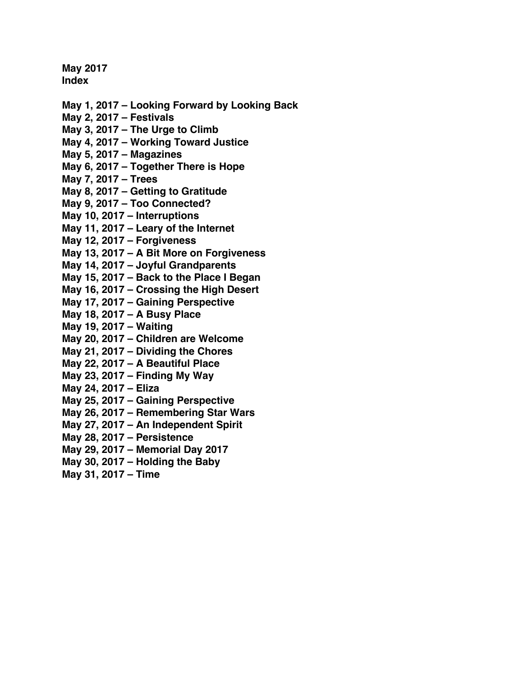**May 2017 Index**

- **May 1, 2017 – [Looking Forward by Looking Back](#page-1-0)**
- **[May 2, 2017 –](#page-3-0) Festivals**
- **May 3, 2017 – [The Urge to Climb](#page-7-0)**
- **May 4, 2017 – [Working Toward Justice](#page-9-0)**
- **[May 5, 2017 –](#page-11-0) Magazines**
- **May 6, 2017 – [Together There is Hope](#page-13-0)**
- **[May 7, 2017 –](#page-15-0) Trees**
- **May 8, 2017 – [Getting to Gratitude](#page-18-0)**
- **May 9, 2017 – [Too Connected?](#page-19-0)**
- **[May 10, 2017 –](#page-21-0) Interruptions**
- **May 11, 2017 – [Leary of the Internet](#page-23-0)**
- **[May 12, 2017 –](#page-25-0) Forgiveness**
- **May 13, 2017 – [A Bit More on Forgiveness](#page-27-0)**
- **May 14, 2017 – [Joyful Grandparents](#page-29-0)**
- **May 15, 2017 – [Back to the Place I Began](#page-31-0)**
- **May 16, 2017 – [Crossing the High Desert](#page-33-0)**
- **May 17, 2017 – [Gaining Perspective](#page-35-0)**
- **[May 18, 2017 –](#page-37-0) A Busy Place**
- **[May 19, 2017 –](#page-39-0) Waiting**
- **May 20, 2017 – [Children are Welcome](#page-41-0)**
- **May 21, 2017 – [Dividing the Chores](#page-43-0)**
- **May 22, 2017 – [A Beautiful Place](#page-45-0)**
- **May 23, 2017 – [Finding My Way](#page-47-0)**
- **[May 24, 2017 –](#page-50-0) Eliza**
- **May 25, 2017 – [Gaining Perspective](#page-52-0)**
- **May 26, 2017 – [Remembering Star Wars](#page-54-0)**
- **May 27, 2017 – [An Independent Spirit](#page-56-0)**
- **[May 28, 2017 –](#page-58-0) Persistence**
- **[May 29, 2017 –](#page-60-0) Memorial Day 2017**
- **May 30, 2017 – [Holding the Baby](#page-62-0)**
- **[May 31, 2017 –](#page-64-0) Time**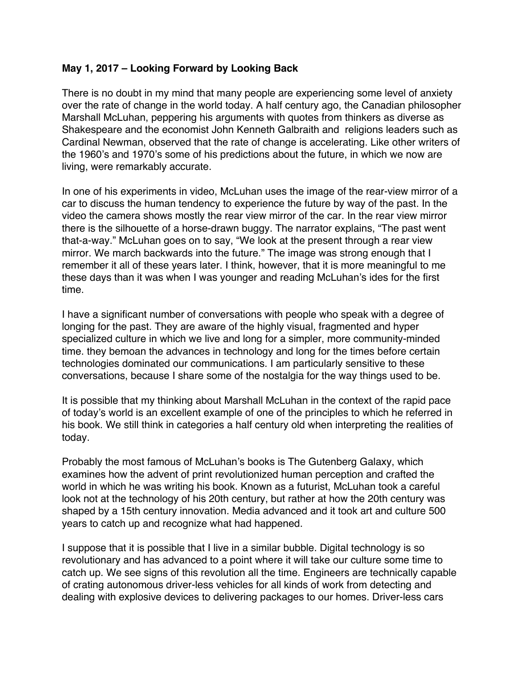# <span id="page-1-0"></span>**May 1, 2017 – Looking Forward by Looking Back**

There is no doubt in my mind that many people are experiencing some level of anxiety over the rate of change in the world today. A half century ago, the Canadian philosopher Marshall McLuhan, peppering his arguments with quotes from thinkers as diverse as Shakespeare and the economist John Kenneth Galbraith and religions leaders such as Cardinal Newman, observed that the rate of change is accelerating. Like other writers of the 1960's and 1970's some of his predictions about the future, in which we now are living, were remarkably accurate.

In one of his experiments in video, McLuhan uses the image of the rear-view mirror of a car to discuss the human tendency to experience the future by way of the past. In the video the camera shows mostly the rear view mirror of the car. In the rear view mirror there is the silhouette of a horse-drawn buggy. The narrator explains, "The past went that-a-way." McLuhan goes on to say, "We look at the present through a rear view mirror. We march backwards into the future." The image was strong enough that I remember it all of these years later. I think, however, that it is more meaningful to me these days than it was when I was younger and reading McLuhan's ides for the first time.

I have a significant number of conversations with people who speak with a degree of longing for the past. They are aware of the highly visual, fragmented and hyper specialized culture in which we live and long for a simpler, more community-minded time. they bemoan the advances in technology and long for the times before certain technologies dominated our communications. I am particularly sensitive to these conversations, because I share some of the nostalgia for the way things used to be.

It is possible that my thinking about Marshall McLuhan in the context of the rapid pace of today's world is an excellent example of one of the principles to which he referred in his book. We still think in categories a half century old when interpreting the realities of today.

Probably the most famous of McLuhan's books is The Gutenberg Galaxy, which examines how the advent of print revolutionized human perception and crafted the world in which he was writing his book. Known as a futurist, McLuhan took a careful look not at the technology of his 20th century, but rather at how the 20th century was shaped by a 15th century innovation. Media advanced and it took art and culture 500 years to catch up and recognize what had happened.

I suppose that it is possible that I live in a similar bubble. Digital technology is so revolutionary and has advanced to a point where it will take our culture some time to catch up. We see signs of this revolution all the time. Engineers are technically capable of crating autonomous driver-less vehicles for all kinds of work from detecting and dealing with explosive devices to delivering packages to our homes. Driver-less cars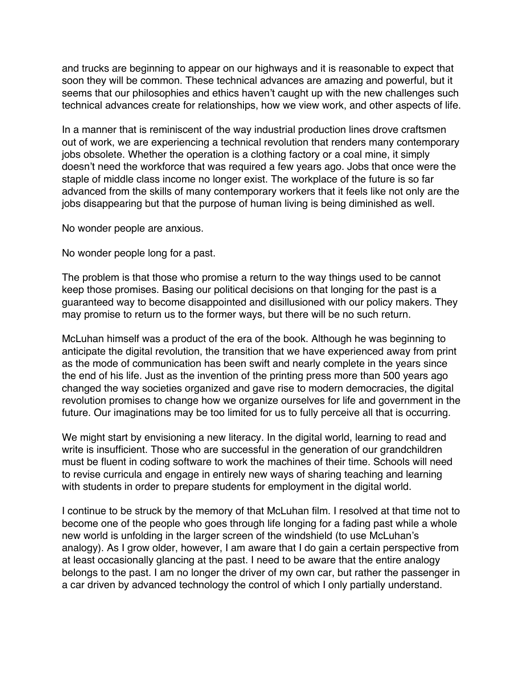and trucks are beginning to appear on our highways and it is reasonable to expect that soon they will be common. These technical advances are amazing and powerful, but it seems that our philosophies and ethics haven't caught up with the new challenges such technical advances create for relationships, how we view work, and other aspects of life.

In a manner that is reminiscent of the way industrial production lines drove craftsmen out of work, we are experiencing a technical revolution that renders many contemporary jobs obsolete. Whether the operation is a clothing factory or a coal mine, it simply doesn't need the workforce that was required a few years ago. Jobs that once were the staple of middle class income no longer exist. The workplace of the future is so far advanced from the skills of many contemporary workers that it feels like not only are the jobs disappearing but that the purpose of human living is being diminished as well.

No wonder people are anxious.

No wonder people long for a past.

The problem is that those who promise a return to the way things used to be cannot keep those promises. Basing our political decisions on that longing for the past is a guaranteed way to become disappointed and disillusioned with our policy makers. They may promise to return us to the former ways, but there will be no such return.

McLuhan himself was a product of the era of the book. Although he was beginning to anticipate the digital revolution, the transition that we have experienced away from print as the mode of communication has been swift and nearly complete in the years since the end of his life. Just as the invention of the printing press more than 500 years ago changed the way societies organized and gave rise to modern democracies, the digital revolution promises to change how we organize ourselves for life and government in the future. Our imaginations may be too limited for us to fully perceive all that is occurring.

We might start by envisioning a new literacy. In the digital world, learning to read and write is insufficient. Those who are successful in the generation of our grandchildren must be fluent in coding software to work the machines of their time. Schools will need to revise curricula and engage in entirely new ways of sharing teaching and learning with students in order to prepare students for employment in the digital world.

I continue to be struck by the memory of that McLuhan film. I resolved at that time not to become one of the people who goes through life longing for a fading past while a whole new world is unfolding in the larger screen of the windshield (to use McLuhan's analogy). As I grow older, however, I am aware that I do gain a certain perspective from at least occasionally glancing at the past. I need to be aware that the entire analogy belongs to the past. I am no longer the driver of my own car, but rather the passenger in a car driven by advanced technology the control of which I only partially understand.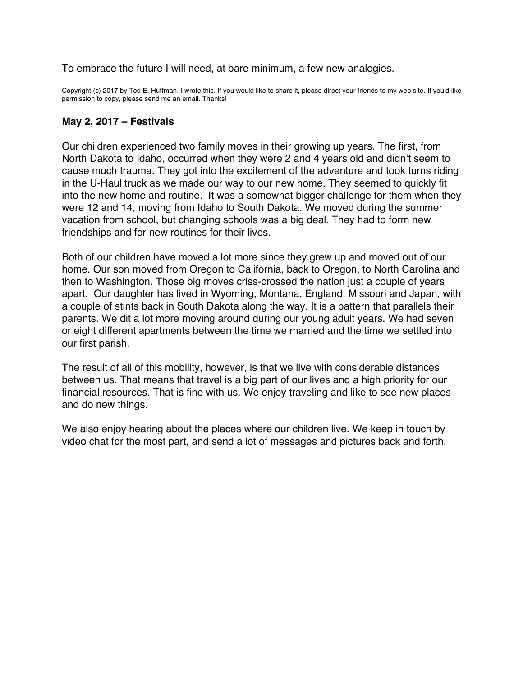<span id="page-3-0"></span>To embrace the future I will need, at bare minimum, a few new analogies.

Copyright (c) 2017 by Ted E. Huffman. I wrote this. If you would like to share it, please direct your friends to my web site. If you'd like permission to copy, please send me an email. Thanks!

## **May 2, 2017 – Festivals**

Our children experienced two family moves in their growing up years. The first, from North Dakota to Idaho, occurred when they were 2 and 4 years old and didn't seem to cause much trauma. They got into the excitement of the adventure and took turns riding in the U-Haul truck as we made our way to our new home. They seemed to quickly fit into the new home and routine. It was a somewhat bigger challenge for them when they were 12 and 14, moving from Idaho to South Dakota. We moved during the summer vacation from school, but changing schools was a big deal. They had to form new friendships and for new routines for their lives.

Both of our children have moved a lot more since they grew up and moved out of our home. Our son moved from Oregon to California, back to Oregon, to North Carolina and then to Washington. Those big moves criss-crossed the nation just a couple of years apart. Our daughter has lived in Wyoming, Montana, England, Missouri and Japan, with a couple of stints back in South Dakota along the way. It is a pattern that parallels their parents. We dit a lot more moving around during our young adult years. We had seven or eight different apartments between the time we married and the time we settled into our first parish.

The result of all of this mobility, however, is that we live with considerable distances between us. That means that travel is a big part of our lives and a high priority for our financial resources. That is fine with us. We enjoy traveling and like to see new places and do new things.

We also enjoy hearing about the places where our children live. We keep in touch by video chat for the most part, and send a lot of messages and pictures back and forth.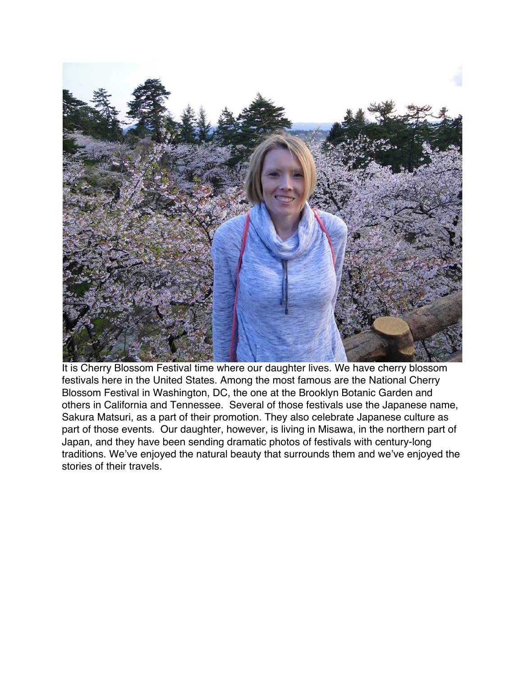

It is Cherry Blossom Festival time where our daughter lives. We have cherry blossom festivals here in the United States. Among the most famous are the National Cherry Blossom Festival in Washington, DC, the one at the Brooklyn Botanic Garden and others in California and Tennessee. Several of those festivals use the Japanese name, Sakura Matsuri, as a part of their promotion. They also celebrate Japanese culture as part of those events. Our daughter, however, is living in Misawa, in the northern part of Japan, and they have been sending dramatic photos of festivals with century-long traditions. We've enjoyed the natural beauty that surrounds them and we've enjoyed the stories of their travels.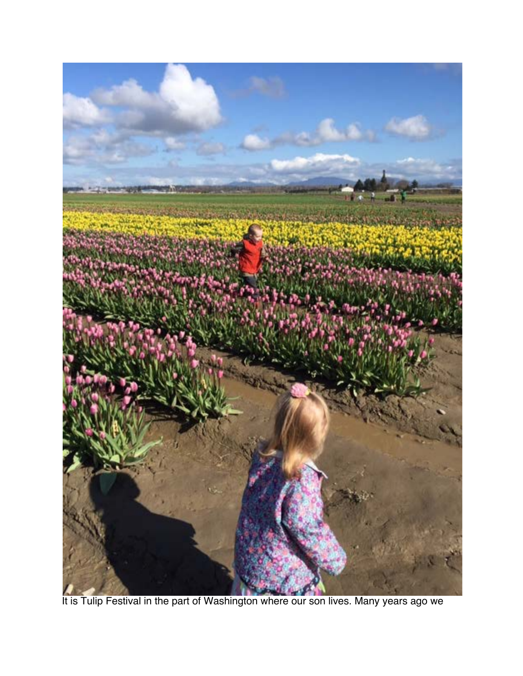

It is Tulip Festival in the part of Washington where our son lives. Many years ago we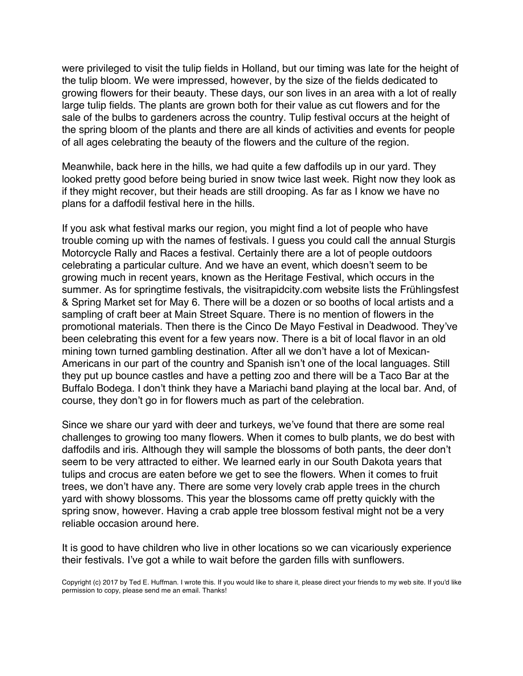were privileged to visit the tulip fields in Holland, but our timing was late for the height of the tulip bloom. We were impressed, however, by the size of the fields dedicated to growing flowers for their beauty. These days, our son lives in an area with a lot of really large tulip fields. The plants are grown both for their value as cut flowers and for the sale of the bulbs to gardeners across the country. Tulip festival occurs at the height of the spring bloom of the plants and there are all kinds of activities and events for people of all ages celebrating the beauty of the flowers and the culture of the region.

Meanwhile, back here in the hills, we had quite a few daffodils up in our yard. They looked pretty good before being buried in snow twice last week. Right now they look as if they might recover, but their heads are still drooping. As far as I know we have no plans for a daffodil festival here in the hills.

If you ask what festival marks our region, you might find a lot of people who have trouble coming up with the names of festivals. I guess you could call the annual Sturgis Motorcycle Rally and Races a festival. Certainly there are a lot of people outdoors celebrating a particular culture. And we have an event, which doesn't seem to be growing much in recent years, known as the Heritage Festival, which occurs in the summer. As for springtime festivals, the visitrapidcity.com website lists the Frühlingsfest & Spring Market set for May 6. There will be a dozen or so booths of local artists and a sampling of craft beer at Main Street Square. There is no mention of flowers in the promotional materials. Then there is the Cinco De Mayo Festival in Deadwood. They've been celebrating this event for a few years now. There is a bit of local flavor in an old mining town turned gambling destination. After all we don't have a lot of Mexican-Americans in our part of the country and Spanish isn't one of the local languages. Still they put up bounce castles and have a petting zoo and there will be a Taco Bar at the Buffalo Bodega. I don't think they have a Mariachi band playing at the local bar. And, of course, they don't go in for flowers much as part of the celebration.

Since we share our yard with deer and turkeys, we've found that there are some real challenges to growing too many flowers. When it comes to bulb plants, we do best with daffodils and iris. Although they will sample the blossoms of both pants, the deer don't seem to be very attracted to either. We learned early in our South Dakota years that tulips and crocus are eaten before we get to see the flowers. When it comes to fruit trees, we don't have any. There are some very lovely crab apple trees in the church yard with showy blossoms. This year the blossoms came off pretty quickly with the spring snow, however. Having a crab apple tree blossom festival might not be a very reliable occasion around here.

It is good to have children who live in other locations so we can vicariously experience their festivals. I've got a while to wait before the garden fills with sunflowers.

Copyright (c) 2017 by Ted E. Huffman. I wrote this. If you would like to share it, please direct your friends to my web site. If you'd like permission to copy, please send me an email. Thanks!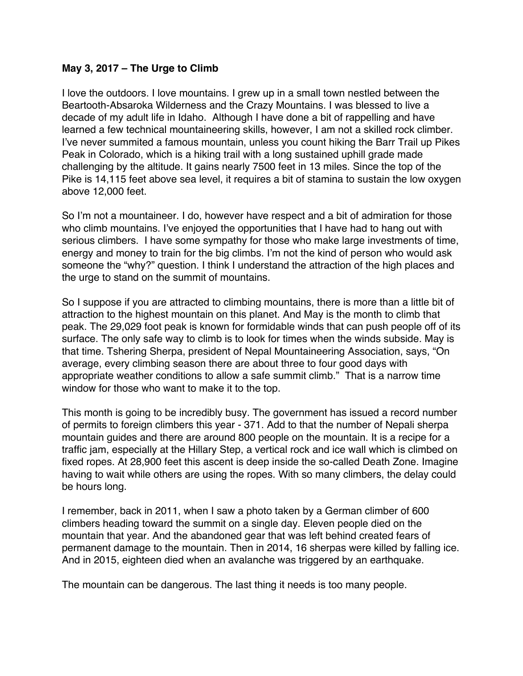# <span id="page-7-0"></span>**May 3, 2017 – The Urge to Climb**

I love the outdoors. I love mountains. I grew up in a small town nestled between the Beartooth-Absaroka Wilderness and the Crazy Mountains. I was blessed to live a decade of my adult life in Idaho. Although I have done a bit of rappelling and have learned a few technical mountaineering skills, however, I am not a skilled rock climber. I've never summited a famous mountain, unless you count hiking the Barr Trail up Pikes Peak in Colorado, which is a hiking trail with a long sustained uphill grade made challenging by the altitude. It gains nearly 7500 feet in 13 miles. Since the top of the Pike is 14,115 feet above sea level, it requires a bit of stamina to sustain the low oxygen above 12,000 feet.

So I'm not a mountaineer. I do, however have respect and a bit of admiration for those who climb mountains. I've enjoyed the opportunities that I have had to hang out with serious climbers. I have some sympathy for those who make large investments of time, energy and money to train for the big climbs. I'm not the kind of person who would ask someone the "why?" question. I think I understand the attraction of the high places and the urge to stand on the summit of mountains.

So I suppose if you are attracted to climbing mountains, there is more than a little bit of attraction to the highest mountain on this planet. And May is the month to climb that peak. The 29,029 foot peak is known for formidable winds that can push people off of its surface. The only safe way to climb is to look for times when the winds subside. May is that time. Tshering Sherpa, president of Nepal Mountaineering Association, says, "On average, every climbing season there are about three to four good days with appropriate weather conditions to allow a safe summit climb." That is a narrow time window for those who want to make it to the top.

This month is going to be incredibly busy. The government has issued a record number of permits to foreign climbers this year - 371. Add to that the number of Nepali sherpa mountain guides and there are around 800 people on the mountain. It is a recipe for a traffic jam, especially at the Hillary Step, a vertical rock and ice wall which is climbed on fixed ropes. At 28,900 feet this ascent is deep inside the so-called Death Zone. Imagine having to wait while others are using the ropes. With so many climbers, the delay could be hours long.

I remember, back in 2011, when I saw a photo taken by a German climber of 600 climbers heading toward the summit on a single day. Eleven people died on the mountain that year. And the abandoned gear that was left behind created fears of permanent damage to the mountain. Then in 2014, 16 sherpas were killed by falling ice. And in 2015, eighteen died when an avalanche was triggered by an earthquake.

The mountain can be dangerous. The last thing it needs is too many people.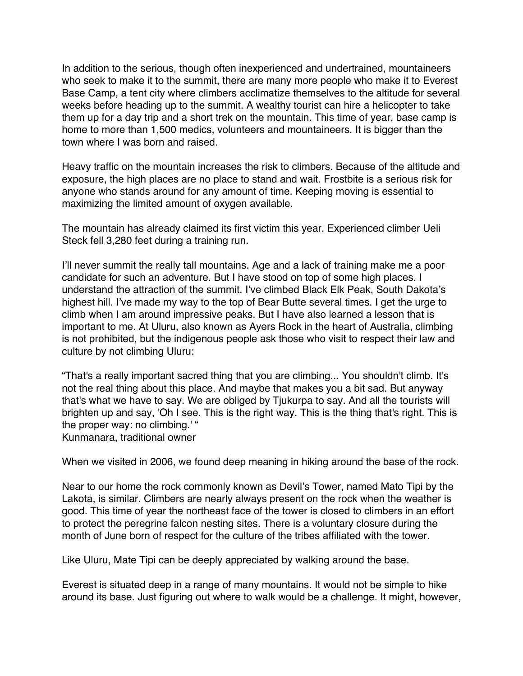In addition to the serious, though often inexperienced and undertrained, mountaineers who seek to make it to the summit, there are many more people who make it to Everest Base Camp, a tent city where climbers acclimatize themselves to the altitude for several weeks before heading up to the summit. A wealthy tourist can hire a helicopter to take them up for a day trip and a short trek on the mountain. This time of year, base camp is home to more than 1,500 medics, volunteers and mountaineers. It is bigger than the town where I was born and raised.

Heavy traffic on the mountain increases the risk to climbers. Because of the altitude and exposure, the high places are no place to stand and wait. Frostbite is a serious risk for anyone who stands around for any amount of time. Keeping moving is essential to maximizing the limited amount of oxygen available.

The mountain has already claimed its first victim this year. Experienced climber Ueli Steck fell 3,280 feet during a training run.

I'll never summit the really tall mountains. Age and a lack of training make me a poor candidate for such an adventure. But I have stood on top of some high places. I understand the attraction of the summit. I've climbed Black Elk Peak, South Dakota's highest hill. I've made my way to the top of Bear Butte several times. I get the urge to climb when I am around impressive peaks. But I have also learned a lesson that is important to me. At Uluru, also known as Ayers Rock in the heart of Australia, climbing is not prohibited, but the indigenous people ask those who visit to respect their law and culture by not climbing Uluru:

"That's a really important sacred thing that you are climbing... You shouldn't climb. It's not the real thing about this place. And maybe that makes you a bit sad. But anyway that's what we have to say. We are obliged by Tjukurpa to say. And all the tourists will brighten up and say, 'Oh I see. This is the right way. This is the thing that's right. This is the proper way: no climbing.' "

Kunmanara, traditional owner

When we visited in 2006, we found deep meaning in hiking around the base of the rock.

Near to our home the rock commonly known as Devil's Tower, named Mato Tipi by the Lakota, is similar. Climbers are nearly always present on the rock when the weather is good. This time of year the northeast face of the tower is closed to climbers in an effort to protect the peregrine falcon nesting sites. There is a voluntary closure during the month of June born of respect for the culture of the tribes affiliated with the tower.

Like Uluru, Mate Tipi can be deeply appreciated by walking around the base.

Everest is situated deep in a range of many mountains. It would not be simple to hike around its base. Just figuring out where to walk would be a challenge. It might, however,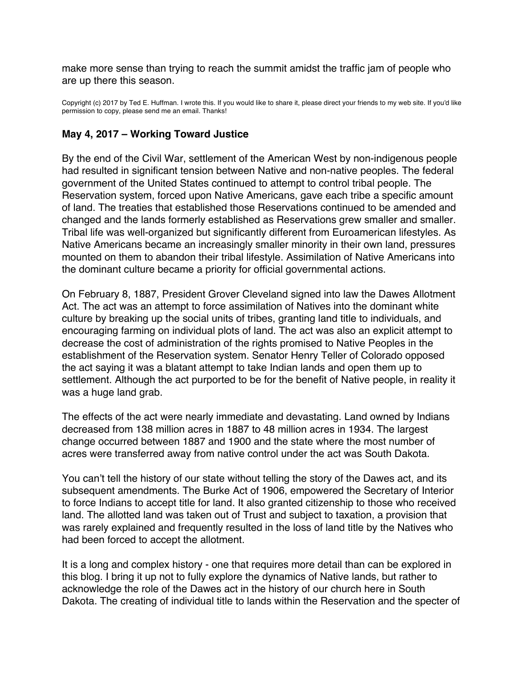<span id="page-9-0"></span>make more sense than trying to reach the summit amidst the traffic jam of people who are up there this season.

Copyright (c) 2017 by Ted E. Huffman. I wrote this. If you would like to share it, please direct your friends to my web site. If you'd like permission to copy, please send me an email. Thanks!

## **May 4, 2017 – Working Toward Justice**

By the end of the Civil War, settlement of the American West by non-indigenous people had resulted in significant tension between Native and non-native peoples. The federal government of the United States continued to attempt to control tribal people. The Reservation system, forced upon Native Americans, gave each tribe a specific amount of land. The treaties that established those Reservations continued to be amended and changed and the lands formerly established as Reservations grew smaller and smaller. Tribal life was well-organized but significantly different from Euroamerican lifestyles. As Native Americans became an increasingly smaller minority in their own land, pressures mounted on them to abandon their tribal lifestyle. Assimilation of Native Americans into the dominant culture became a priority for official governmental actions.

On February 8, 1887, President Grover Cleveland signed into law the Dawes Allotment Act. The act was an attempt to force assimilation of Natives into the dominant white culture by breaking up the social units of tribes, granting land title to individuals, and encouraging farming on individual plots of land. The act was also an explicit attempt to decrease the cost of administration of the rights promised to Native Peoples in the establishment of the Reservation system. Senator Henry Teller of Colorado opposed the act saying it was a blatant attempt to take Indian lands and open them up to settlement. Although the act purported to be for the benefit of Native people, in reality it was a huge land grab.

The effects of the act were nearly immediate and devastating. Land owned by Indians decreased from 138 million acres in 1887 to 48 million acres in 1934. The largest change occurred between 1887 and 1900 and the state where the most number of acres were transferred away from native control under the act was South Dakota.

You can't tell the history of our state without telling the story of the Dawes act, and its subsequent amendments. The Burke Act of 1906, empowered the Secretary of Interior to force Indians to accept title for land. It also granted citizenship to those who received land. The allotted land was taken out of Trust and subject to taxation, a provision that was rarely explained and frequently resulted in the loss of land title by the Natives who had been forced to accept the allotment.

It is a long and complex history - one that requires more detail than can be explored in this blog. I bring it up not to fully explore the dynamics of Native lands, but rather to acknowledge the role of the Dawes act in the history of our church here in South Dakota. The creating of individual title to lands within the Reservation and the specter of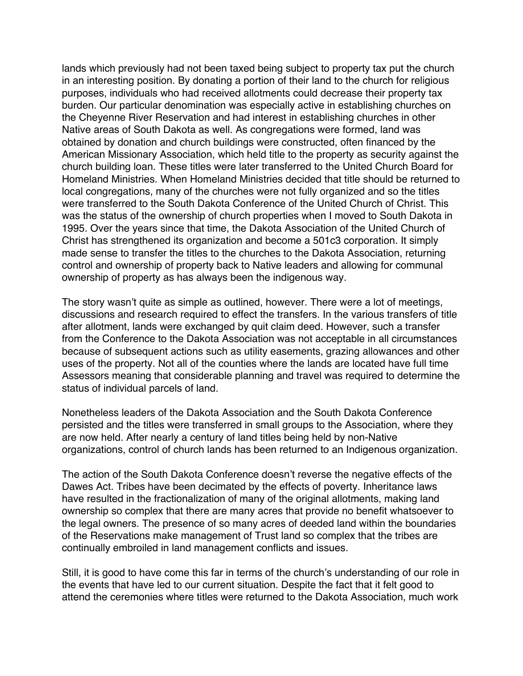lands which previously had not been taxed being subject to property tax put the church in an interesting position. By donating a portion of their land to the church for religious purposes, individuals who had received allotments could decrease their property tax burden. Our particular denomination was especially active in establishing churches on the Cheyenne River Reservation and had interest in establishing churches in other Native areas of South Dakota as well. As congregations were formed, land was obtained by donation and church buildings were constructed, often financed by the American Missionary Association, which held title to the property as security against the church building loan. These titles were later transferred to the United Church Board for Homeland Ministries. When Homeland Ministries decided that title should be returned to local congregations, many of the churches were not fully organized and so the titles were transferred to the South Dakota Conference of the United Church of Christ. This was the status of the ownership of church properties when I moved to South Dakota in 1995. Over the years since that time, the Dakota Association of the United Church of Christ has strengthened its organization and become a 501c3 corporation. It simply made sense to transfer the titles to the churches to the Dakota Association, returning control and ownership of property back to Native leaders and allowing for communal ownership of property as has always been the indigenous way.

The story wasn't quite as simple as outlined, however. There were a lot of meetings, discussions and research required to effect the transfers. In the various transfers of title after allotment, lands were exchanged by quit claim deed. However, such a transfer from the Conference to the Dakota Association was not acceptable in all circumstances because of subsequent actions such as utility easements, grazing allowances and other uses of the property. Not all of the counties where the lands are located have full time Assessors meaning that considerable planning and travel was required to determine the status of individual parcels of land.

Nonetheless leaders of the Dakota Association and the South Dakota Conference persisted and the titles were transferred in small groups to the Association, where they are now held. After nearly a century of land titles being held by non-Native organizations, control of church lands has been returned to an Indigenous organization.

The action of the South Dakota Conference doesn't reverse the negative effects of the Dawes Act. Tribes have been decimated by the effects of poverty. Inheritance laws have resulted in the fractionalization of many of the original allotments, making land ownership so complex that there are many acres that provide no benefit whatsoever to the legal owners. The presence of so many acres of deeded land within the boundaries of the Reservations make management of Trust land so complex that the tribes are continually embroiled in land management conflicts and issues.

Still, it is good to have come this far in terms of the church's understanding of our role in the events that have led to our current situation. Despite the fact that it felt good to attend the ceremonies where titles were returned to the Dakota Association, much work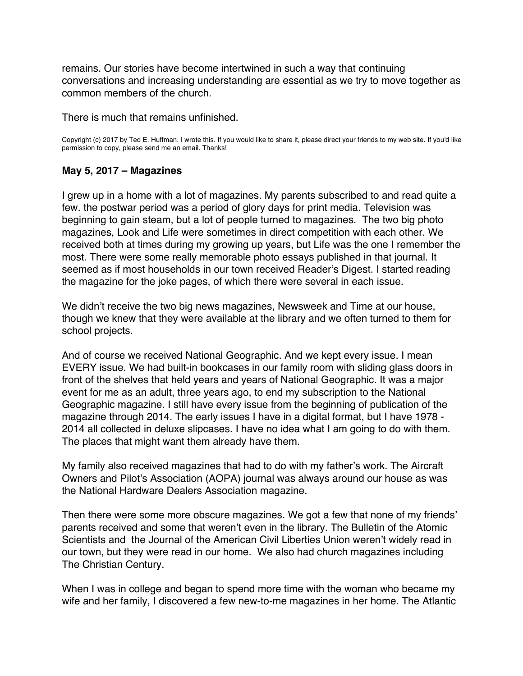<span id="page-11-0"></span>remains. Our stories have become intertwined in such a way that continuing conversations and increasing understanding are essential as we try to move together as common members of the church.

There is much that remains unfinished.

Copyright (c) 2017 by Ted E. Huffman. I wrote this. If you would like to share it, please direct your friends to my web site. If you'd like permission to copy, please send me an email. Thanks!

# **May 5, 2017 – Magazines**

I grew up in a home with a lot of magazines. My parents subscribed to and read quite a few. the postwar period was a period of glory days for print media. Television was beginning to gain steam, but a lot of people turned to magazines. The two big photo magazines, Look and Life were sometimes in direct competition with each other. We received both at times during my growing up years, but Life was the one I remember the most. There were some really memorable photo essays published in that journal. It seemed as if most households in our town received Reader's Digest. I started reading the magazine for the joke pages, of which there were several in each issue.

We didn't receive the two big news magazines, Newsweek and Time at our house, though we knew that they were available at the library and we often turned to them for school projects.

And of course we received National Geographic. And we kept every issue. I mean EVERY issue. We had built-in bookcases in our family room with sliding glass doors in front of the shelves that held years and years of National Geographic. It was a major event for me as an adult, three years ago, to end my subscription to the National Geographic magazine. I still have every issue from the beginning of publication of the magazine through 2014. The early issues I have in a digital format, but I have 1978 - 2014 all collected in deluxe slipcases. I have no idea what I am going to do with them. The places that might want them already have them.

My family also received magazines that had to do with my father's work. The Aircraft Owners and Pilot's Association (AOPA) journal was always around our house as was the National Hardware Dealers Association magazine.

Then there were some more obscure magazines. We got a few that none of my friends' parents received and some that weren't even in the library. The Bulletin of the Atomic Scientists and the Journal of the American Civil Liberties Union weren't widely read in our town, but they were read in our home. We also had church magazines including The Christian Century.

When I was in college and began to spend more time with the woman who became my wife and her family, I discovered a few new-to-me magazines in her home. The Atlantic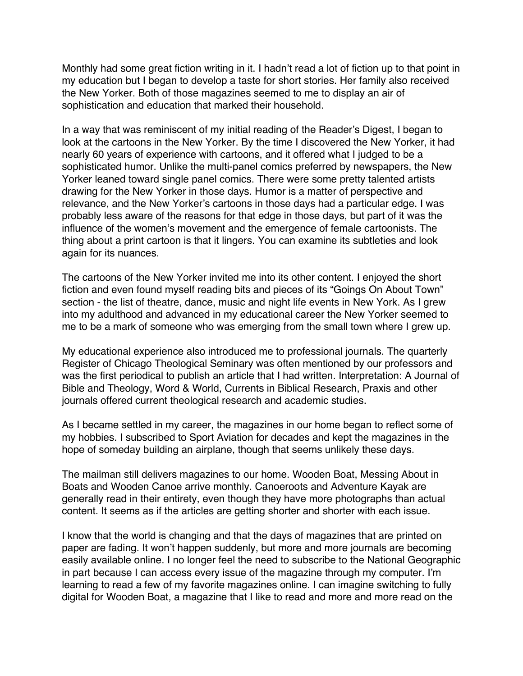Monthly had some great fiction writing in it. I hadn't read a lot of fiction up to that point in my education but I began to develop a taste for short stories. Her family also received the New Yorker. Both of those magazines seemed to me to display an air of sophistication and education that marked their household.

In a way that was reminiscent of my initial reading of the Reader's Digest, I began to look at the cartoons in the New Yorker. By the time I discovered the New Yorker, it had nearly 60 years of experience with cartoons, and it offered what I judged to be a sophisticated humor. Unlike the multi-panel comics preferred by newspapers, the New Yorker leaned toward single panel comics. There were some pretty talented artists drawing for the New Yorker in those days. Humor is a matter of perspective and relevance, and the New Yorker's cartoons in those days had a particular edge. I was probably less aware of the reasons for that edge in those days, but part of it was the influence of the women's movement and the emergence of female cartoonists. The thing about a print cartoon is that it lingers. You can examine its subtleties and look again for its nuances.

The cartoons of the New Yorker invited me into its other content. I enjoyed the short fiction and even found myself reading bits and pieces of its "Goings On About Town" section - the list of theatre, dance, music and night life events in New York. As I grew into my adulthood and advanced in my educational career the New Yorker seemed to me to be a mark of someone who was emerging from the small town where I grew up.

My educational experience also introduced me to professional journals. The quarterly Register of Chicago Theological Seminary was often mentioned by our professors and was the first periodical to publish an article that I had written. Interpretation: A Journal of Bible and Theology, Word & World, Currents in Biblical Research, Praxis and other journals offered current theological research and academic studies.

As I became settled in my career, the magazines in our home began to reflect some of my hobbies. I subscribed to Sport Aviation for decades and kept the magazines in the hope of someday building an airplane, though that seems unlikely these days.

The mailman still delivers magazines to our home. Wooden Boat, Messing About in Boats and Wooden Canoe arrive monthly. Canoeroots and Adventure Kayak are generally read in their entirety, even though they have more photographs than actual content. It seems as if the articles are getting shorter and shorter with each issue.

I know that the world is changing and that the days of magazines that are printed on paper are fading. It won't happen suddenly, but more and more journals are becoming easily available online. I no longer feel the need to subscribe to the National Geographic in part because I can access every issue of the magazine through my computer. I'm learning to read a few of my favorite magazines online. I can imagine switching to fully digital for Wooden Boat, a magazine that I like to read and more and more read on the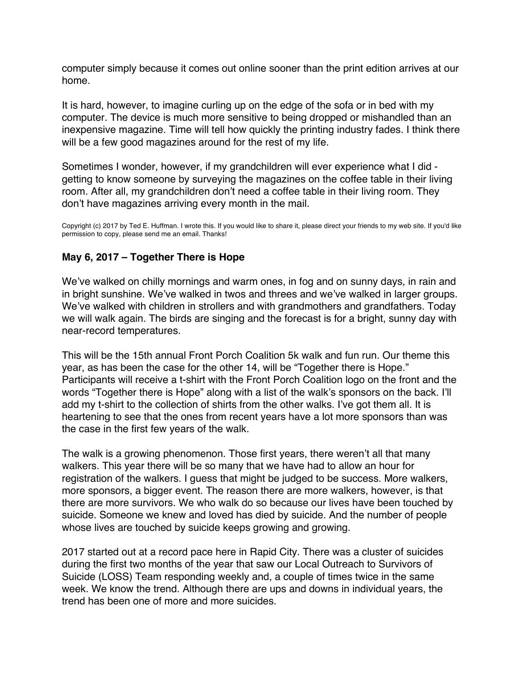<span id="page-13-0"></span>computer simply because it comes out online sooner than the print edition arrives at our home.

It is hard, however, to imagine curling up on the edge of the sofa or in bed with my computer. The device is much more sensitive to being dropped or mishandled than an inexpensive magazine. Time will tell how quickly the printing industry fades. I think there will be a few good magazines around for the rest of my life.

Sometimes I wonder, however, if my grandchildren will ever experience what I did getting to know someone by surveying the magazines on the coffee table in their living room. After all, my grandchildren don't need a coffee table in their living room. They don't have magazines arriving every month in the mail.

Copyright (c) 2017 by Ted E. Huffman. I wrote this. If you would like to share it, please direct your friends to my web site. If you'd like permission to copy, please send me an email. Thanks!

# **May 6, 2017 – Together There is Hope**

We've walked on chilly mornings and warm ones, in fog and on sunny days, in rain and in bright sunshine. We've walked in twos and threes and we've walked in larger groups. We've walked with children in strollers and with grandmothers and grandfathers. Today we will walk again. The birds are singing and the forecast is for a bright, sunny day with near-record temperatures.

This will be the 15th annual Front Porch Coalition 5k walk and fun run. Our theme this year, as has been the case for the other 14, will be "Together there is Hope." Participants will receive a t-shirt with the Front Porch Coalition logo on the front and the words "Together there is Hope" along with a list of the walk's sponsors on the back. I'll add my t-shirt to the collection of shirts from the other walks. I've got them all. It is heartening to see that the ones from recent years have a lot more sponsors than was the case in the first few years of the walk.

The walk is a growing phenomenon. Those first years, there weren't all that many walkers. This year there will be so many that we have had to allow an hour for registration of the walkers. I guess that might be judged to be success. More walkers, more sponsors, a bigger event. The reason there are more walkers, however, is that there are more survivors. We who walk do so because our lives have been touched by suicide. Someone we knew and loved has died by suicide. And the number of people whose lives are touched by suicide keeps growing and growing.

2017 started out at a record pace here in Rapid City. There was a cluster of suicides during the first two months of the year that saw our Local Outreach to Survivors of Suicide (LOSS) Team responding weekly and, a couple of times twice in the same week. We know the trend. Although there are ups and downs in individual years, the trend has been one of more and more suicides.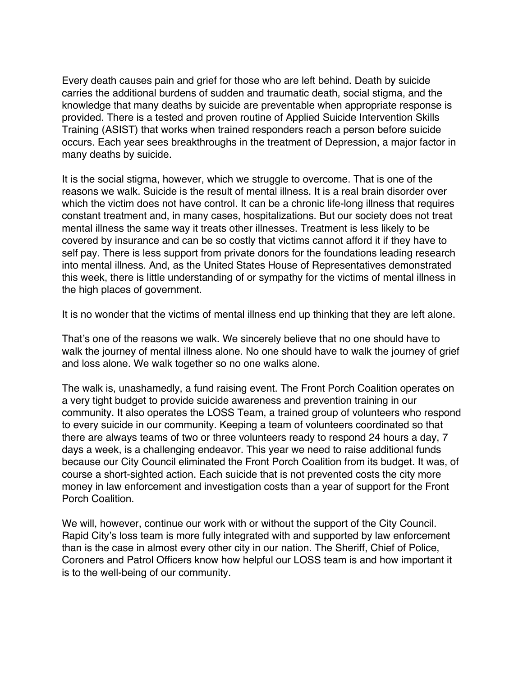Every death causes pain and grief for those who are left behind. Death by suicide carries the additional burdens of sudden and traumatic death, social stigma, and the knowledge that many deaths by suicide are preventable when appropriate response is provided. There is a tested and proven routine of Applied Suicide Intervention Skills Training (ASIST) that works when trained responders reach a person before suicide occurs. Each year sees breakthroughs in the treatment of Depression, a major factor in many deaths by suicide.

It is the social stigma, however, which we struggle to overcome. That is one of the reasons we walk. Suicide is the result of mental illness. It is a real brain disorder over which the victim does not have control. It can be a chronic life-long illness that requires constant treatment and, in many cases, hospitalizations. But our society does not treat mental illness the same way it treats other illnesses. Treatment is less likely to be covered by insurance and can be so costly that victims cannot afford it if they have to self pay. There is less support from private donors for the foundations leading research into mental illness. And, as the United States House of Representatives demonstrated this week, there is little understanding of or sympathy for the victims of mental illness in the high places of government.

It is no wonder that the victims of mental illness end up thinking that they are left alone.

That's one of the reasons we walk. We sincerely believe that no one should have to walk the journey of mental illness alone. No one should have to walk the journey of grief and loss alone. We walk together so no one walks alone.

The walk is, unashamedly, a fund raising event. The Front Porch Coalition operates on a very tight budget to provide suicide awareness and prevention training in our community. It also operates the LOSS Team, a trained group of volunteers who respond to every suicide in our community. Keeping a team of volunteers coordinated so that there are always teams of two or three volunteers ready to respond 24 hours a day, 7 days a week, is a challenging endeavor. This year we need to raise additional funds because our City Council eliminated the Front Porch Coalition from its budget. It was, of course a short-sighted action. Each suicide that is not prevented costs the city more money in law enforcement and investigation costs than a year of support for the Front Porch Coalition.

We will, however, continue our work with or without the support of the City Council. Rapid City's loss team is more fully integrated with and supported by law enforcement than is the case in almost every other city in our nation. The Sheriff, Chief of Police, Coroners and Patrol Officers know how helpful our LOSS team is and how important it is to the well-being of our community.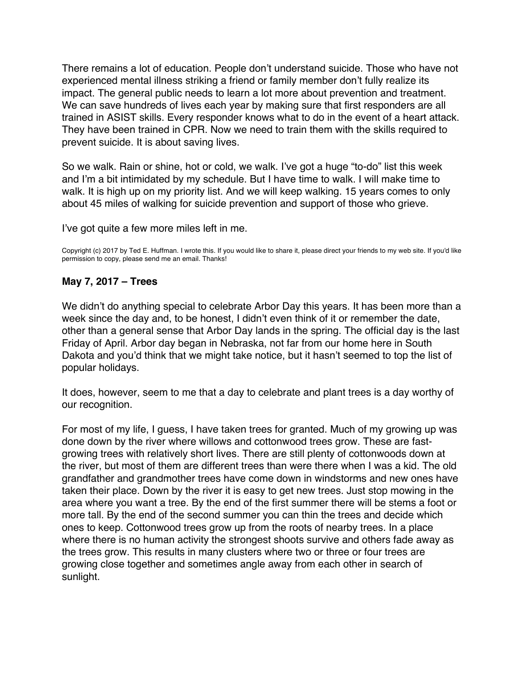<span id="page-15-0"></span>There remains a lot of education. People don't understand suicide. Those who have not experienced mental illness striking a friend or family member don't fully realize its impact. The general public needs to learn a lot more about prevention and treatment. We can save hundreds of lives each year by making sure that first responders are all trained in ASIST skills. Every responder knows what to do in the event of a heart attack. They have been trained in CPR. Now we need to train them with the skills required to prevent suicide. It is about saving lives.

So we walk. Rain or shine, hot or cold, we walk. I've got a huge "to-do" list this week and I'm a bit intimidated by my schedule. But I have time to walk. I will make time to walk. It is high up on my priority list. And we will keep walking. 15 years comes to only about 45 miles of walking for suicide prevention and support of those who grieve.

I've got quite a few more miles left in me.

Copyright (c) 2017 by Ted E. Huffman. I wrote this. If you would like to share it, please direct your friends to my web site. If you'd like permission to copy, please send me an email. Thanks!

### **May 7, 2017 – Trees**

We didn't do anything special to celebrate Arbor Day this years. It has been more than a week since the day and, to be honest, I didn't even think of it or remember the date, other than a general sense that Arbor Day lands in the spring. The official day is the last Friday of April. Arbor day began in Nebraska, not far from our home here in South Dakota and you'd think that we might take notice, but it hasn't seemed to top the list of popular holidays.

It does, however, seem to me that a day to celebrate and plant trees is a day worthy of our recognition.

For most of my life, I guess, I have taken trees for granted. Much of my growing up was done down by the river where willows and cottonwood trees grow. These are fastgrowing trees with relatively short lives. There are still plenty of cottonwoods down at the river, but most of them are different trees than were there when I was a kid. The old grandfather and grandmother trees have come down in windstorms and new ones have taken their place. Down by the river it is easy to get new trees. Just stop mowing in the area where you want a tree. By the end of the first summer there will be stems a foot or more tall. By the end of the second summer you can thin the trees and decide which ones to keep. Cottonwood trees grow up from the roots of nearby trees. In a place where there is no human activity the strongest shoots survive and others fade away as the trees grow. This results in many clusters where two or three or four trees are growing close together and sometimes angle away from each other in search of sunlight.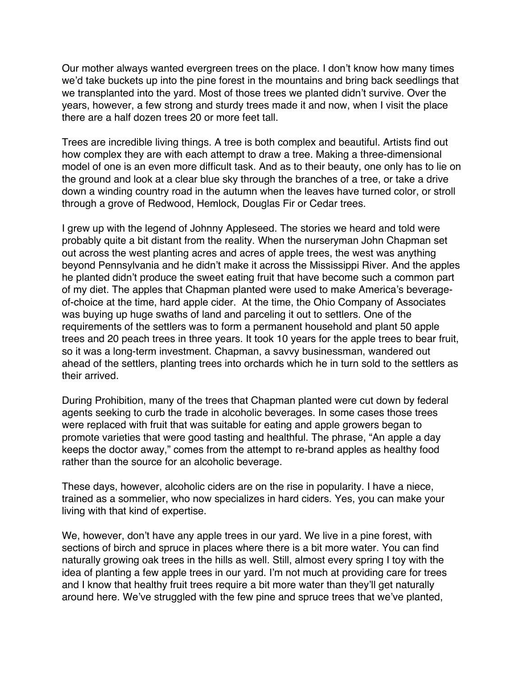Our mother always wanted evergreen trees on the place. I don't know how many times we'd take buckets up into the pine forest in the mountains and bring back seedlings that we transplanted into the yard. Most of those trees we planted didn't survive. Over the years, however, a few strong and sturdy trees made it and now, when I visit the place there are a half dozen trees 20 or more feet tall.

Trees are incredible living things. A tree is both complex and beautiful. Artists find out how complex they are with each attempt to draw a tree. Making a three-dimensional model of one is an even more difficult task. And as to their beauty, one only has to lie on the ground and look at a clear blue sky through the branches of a tree, or take a drive down a winding country road in the autumn when the leaves have turned color, or stroll through a grove of Redwood, Hemlock, Douglas Fir or Cedar trees.

I grew up with the legend of Johnny Appleseed. The stories we heard and told were probably quite a bit distant from the reality. When the nurseryman John Chapman set out across the west planting acres and acres of apple trees, the west was anything beyond Pennsylvania and he didn't make it across the Mississippi River. And the apples he planted didn't produce the sweet eating fruit that have become such a common part of my diet. The apples that Chapman planted were used to make America's beverageof-choice at the time, hard apple cider. At the time, the Ohio Company of Associates was buying up huge swaths of land and parceling it out to settlers. One of the requirements of the settlers was to form a permanent household and plant 50 apple trees and 20 peach trees in three years. It took 10 years for the apple trees to bear fruit, so it was a long-term investment. Chapman, a savvy businessman, wandered out ahead of the settlers, planting trees into orchards which he in turn sold to the settlers as their arrived.

During Prohibition, many of the trees that Chapman planted were cut down by federal agents seeking to curb the trade in alcoholic beverages. In some cases those trees were replaced with fruit that was suitable for eating and apple growers began to promote varieties that were good tasting and healthful. The phrase, "An apple a day keeps the doctor away," comes from the attempt to re-brand apples as healthy food rather than the source for an alcoholic beverage.

These days, however, alcoholic ciders are on the rise in popularity. I have a niece, trained as a sommelier, who now specializes in hard ciders. Yes, you can make your living with that kind of expertise.

We, however, don't have any apple trees in our yard. We live in a pine forest, with sections of birch and spruce in places where there is a bit more water. You can find naturally growing oak trees in the hills as well. Still, almost every spring I toy with the idea of planting a few apple trees in our yard. I'm not much at providing care for trees and I know that healthy fruit trees require a bit more water than they'll get naturally around here. We've struggled with the few pine and spruce trees that we've planted,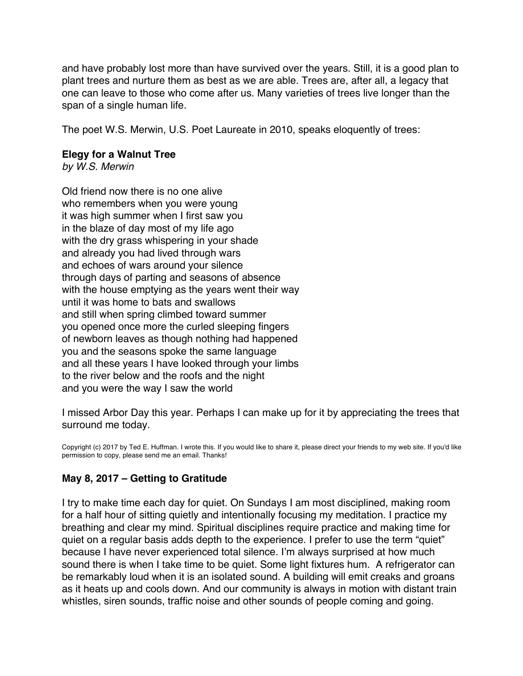and have probably lost more than have survived over the years. Still, it is a good plan to plant trees and nurture them as best as we are able. Trees are, after all, a legacy that one can leave to those who come after us. Many varieties of trees live longer than the span of a single human life.

The poet W.S. Merwin, U.S. Poet Laureate in 2010, speaks eloquently of trees:

### **Elegy for a Walnut Tree**

*by W.S. Merwin*

Old friend now there is no one alive who remembers when you were young it was high summer when I first saw you in the blaze of day most of my life ago with the dry grass whispering in your shade and already you had lived through wars and echoes of wars around your silence through days of parting and seasons of absence with the house emptying as the years went their way until it was home to bats and swallows and still when spring climbed toward summer you opened once more the curled sleeping fingers of newborn leaves as though nothing had happened you and the seasons spoke the same language and all these years I have looked through your limbs to the river below and the roofs and the night and you were the way I saw the world

I missed Arbor Day this year. Perhaps I can make up for it by appreciating the trees that surround me today.

Copyright (c) 2017 by Ted E. Huffman. I wrote this. If you would like to share it, please direct your friends to my web site. If you'd like permission to copy, please send me an email. Thanks!

## **May 8, 2017 – Getting to Gratitude**

I try to make time each day for quiet. On Sundays I am most disciplined, making room for a half hour of sitting quietly and intentionally focusing my meditation. I practice my breathing and clear my mind. Spiritual disciplines require practice and making time for quiet on a regular basis adds depth to the experience. I prefer to use the term "quiet" because I have never experienced total silence. I'm always surprised at how much sound there is when I take time to be quiet. Some light fixtures hum. A refrigerator can be remarkably loud when it is an isolated sound. A building will emit creaks and groans as it heats up and cools down. And our community is always in motion with distant train whistles, siren sounds, traffic noise and other sounds of people coming and going.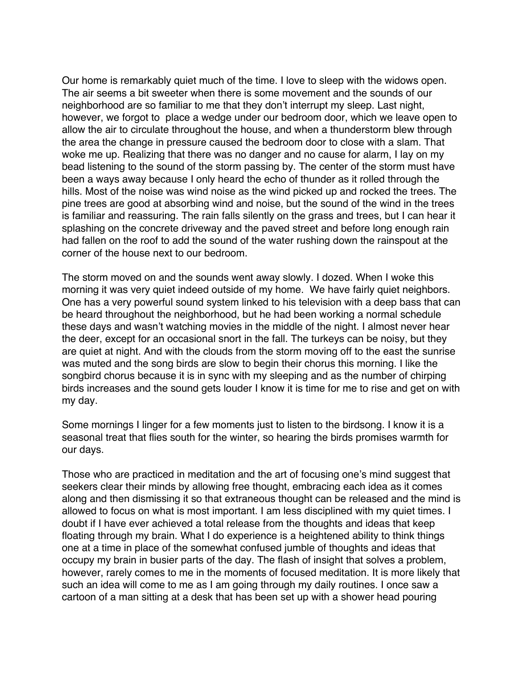<span id="page-18-0"></span>Our home is remarkably quiet much of the time. I love to sleep with the widows open. The air seems a bit sweeter when there is some movement and the sounds of our neighborhood are so familiar to me that they don't interrupt my sleep. Last night, however, we forgot to place a wedge under our bedroom door, which we leave open to allow the air to circulate throughout the house, and when a thunderstorm blew through the area the change in pressure caused the bedroom door to close with a slam. That woke me up. Realizing that there was no danger and no cause for alarm, I lay on my bead listening to the sound of the storm passing by. The center of the storm must have been a ways away because I only heard the echo of thunder as it rolled through the hills. Most of the noise was wind noise as the wind picked up and rocked the trees. The pine trees are good at absorbing wind and noise, but the sound of the wind in the trees is familiar and reassuring. The rain falls silently on the grass and trees, but I can hear it splashing on the concrete driveway and the paved street and before long enough rain had fallen on the roof to add the sound of the water rushing down the rainspout at the corner of the house next to our bedroom.

The storm moved on and the sounds went away slowly. I dozed. When I woke this morning it was very quiet indeed outside of my home. We have fairly quiet neighbors. One has a very powerful sound system linked to his television with a deep bass that can be heard throughout the neighborhood, but he had been working a normal schedule these days and wasn't watching movies in the middle of the night. I almost never hear the deer, except for an occasional snort in the fall. The turkeys can be noisy, but they are quiet at night. And with the clouds from the storm moving off to the east the sunrise was muted and the song birds are slow to begin their chorus this morning. I like the songbird chorus because it is in sync with my sleeping and as the number of chirping birds increases and the sound gets louder I know it is time for me to rise and get on with my day.

Some mornings I linger for a few moments just to listen to the birdsong. I know it is a seasonal treat that flies south for the winter, so hearing the birds promises warmth for our days.

Those who are practiced in meditation and the art of focusing one's mind suggest that seekers clear their minds by allowing free thought, embracing each idea as it comes along and then dismissing it so that extraneous thought can be released and the mind is allowed to focus on what is most important. I am less disciplined with my quiet times. I doubt if I have ever achieved a total release from the thoughts and ideas that keep floating through my brain. What I do experience is a heightened ability to think things one at a time in place of the somewhat confused jumble of thoughts and ideas that occupy my brain in busier parts of the day. The flash of insight that solves a problem, however, rarely comes to me in the moments of focused meditation. It is more likely that such an idea will come to me as I am going through my daily routines. I once saw a cartoon of a man sitting at a desk that has been set up with a shower head pouring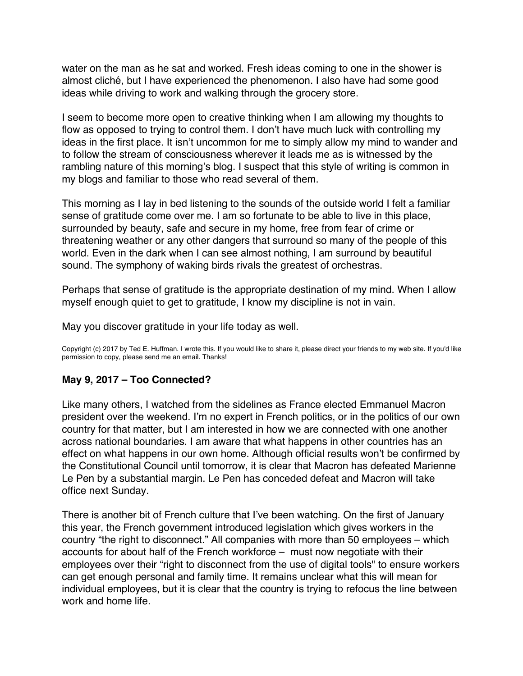<span id="page-19-0"></span>water on the man as he sat and worked. Fresh ideas coming to one in the shower is almost cliché, but I have experienced the phenomenon. I also have had some good ideas while driving to work and walking through the grocery store.

I seem to become more open to creative thinking when I am allowing my thoughts to flow as opposed to trying to control them. I don't have much luck with controlling my ideas in the first place. It isn't uncommon for me to simply allow my mind to wander and to follow the stream of consciousness wherever it leads me as is witnessed by the rambling nature of this morning's blog. I suspect that this style of writing is common in my blogs and familiar to those who read several of them.

This morning as I lay in bed listening to the sounds of the outside world I felt a familiar sense of gratitude come over me. I am so fortunate to be able to live in this place, surrounded by beauty, safe and secure in my home, free from fear of crime or threatening weather or any other dangers that surround so many of the people of this world. Even in the dark when I can see almost nothing, I am surround by beautiful sound. The symphony of waking birds rivals the greatest of orchestras.

Perhaps that sense of gratitude is the appropriate destination of my mind. When I allow myself enough quiet to get to gratitude, I know my discipline is not in vain.

May you discover gratitude in your life today as well.

Copyright (c) 2017 by Ted E. Huffman. I wrote this. If you would like to share it, please direct your friends to my web site. If you'd like permission to copy, please send me an email. Thanks!

## **May 9, 2017 – Too Connected?**

Like many others, I watched from the sidelines as France elected Emmanuel Macron president over the weekend. I'm no expert in French politics, or in the politics of our own country for that matter, but I am interested in how we are connected with one another across national boundaries. I am aware that what happens in other countries has an effect on what happens in our own home. Although official results won't be confirmed by the Constitutional Council until tomorrow, it is clear that Macron has defeated Marienne Le Pen by a substantial margin. Le Pen has conceded defeat and Macron will take office next Sunday.

There is another bit of French culture that I've been watching. On the first of January this year, the French government introduced legislation which gives workers in the country "the right to disconnect." All companies with more than 50 employees – which accounts for about half of the French workforce – must now negotiate with their employees over their "right to disconnect from the use of digital tools" to ensure workers can get enough personal and family time. It remains unclear what this will mean for individual employees, but it is clear that the country is trying to refocus the line between work and home life.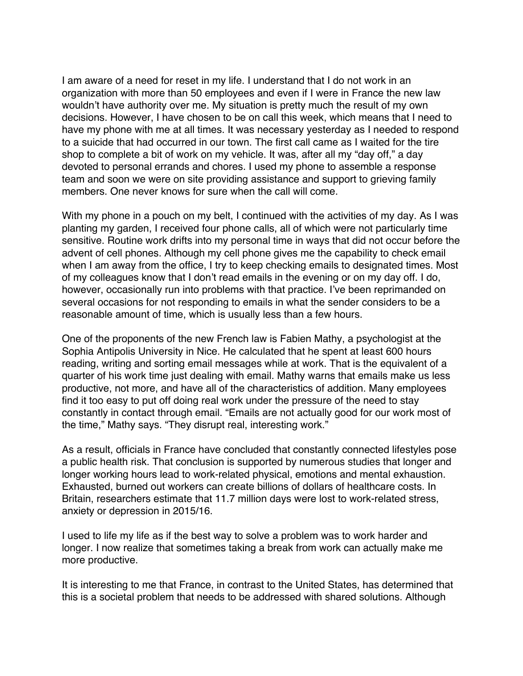I am aware of a need for reset in my life. I understand that I do not work in an organization with more than 50 employees and even if I were in France the new law wouldn't have authority over me. My situation is pretty much the result of my own decisions. However, I have chosen to be on call this week, which means that I need to have my phone with me at all times. It was necessary yesterday as I needed to respond to a suicide that had occurred in our town. The first call came as I waited for the tire shop to complete a bit of work on my vehicle. It was, after all my "day off," a day devoted to personal errands and chores. I used my phone to assemble a response team and soon we were on site providing assistance and support to grieving family members. One never knows for sure when the call will come.

With my phone in a pouch on my belt, I continued with the activities of my day. As I was planting my garden, I received four phone calls, all of which were not particularly time sensitive. Routine work drifts into my personal time in ways that did not occur before the advent of cell phones. Although my cell phone gives me the capability to check email when I am away from the office, I try to keep checking emails to designated times. Most of my colleagues know that I don't read emails in the evening or on my day off. I do, however, occasionally run into problems with that practice. I've been reprimanded on several occasions for not responding to emails in what the sender considers to be a reasonable amount of time, which is usually less than a few hours.

One of the proponents of the new French law is Fabien Mathy, a psychologist at the Sophia Antipolis University in Nice. He calculated that he spent at least 600 hours reading, writing and sorting email messages while at work. That is the equivalent of a quarter of his work time just dealing with email. Mathy warns that emails make us less productive, not more, and have all of the characteristics of addition. Many employees find it too easy to put off doing real work under the pressure of the need to stay constantly in contact through email. "Emails are not actually good for our work most of the time," Mathy says. "They disrupt real, interesting work."

As a result, officials in France have concluded that constantly connected lifestyles pose a public health risk. That conclusion is supported by numerous studies that longer and longer working hours lead to work-related physical, emotions and mental exhaustion. Exhausted, burned out workers can create billions of dollars of healthcare costs. In Britain, researchers estimate that 11.7 million days were lost to work-related stress, anxiety or depression in 2015/16.

I used to life my life as if the best way to solve a problem was to work harder and longer. I now realize that sometimes taking a break from work can actually make me more productive.

It is interesting to me that France, in contrast to the United States, has determined that this is a societal problem that needs to be addressed with shared solutions. Although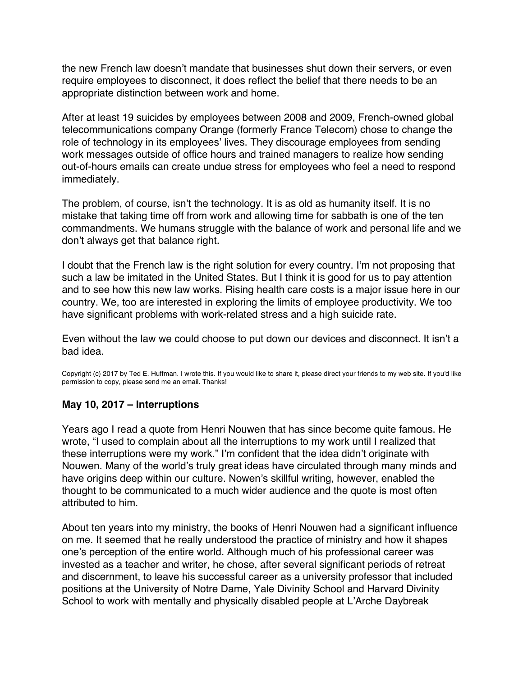<span id="page-21-0"></span>the new French law doesn't mandate that businesses shut down their servers, or even require employees to disconnect, it does reflect the belief that there needs to be an appropriate distinction between work and home.

After at least 19 suicides by employees between 2008 and 2009, French-owned global telecommunications company Orange (formerly France Telecom) chose to change the role of technology in its employees' lives. They discourage employees from sending work messages outside of office hours and trained managers to realize how sending out-of-hours emails can create undue stress for employees who feel a need to respond immediately.

The problem, of course, isn't the technology. It is as old as humanity itself. It is no mistake that taking time off from work and allowing time for sabbath is one of the ten commandments. We humans struggle with the balance of work and personal life and we don't always get that balance right.

I doubt that the French law is the right solution for every country. I'm not proposing that such a law be imitated in the United States. But I think it is good for us to pay attention and to see how this new law works. Rising health care costs is a major issue here in our country. We, too are interested in exploring the limits of employee productivity. We too have significant problems with work-related stress and a high suicide rate.

Even without the law we could choose to put down our devices and disconnect. It isn't a bad idea.

Copyright (c) 2017 by Ted E. Huffman. I wrote this. If you would like to share it, please direct your friends to my web site. If you'd like permission to copy, please send me an email. Thanks!

## **May 10, 2017 – Interruptions**

Years ago I read a quote from Henri Nouwen that has since become quite famous. He wrote, "I used to complain about all the interruptions to my work until I realized that these interruptions were my work." I'm confident that the idea didn't originate with Nouwen. Many of the world's truly great ideas have circulated through many minds and have origins deep within our culture. Nowen's skillful writing, however, enabled the thought to be communicated to a much wider audience and the quote is most often attributed to him.

About ten years into my ministry, the books of Henri Nouwen had a significant influence on me. It seemed that he really understood the practice of ministry and how it shapes one's perception of the entire world. Although much of his professional career was invested as a teacher and writer, he chose, after several significant periods of retreat and discernment, to leave his successful career as a university professor that included positions at the University of Notre Dame, Yale Divinity School and Harvard Divinity School to work with mentally and physically disabled people at L'Arche Daybreak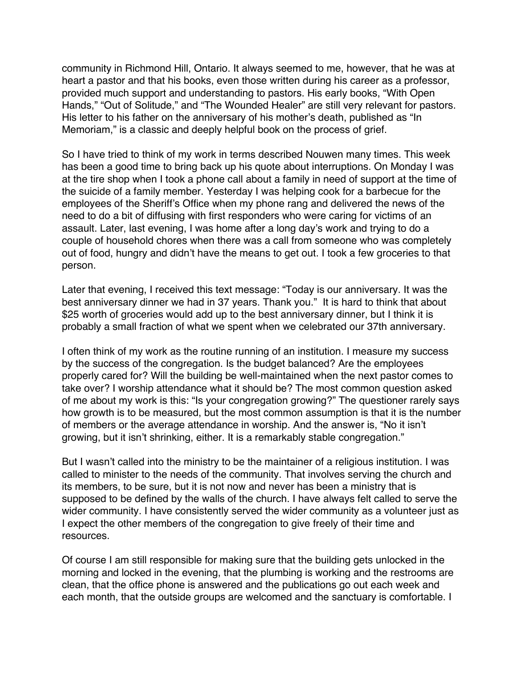community in Richmond Hill, Ontario. It always seemed to me, however, that he was at heart a pastor and that his books, even those written during his career as a professor, provided much support and understanding to pastors. His early books, "With Open Hands," "Out of Solitude," and "The Wounded Healer" are still very relevant for pastors. His letter to his father on the anniversary of his mother's death, published as "In Memoriam," is a classic and deeply helpful book on the process of grief.

So I have tried to think of my work in terms described Nouwen many times. This week has been a good time to bring back up his quote about interruptions. On Monday I was at the tire shop when I took a phone call about a family in need of support at the time of the suicide of a family member. Yesterday I was helping cook for a barbecue for the employees of the Sheriff's Office when my phone rang and delivered the news of the need to do a bit of diffusing with first responders who were caring for victims of an assault. Later, last evening, I was home after a long day's work and trying to do a couple of household chores when there was a call from someone who was completely out of food, hungry and didn't have the means to get out. I took a few groceries to that person.

Later that evening, I received this text message: "Today is our anniversary. It was the best anniversary dinner we had in 37 years. Thank you." It is hard to think that about \$25 worth of groceries would add up to the best anniversary dinner, but I think it is probably a small fraction of what we spent when we celebrated our 37th anniversary.

I often think of my work as the routine running of an institution. I measure my success by the success of the congregation. Is the budget balanced? Are the employees properly cared for? Will the building be well-maintained when the next pastor comes to take over? I worship attendance what it should be? The most common question asked of me about my work is this: "Is your congregation growing?" The questioner rarely says how growth is to be measured, but the most common assumption is that it is the number of members or the average attendance in worship. And the answer is, "No it isn't growing, but it isn't shrinking, either. It is a remarkably stable congregation."

But I wasn't called into the ministry to be the maintainer of a religious institution. I was called to minister to the needs of the community. That involves serving the church and its members, to be sure, but it is not now and never has been a ministry that is supposed to be defined by the walls of the church. I have always felt called to serve the wider community. I have consistently served the wider community as a volunteer just as I expect the other members of the congregation to give freely of their time and resources.

Of course I am still responsible for making sure that the building gets unlocked in the morning and locked in the evening, that the plumbing is working and the restrooms are clean, that the office phone is answered and the publications go out each week and each month, that the outside groups are welcomed and the sanctuary is comfortable. I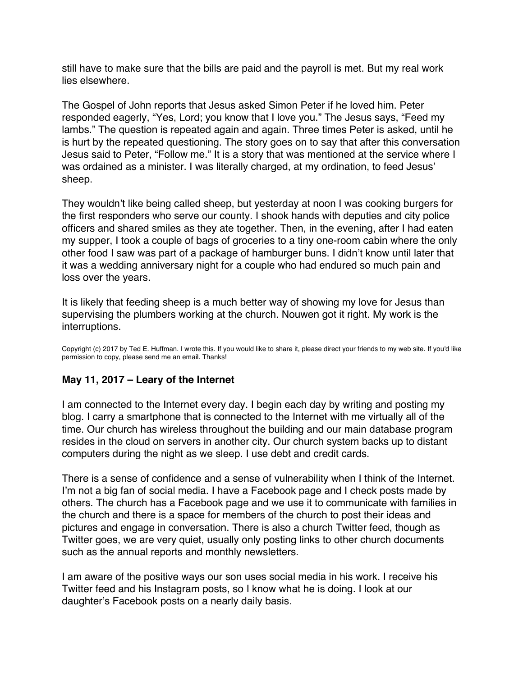<span id="page-23-0"></span>still have to make sure that the bills are paid and the payroll is met. But my real work lies elsewhere.

The Gospel of John reports that Jesus asked Simon Peter if he loved him. Peter responded eagerly, "Yes, Lord; you know that I love you." The Jesus says, "Feed my lambs." The question is repeated again and again. Three times Peter is asked, until he is hurt by the repeated questioning. The story goes on to say that after this conversation Jesus said to Peter, "Follow me." It is a story that was mentioned at the service where I was ordained as a minister. I was literally charged, at my ordination, to feed Jesus' sheep.

They wouldn't like being called sheep, but yesterday at noon I was cooking burgers for the first responders who serve our county. I shook hands with deputies and city police officers and shared smiles as they ate together. Then, in the evening, after I had eaten my supper, I took a couple of bags of groceries to a tiny one-room cabin where the only other food I saw was part of a package of hamburger buns. I didn't know until later that it was a wedding anniversary night for a couple who had endured so much pain and loss over the years.

It is likely that feeding sheep is a much better way of showing my love for Jesus than supervising the plumbers working at the church. Nouwen got it right. My work is the interruptions.

Copyright (c) 2017 by Ted E. Huffman. I wrote this. If you would like to share it, please direct your friends to my web site. If you'd like permission to copy, please send me an email. Thanks!

## **May 11, 2017 – Leary of the Internet**

I am connected to the Internet every day. I begin each day by writing and posting my blog. I carry a smartphone that is connected to the Internet with me virtually all of the time. Our church has wireless throughout the building and our main database program resides in the cloud on servers in another city. Our church system backs up to distant computers during the night as we sleep. I use debt and credit cards.

There is a sense of confidence and a sense of vulnerability when I think of the Internet. I'm not a big fan of social media. I have a Facebook page and I check posts made by others. The church has a Facebook page and we use it to communicate with families in the church and there is a space for members of the church to post their ideas and pictures and engage in conversation. There is also a church Twitter feed, though as Twitter goes, we are very quiet, usually only posting links to other church documents such as the annual reports and monthly newsletters.

I am aware of the positive ways our son uses social media in his work. I receive his Twitter feed and his Instagram posts, so I know what he is doing. I look at our daughter's Facebook posts on a nearly daily basis.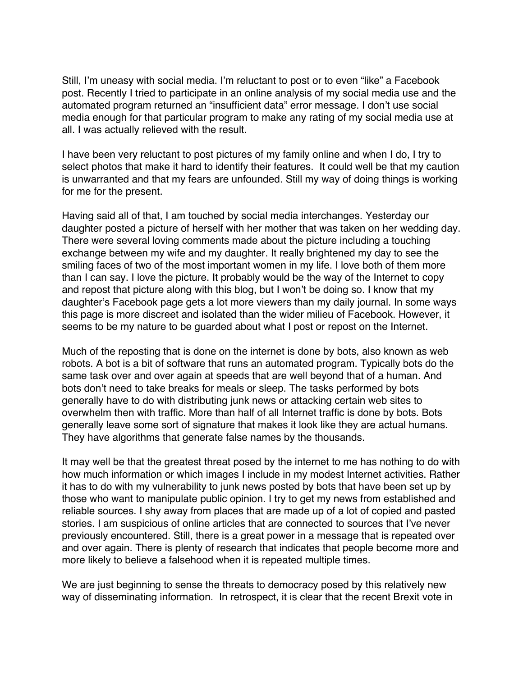Still, I'm uneasy with social media. I'm reluctant to post or to even "like" a Facebook post. Recently I tried to participate in an online analysis of my social media use and the automated program returned an "insufficient data" error message. I don't use social media enough for that particular program to make any rating of my social media use at all. I was actually relieved with the result.

I have been very reluctant to post pictures of my family online and when I do, I try to select photos that make it hard to identify their features. It could well be that my caution is unwarranted and that my fears are unfounded. Still my way of doing things is working for me for the present.

Having said all of that, I am touched by social media interchanges. Yesterday our daughter posted a picture of herself with her mother that was taken on her wedding day. There were several loving comments made about the picture including a touching exchange between my wife and my daughter. It really brightened my day to see the smiling faces of two of the most important women in my life. I love both of them more than I can say. I love the picture. It probably would be the way of the Internet to copy and repost that picture along with this blog, but I won't be doing so. I know that my daughter's Facebook page gets a lot more viewers than my daily journal. In some ways this page is more discreet and isolated than the wider milieu of Facebook. However, it seems to be my nature to be guarded about what I post or repost on the Internet.

Much of the reposting that is done on the internet is done by bots, also known as web robots. A bot is a bit of software that runs an automated program. Typically bots do the same task over and over again at speeds that are well beyond that of a human. And bots don't need to take breaks for meals or sleep. The tasks performed by bots generally have to do with distributing junk news or attacking certain web sites to overwhelm then with traffic. More than half of all Internet traffic is done by bots. Bots generally leave some sort of signature that makes it look like they are actual humans. They have algorithms that generate false names by the thousands.

It may well be that the greatest threat posed by the internet to me has nothing to do with how much information or which images I include in my modest Internet activities. Rather it has to do with my vulnerability to junk news posted by bots that have been set up by those who want to manipulate public opinion. I try to get my news from established and reliable sources. I shy away from places that are made up of a lot of copied and pasted stories. I am suspicious of online articles that are connected to sources that I've never previously encountered. Still, there is a great power in a message that is repeated over and over again. There is plenty of research that indicates that people become more and more likely to believe a falsehood when it is repeated multiple times.

We are just beginning to sense the threats to democracy posed by this relatively new way of disseminating information. In retrospect, it is clear that the recent Brexit vote in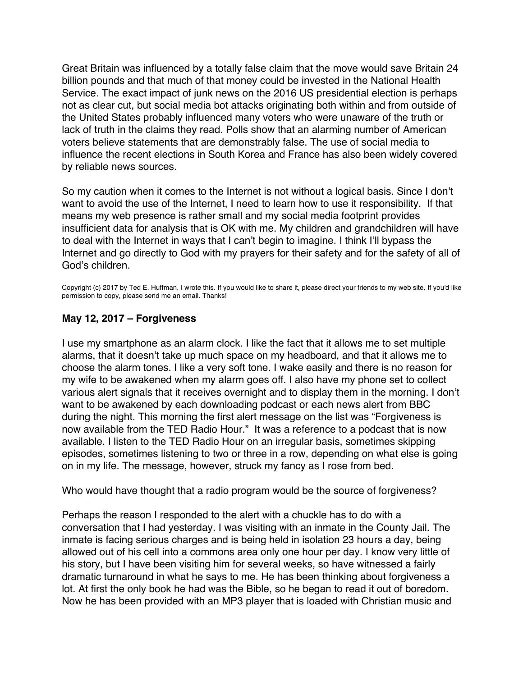<span id="page-25-0"></span>Great Britain was influenced by a totally false claim that the move would save Britain 24 billion pounds and that much of that money could be invested in the National Health Service. The exact impact of junk news on the 2016 US presidential election is perhaps not as clear cut, but social media bot attacks originating both within and from outside of the United States probably influenced many voters who were unaware of the truth or lack of truth in the claims they read. Polls show that an alarming number of American voters believe statements that are demonstrably false. The use of social media to influence the recent elections in South Korea and France has also been widely covered by reliable news sources.

So my caution when it comes to the Internet is not without a logical basis. Since I don't want to avoid the use of the Internet, I need to learn how to use it responsibility. If that means my web presence is rather small and my social media footprint provides insufficient data for analysis that is OK with me. My children and grandchildren will have to deal with the Internet in ways that I can't begin to imagine. I think I'll bypass the Internet and go directly to God with my prayers for their safety and for the safety of all of God's children.

Copyright (c) 2017 by Ted E. Huffman. I wrote this. If you would like to share it, please direct your friends to my web site. If you'd like permission to copy, please send me an email. Thanks!

# **May 12, 2017 – Forgiveness**

I use my smartphone as an alarm clock. I like the fact that it allows me to set multiple alarms, that it doesn't take up much space on my headboard, and that it allows me to choose the alarm tones. I like a very soft tone. I wake easily and there is no reason for my wife to be awakened when my alarm goes off. I also have my phone set to collect various alert signals that it receives overnight and to display them in the morning. I don't want to be awakened by each downloading podcast or each news alert from BBC during the night. This morning the first alert message on the list was "Forgiveness is now available from the TED Radio Hour." It was a reference to a podcast that is now available. I listen to the TED Radio Hour on an irregular basis, sometimes skipping episodes, sometimes listening to two or three in a row, depending on what else is going on in my life. The message, however, struck my fancy as I rose from bed.

Who would have thought that a radio program would be the source of forgiveness?

Perhaps the reason I responded to the alert with a chuckle has to do with a conversation that I had yesterday. I was visiting with an inmate in the County Jail. The inmate is facing serious charges and is being held in isolation 23 hours a day, being allowed out of his cell into a commons area only one hour per day. I know very little of his story, but I have been visiting him for several weeks, so have witnessed a fairly dramatic turnaround in what he says to me. He has been thinking about forgiveness a lot. At first the only book he had was the Bible, so he began to read it out of boredom. Now he has been provided with an MP3 player that is loaded with Christian music and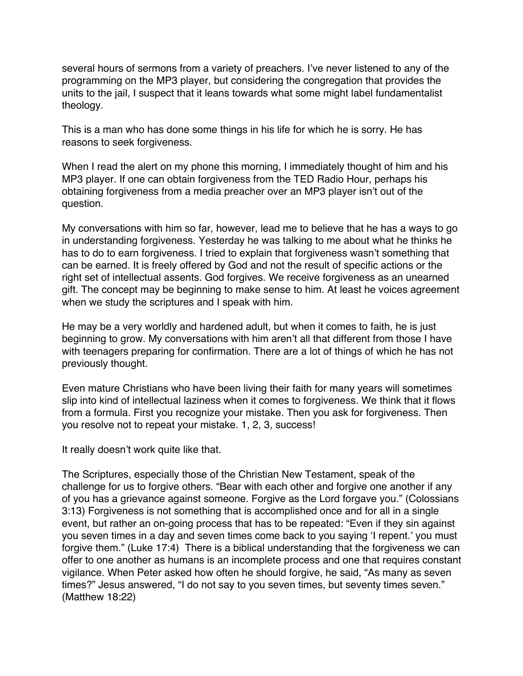several hours of sermons from a variety of preachers. I've never listened to any of the programming on the MP3 player, but considering the congregation that provides the units to the jail, I suspect that it leans towards what some might label fundamentalist theology.

This is a man who has done some things in his life for which he is sorry. He has reasons to seek forgiveness.

When I read the alert on my phone this morning, I immediately thought of him and his MP3 player. If one can obtain forgiveness from the TED Radio Hour, perhaps his obtaining forgiveness from a media preacher over an MP3 player isn't out of the question.

My conversations with him so far, however, lead me to believe that he has a ways to go in understanding forgiveness. Yesterday he was talking to me about what he thinks he has to do to earn forgiveness. I tried to explain that forgiveness wasn't something that can be earned. It is freely offered by God and not the result of specific actions or the right set of intellectual assents. God forgives. We receive forgiveness as an unearned gift. The concept may be beginning to make sense to him. At least he voices agreement when we study the scriptures and I speak with him.

He may be a very worldly and hardened adult, but when it comes to faith, he is just beginning to grow. My conversations with him aren't all that different from those I have with teenagers preparing for confirmation. There are a lot of things of which he has not previously thought.

Even mature Christians who have been living their faith for many years will sometimes slip into kind of intellectual laziness when it comes to forgiveness. We think that it flows from a formula. First you recognize your mistake. Then you ask for forgiveness. Then you resolve not to repeat your mistake. 1, 2, 3, success!

It really doesn't work quite like that.

The Scriptures, especially those of the Christian New Testament, speak of the challenge for us to forgive others. "Bear with each other and forgive one another if any of you has a grievance against someone. Forgive as the Lord forgave you." (Colossians 3:13) Forgiveness is not something that is accomplished once and for all in a single event, but rather an on-going process that has to be repeated: "Even if they sin against you seven times in a day and seven times come back to you saying 'I repent.' you must forgive them." (Luke 17:4) There is a biblical understanding that the forgiveness we can offer to one another as humans is an incomplete process and one that requires constant vigilance. When Peter asked how often he should forgive, he said, "As many as seven times?" Jesus answered, "I do not say to you seven times, but seventy times seven." (Matthew 18:22)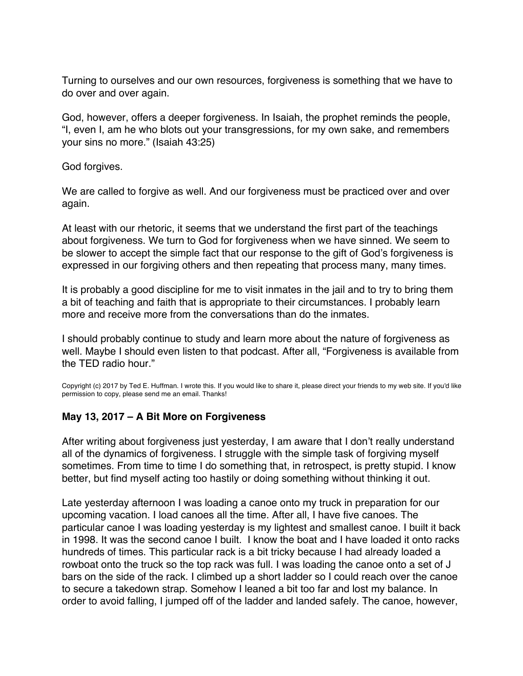<span id="page-27-0"></span>Turning to ourselves and our own resources, forgiveness is something that we have to do over and over again.

God, however, offers a deeper forgiveness. In Isaiah, the prophet reminds the people, "I, even I, am he who blots out your transgressions, for my own sake, and remembers your sins no more." (Isaiah 43:25)

God forgives.

We are called to forgive as well. And our forgiveness must be practiced over and over again.

At least with our rhetoric, it seems that we understand the first part of the teachings about forgiveness. We turn to God for forgiveness when we have sinned. We seem to be slower to accept the simple fact that our response to the gift of God's forgiveness is expressed in our forgiving others and then repeating that process many, many times.

It is probably a good discipline for me to visit inmates in the jail and to try to bring them a bit of teaching and faith that is appropriate to their circumstances. I probably learn more and receive more from the conversations than do the inmates.

I should probably continue to study and learn more about the nature of forgiveness as well. Maybe I should even listen to that podcast. After all, "Forgiveness is available from the TFD radio hour."

Copyright (c) 2017 by Ted E. Huffman. I wrote this. If you would like to share it, please direct your friends to my web site. If you'd like permission to copy, please send me an email. Thanks!

## **May 13, 2017 – A Bit More on Forgiveness**

After writing about forgiveness just yesterday, I am aware that I don't really understand all of the dynamics of forgiveness. I struggle with the simple task of forgiving myself sometimes. From time to time I do something that, in retrospect, is pretty stupid. I know better, but find myself acting too hastily or doing something without thinking it out.

Late yesterday afternoon I was loading a canoe onto my truck in preparation for our upcoming vacation. I load canoes all the time. After all, I have five canoes. The particular canoe I was loading yesterday is my lightest and smallest canoe. I built it back in 1998. It was the second canoe I built. I know the boat and I have loaded it onto racks hundreds of times. This particular rack is a bit tricky because I had already loaded a rowboat onto the truck so the top rack was full. I was loading the canoe onto a set of J bars on the side of the rack. I climbed up a short ladder so I could reach over the canoe to secure a takedown strap. Somehow I leaned a bit too far and lost my balance. In order to avoid falling, I jumped off of the ladder and landed safely. The canoe, however,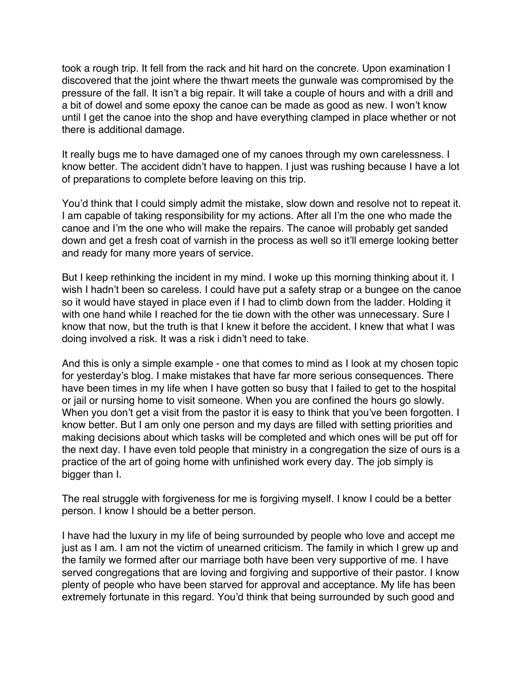took a rough trip. It fell from the rack and hit hard on the concrete. Upon examination I discovered that the joint where the thwart meets the gunwale was compromised by the pressure of the fall. It isn't a big repair. It will take a couple of hours and with a drill and a bit of dowel and some epoxy the canoe can be made as good as new. I won't know until I get the canoe into the shop and have everything clamped in place whether or not there is additional damage.

It really bugs me to have damaged one of my canoes through my own carelessness. I know better. The accident didn't have to happen. I just was rushing because I have a lot of preparations to complete before leaving on this trip.

You'd think that I could simply admit the mistake, slow down and resolve not to repeat it. I am capable of taking responsibility for my actions. After all I'm the one who made the canoe and I'm the one who will make the repairs. The canoe will probably get sanded down and get a fresh coat of varnish in the process as well so it'll emerge looking better and ready for many more years of service.

But I keep rethinking the incident in my mind. I woke up this morning thinking about it. I wish I hadn't been so careless. I could have put a safety strap or a bungee on the canoe so it would have stayed in place even if I had to climb down from the ladder. Holding it with one hand while I reached for the tie down with the other was unnecessary. Sure I know that now, but the truth is that I knew it before the accident. I knew that what I was doing involved a risk. It was a risk i didn't need to take.

And this is only a simple example - one that comes to mind as I look at my chosen topic for yesterday's blog. I make mistakes that have far more serious consequences. There have been times in my life when I have gotten so busy that I failed to get to the hospital or jail or nursing home to visit someone. When you are confined the hours go slowly. When you don't get a visit from the pastor it is easy to think that you've been forgotten. I know better. But I am only one person and my days are filled with setting priorities and making decisions about which tasks will be completed and which ones will be put off for the next day. I have even told people that ministry in a congregation the size of ours is a practice of the art of going home with unfinished work every day. The job simply is bigger than I.

The real struggle with forgiveness for me is forgiving myself. I know I could be a better person. I know I should be a better person.

I have had the luxury in my life of being surrounded by people who love and accept me just as I am. I am not the victim of unearned criticism. The family in which I grew up and the family we formed after our marriage both have been very supportive of me. I have served congregations that are loving and forgiving and supportive of their pastor. I know plenty of people who have been starved for approval and acceptance. My life has been extremely fortunate in this regard. You'd think that being surrounded by such good and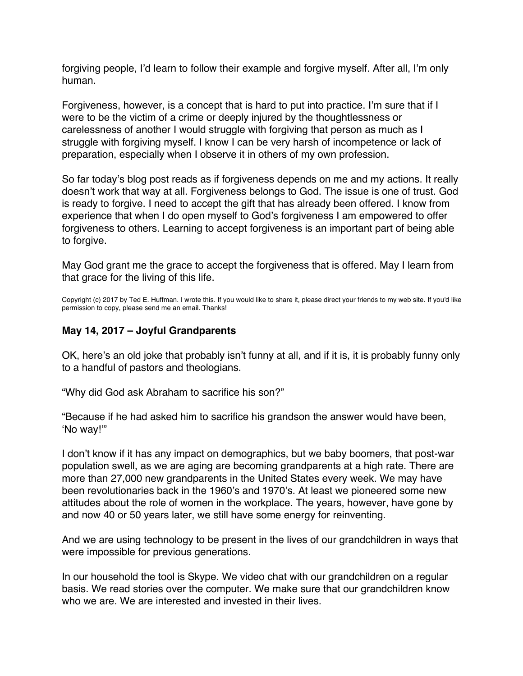<span id="page-29-0"></span>forgiving people, I'd learn to follow their example and forgive myself. After all, I'm only human.

Forgiveness, however, is a concept that is hard to put into practice. I'm sure that if I were to be the victim of a crime or deeply injured by the thoughtlessness or carelessness of another I would struggle with forgiving that person as much as I struggle with forgiving myself. I know I can be very harsh of incompetence or lack of preparation, especially when I observe it in others of my own profession.

So far today's blog post reads as if forgiveness depends on me and my actions. It really doesn't work that way at all. Forgiveness belongs to God. The issue is one of trust. God is ready to forgive. I need to accept the gift that has already been offered. I know from experience that when I do open myself to God's forgiveness I am empowered to offer forgiveness to others. Learning to accept forgiveness is an important part of being able to forgive.

May God grant me the grace to accept the forgiveness that is offered. May I learn from that grace for the living of this life.

Copyright (c) 2017 by Ted E. Huffman. I wrote this. If you would like to share it, please direct your friends to my web site. If you'd like permission to copy, please send me an email. Thanks!

# **May 14, 2017 – Joyful Grandparents**

OK, here's an old joke that probably isn't funny at all, and if it is, it is probably funny only to a handful of pastors and theologians.

"Why did God ask Abraham to sacrifice his son?"

"Because if he had asked him to sacrifice his grandson the answer would have been, 'No way!'"

I don't know if it has any impact on demographics, but we baby boomers, that post-war population swell, as we are aging are becoming grandparents at a high rate. There are more than 27,000 new grandparents in the United States every week. We may have been revolutionaries back in the 1960's and 1970's. At least we pioneered some new attitudes about the role of women in the workplace. The years, however, have gone by and now 40 or 50 years later, we still have some energy for reinventing.

And we are using technology to be present in the lives of our grandchildren in ways that were impossible for previous generations.

In our household the tool is Skype. We video chat with our grandchildren on a regular basis. We read stories over the computer. We make sure that our grandchildren know who we are. We are interested and invested in their lives.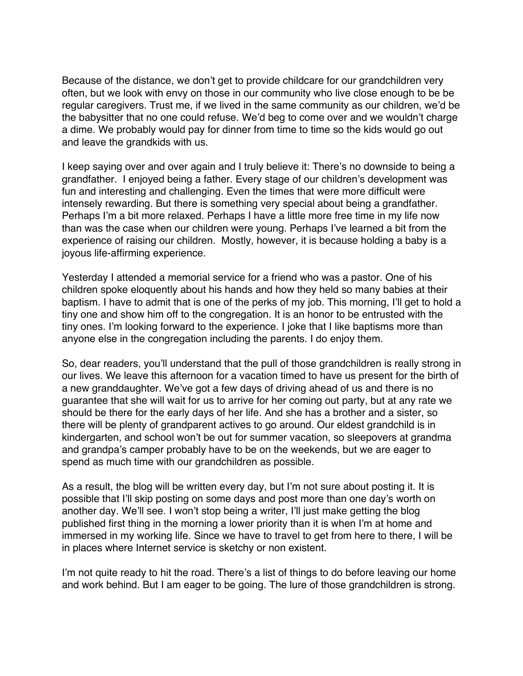Because of the distance, we don't get to provide childcare for our grandchildren very often, but we look with envy on those in our community who live close enough to be be regular caregivers. Trust me, if we lived in the same community as our children, we'd be the babysitter that no one could refuse. We'd beg to come over and we wouldn't charge a dime. We probably would pay for dinner from time to time so the kids would go out and leave the grandkids with us.

I keep saying over and over again and I truly believe it: There's no downside to being a grandfather. I enjoyed being a father. Every stage of our children's development was fun and interesting and challenging. Even the times that were more difficult were intensely rewarding. But there is something very special about being a grandfather. Perhaps I'm a bit more relaxed. Perhaps I have a little more free time in my life now than was the case when our children were young. Perhaps I've learned a bit from the experience of raising our children. Mostly, however, it is because holding a baby is a joyous life-affirming experience.

Yesterday I attended a memorial service for a friend who was a pastor. One of his children spoke eloquently about his hands and how they held so many babies at their baptism. I have to admit that is one of the perks of my job. This morning, I'll get to hold a tiny one and show him off to the congregation. It is an honor to be entrusted with the tiny ones. I'm looking forward to the experience. I joke that I like baptisms more than anyone else in the congregation including the parents. I do enjoy them.

So, dear readers, you'll understand that the pull of those grandchildren is really strong in our lives. We leave this afternoon for a vacation timed to have us present for the birth of a new granddaughter. We've got a few days of driving ahead of us and there is no guarantee that she will wait for us to arrive for her coming out party, but at any rate we should be there for the early days of her life. And she has a brother and a sister, so there will be plenty of grandparent actives to go around. Our eldest grandchild is in kindergarten, and school won't be out for summer vacation, so sleepovers at grandma and grandpa's camper probably have to be on the weekends, but we are eager to spend as much time with our grandchildren as possible.

As a result, the blog will be written every day, but I'm not sure about posting it. It is possible that I'll skip posting on some days and post more than one day's worth on another day. We'll see. I won't stop being a writer, I'll just make getting the blog published first thing in the morning a lower priority than it is when I'm at home and immersed in my working life. Since we have to travel to get from here to there, I will be in places where Internet service is sketchy or non existent.

I'm not quite ready to hit the road. There's a list of things to do before leaving our home and work behind. But I am eager to be going. The lure of those grandchildren is strong.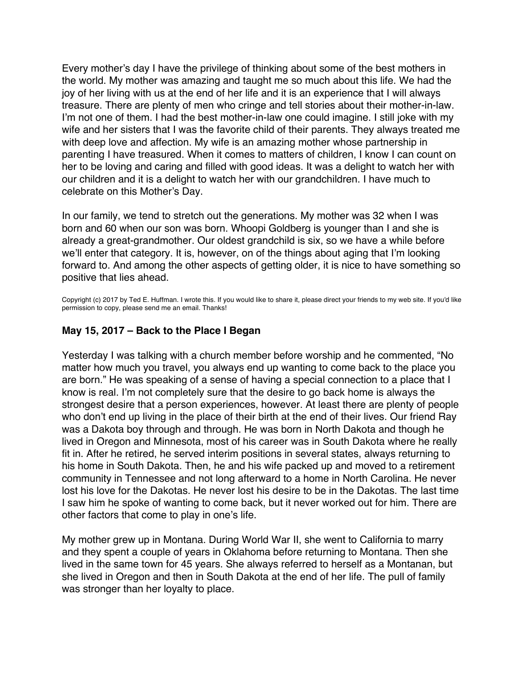<span id="page-31-0"></span>Every mother's day I have the privilege of thinking about some of the best mothers in the world. My mother was amazing and taught me so much about this life. We had the joy of her living with us at the end of her life and it is an experience that I will always treasure. There are plenty of men who cringe and tell stories about their mother-in-law. I'm not one of them. I had the best mother-in-law one could imagine. I still joke with my wife and her sisters that I was the favorite child of their parents. They always treated me with deep love and affection. My wife is an amazing mother whose partnership in parenting I have treasured. When it comes to matters of children, I know I can count on her to be loving and caring and filled with good ideas. It was a delight to watch her with our children and it is a delight to watch her with our grandchildren. I have much to celebrate on this Mother's Day.

In our family, we tend to stretch out the generations. My mother was 32 when I was born and 60 when our son was born. Whoopi Goldberg is younger than I and she is already a great-grandmother. Our oldest grandchild is six, so we have a while before we'll enter that category. It is, however, on of the things about aging that I'm looking forward to. And among the other aspects of getting older, it is nice to have something so positive that lies ahead.

Copyright (c) 2017 by Ted E. Huffman. I wrote this. If you would like to share it, please direct your friends to my web site. If you'd like permission to copy, please send me an email. Thanks!

### **May 15, 2017 – Back to the Place I Began**

Yesterday I was talking with a church member before worship and he commented, "No matter how much you travel, you always end up wanting to come back to the place you are born." He was speaking of a sense of having a special connection to a place that I know is real. I'm not completely sure that the desire to go back home is always the strongest desire that a person experiences, however. At least there are plenty of people who don't end up living in the place of their birth at the end of their lives. Our friend Ray was a Dakota boy through and through. He was born in North Dakota and though he lived in Oregon and Minnesota, most of his career was in South Dakota where he really fit in. After he retired, he served interim positions in several states, always returning to his home in South Dakota. Then, he and his wife packed up and moved to a retirement community in Tennessee and not long afterward to a home in North Carolina. He never lost his love for the Dakotas. He never lost his desire to be in the Dakotas. The last time I saw him he spoke of wanting to come back, but it never worked out for him. There are other factors that come to play in one's life.

My mother grew up in Montana. During World War II, she went to California to marry and they spent a couple of years in Oklahoma before returning to Montana. Then she lived in the same town for 45 years. She always referred to herself as a Montanan, but she lived in Oregon and then in South Dakota at the end of her life. The pull of family was stronger than her loyalty to place.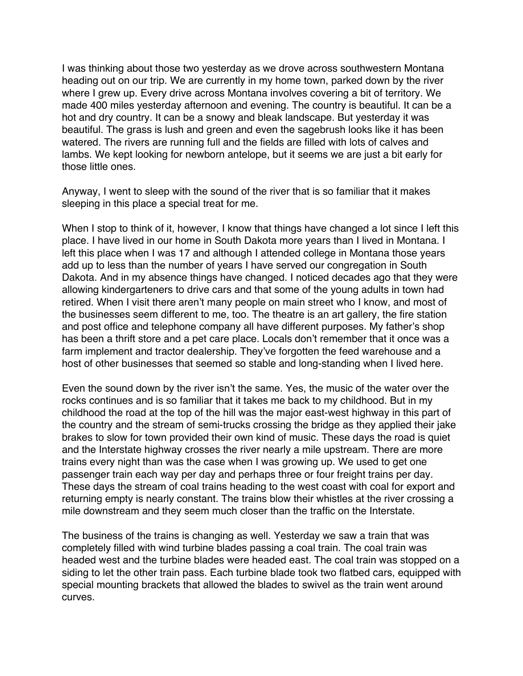I was thinking about those two yesterday as we drove across southwestern Montana heading out on our trip. We are currently in my home town, parked down by the river where I grew up. Every drive across Montana involves covering a bit of territory. We made 400 miles yesterday afternoon and evening. The country is beautiful. It can be a hot and dry country. It can be a snowy and bleak landscape. But yesterday it was beautiful. The grass is lush and green and even the sagebrush looks like it has been watered. The rivers are running full and the fields are filled with lots of calves and lambs. We kept looking for newborn antelope, but it seems we are just a bit early for those little ones.

Anyway, I went to sleep with the sound of the river that is so familiar that it makes sleeping in this place a special treat for me.

When I stop to think of it, however, I know that things have changed a lot since I left this place. I have lived in our home in South Dakota more years than I lived in Montana. I left this place when I was 17 and although I attended college in Montana those years add up to less than the number of years I have served our congregation in South Dakota. And in my absence things have changed. I noticed decades ago that they were allowing kindergarteners to drive cars and that some of the young adults in town had retired. When I visit there aren't many people on main street who I know, and most of the businesses seem different to me, too. The theatre is an art gallery, the fire station and post office and telephone company all have different purposes. My father's shop has been a thrift store and a pet care place. Locals don't remember that it once was a farm implement and tractor dealership. They've forgotten the feed warehouse and a host of other businesses that seemed so stable and long-standing when I lived here.

Even the sound down by the river isn't the same. Yes, the music of the water over the rocks continues and is so familiar that it takes me back to my childhood. But in my childhood the road at the top of the hill was the major east-west highway in this part of the country and the stream of semi-trucks crossing the bridge as they applied their jake brakes to slow for town provided their own kind of music. These days the road is quiet and the Interstate highway crosses the river nearly a mile upstream. There are more trains every night than was the case when I was growing up. We used to get one passenger train each way per day and perhaps three or four freight trains per day. These days the stream of coal trains heading to the west coast with coal for export and returning empty is nearly constant. The trains blow their whistles at the river crossing a mile downstream and they seem much closer than the traffic on the Interstate.

The business of the trains is changing as well. Yesterday we saw a train that was completely filled with wind turbine blades passing a coal train. The coal train was headed west and the turbine blades were headed east. The coal train was stopped on a siding to let the other train pass. Each turbine blade took two flatbed cars, equipped with special mounting brackets that allowed the blades to swivel as the train went around curves.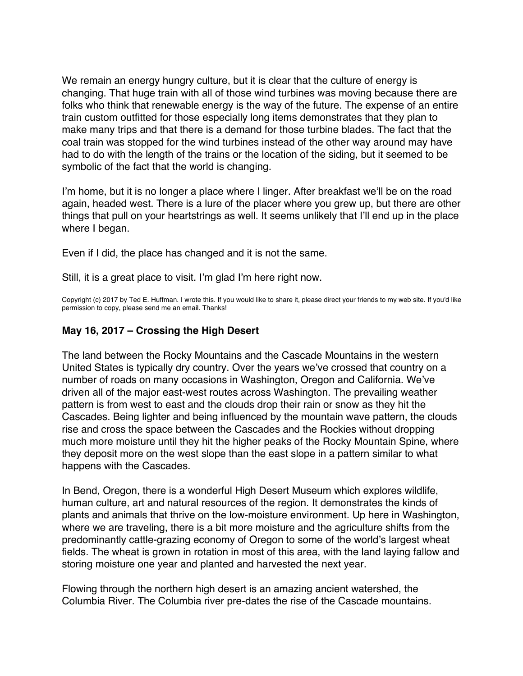<span id="page-33-0"></span>We remain an energy hungry culture, but it is clear that the culture of energy is changing. That huge train with all of those wind turbines was moving because there are folks who think that renewable energy is the way of the future. The expense of an entire train custom outfitted for those especially long items demonstrates that they plan to make many trips and that there is a demand for those turbine blades. The fact that the coal train was stopped for the wind turbines instead of the other way around may have had to do with the length of the trains or the location of the siding, but it seemed to be symbolic of the fact that the world is changing.

I'm home, but it is no longer a place where I linger. After breakfast we'll be on the road again, headed west. There is a lure of the placer where you grew up, but there are other things that pull on your heartstrings as well. It seems unlikely that I'll end up in the place where I began.

Even if I did, the place has changed and it is not the same.

Still, it is a great place to visit. I'm glad I'm here right now.

Copyright (c) 2017 by Ted E. Huffman. I wrote this. If you would like to share it, please direct your friends to my web site. If you'd like permission to copy, please send me an email. Thanks!

## **May 16, 2017 – Crossing the High Desert**

The land between the Rocky Mountains and the Cascade Mountains in the western United States is typically dry country. Over the years we've crossed that country on a number of roads on many occasions in Washington, Oregon and California. We've driven all of the major east-west routes across Washington. The prevailing weather pattern is from west to east and the clouds drop their rain or snow as they hit the Cascades. Being lighter and being influenced by the mountain wave pattern, the clouds rise and cross the space between the Cascades and the Rockies without dropping much more moisture until they hit the higher peaks of the Rocky Mountain Spine, where they deposit more on the west slope than the east slope in a pattern similar to what happens with the Cascades.

In Bend, Oregon, there is a wonderful High Desert Museum which explores wildlife, human culture, art and natural resources of the region. It demonstrates the kinds of plants and animals that thrive on the low-moisture environment. Up here in Washington, where we are traveling, there is a bit more moisture and the agriculture shifts from the predominantly cattle-grazing economy of Oregon to some of the world's largest wheat fields. The wheat is grown in rotation in most of this area, with the land laying fallow and storing moisture one year and planted and harvested the next year.

Flowing through the northern high desert is an amazing ancient watershed, the Columbia River. The Columbia river pre-dates the rise of the Cascade mountains.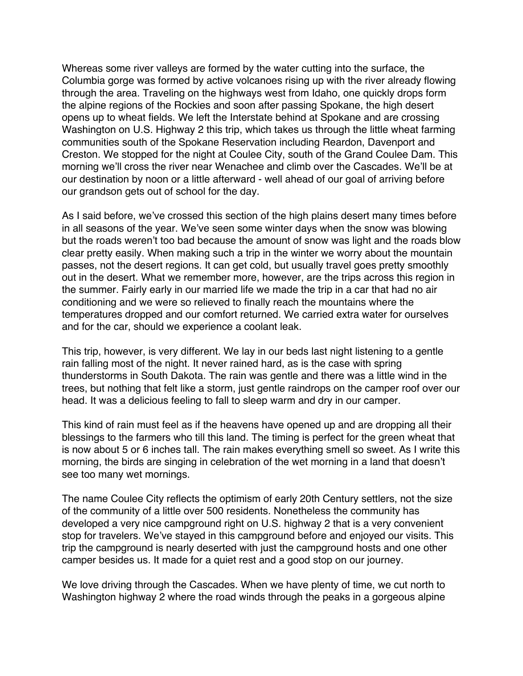Whereas some river valleys are formed by the water cutting into the surface, the Columbia gorge was formed by active volcanoes rising up with the river already flowing through the area. Traveling on the highways west from Idaho, one quickly drops form the alpine regions of the Rockies and soon after passing Spokane, the high desert opens up to wheat fields. We left the Interstate behind at Spokane and are crossing Washington on U.S. Highway 2 this trip, which takes us through the little wheat farming communities south of the Spokane Reservation including Reardon, Davenport and Creston. We stopped for the night at Coulee City, south of the Grand Coulee Dam. This morning we'll cross the river near Wenachee and climb over the Cascades. We'll be at our destination by noon or a little afterward - well ahead of our goal of arriving before our grandson gets out of school for the day.

As I said before, we've crossed this section of the high plains desert many times before in all seasons of the year. We've seen some winter days when the snow was blowing but the roads weren't too bad because the amount of snow was light and the roads blow clear pretty easily. When making such a trip in the winter we worry about the mountain passes, not the desert regions. It can get cold, but usually travel goes pretty smoothly out in the desert. What we remember more, however, are the trips across this region in the summer. Fairly early in our married life we made the trip in a car that had no air conditioning and we were so relieved to finally reach the mountains where the temperatures dropped and our comfort returned. We carried extra water for ourselves and for the car, should we experience a coolant leak.

This trip, however, is very different. We lay in our beds last night listening to a gentle rain falling most of the night. It never rained hard, as is the case with spring thunderstorms in South Dakota. The rain was gentle and there was a little wind in the trees, but nothing that felt like a storm, just gentle raindrops on the camper roof over our head. It was a delicious feeling to fall to sleep warm and dry in our camper.

This kind of rain must feel as if the heavens have opened up and are dropping all their blessings to the farmers who till this land. The timing is perfect for the green wheat that is now about 5 or 6 inches tall. The rain makes everything smell so sweet. As I write this morning, the birds are singing in celebration of the wet morning in a land that doesn't see too many wet mornings.

The name Coulee City reflects the optimism of early 20th Century settlers, not the size of the community of a little over 500 residents. Nonetheless the community has developed a very nice campground right on U.S. highway 2 that is a very convenient stop for travelers. We've stayed in this campground before and enjoyed our visits. This trip the campground is nearly deserted with just the campground hosts and one other camper besides us. It made for a quiet rest and a good stop on our journey.

We love driving through the Cascades. When we have plenty of time, we cut north to Washington highway 2 where the road winds through the peaks in a gorgeous alpine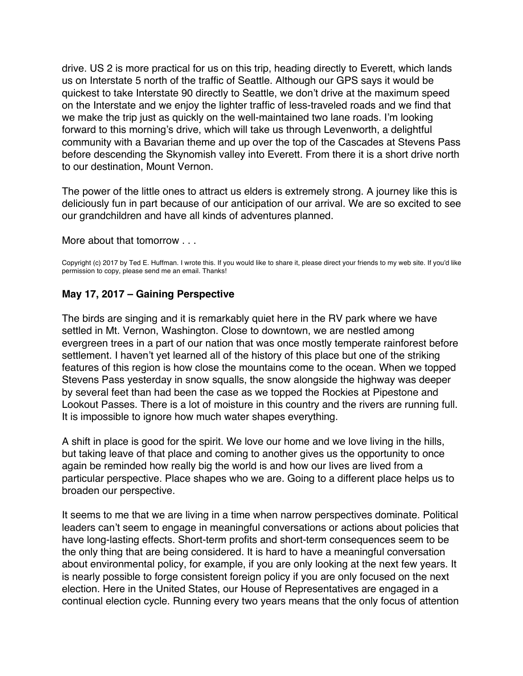<span id="page-35-0"></span>drive. US 2 is more practical for us on this trip, heading directly to Everett, which lands us on Interstate 5 north of the traffic of Seattle. Although our GPS says it would be quickest to take Interstate 90 directly to Seattle, we don't drive at the maximum speed on the Interstate and we enjoy the lighter traffic of less-traveled roads and we find that we make the trip just as quickly on the well-maintained two lane roads. I'm looking forward to this morning's drive, which will take us through Levenworth, a delightful community with a Bavarian theme and up over the top of the Cascades at Stevens Pass before descending the Skynomish valley into Everett. From there it is a short drive north to our destination, Mount Vernon.

The power of the little ones to attract us elders is extremely strong. A journey like this is deliciously fun in part because of our anticipation of our arrival. We are so excited to see our grandchildren and have all kinds of adventures planned.

More about that tomorrow . . .

Copyright (c) 2017 by Ted E. Huffman. I wrote this. If you would like to share it, please direct your friends to my web site. If you'd like permission to copy, please send me an email. Thanks!

## **May 17, 2017 – Gaining Perspective**

The birds are singing and it is remarkably quiet here in the RV park where we have settled in Mt. Vernon, Washington. Close to downtown, we are nestled among evergreen trees in a part of our nation that was once mostly temperate rainforest before settlement. I haven't yet learned all of the history of this place but one of the striking features of this region is how close the mountains come to the ocean. When we topped Stevens Pass yesterday in snow squalls, the snow alongside the highway was deeper by several feet than had been the case as we topped the Rockies at Pipestone and Lookout Passes. There is a lot of moisture in this country and the rivers are running full. It is impossible to ignore how much water shapes everything.

A shift in place is good for the spirit. We love our home and we love living in the hills, but taking leave of that place and coming to another gives us the opportunity to once again be reminded how really big the world is and how our lives are lived from a particular perspective. Place shapes who we are. Going to a different place helps us to broaden our perspective.

It seems to me that we are living in a time when narrow perspectives dominate. Political leaders can't seem to engage in meaningful conversations or actions about policies that have long-lasting effects. Short-term profits and short-term consequences seem to be the only thing that are being considered. It is hard to have a meaningful conversation about environmental policy, for example, if you are only looking at the next few years. It is nearly possible to forge consistent foreign policy if you are only focused on the next election. Here in the United States, our House of Representatives are engaged in a continual election cycle. Running every two years means that the only focus of attention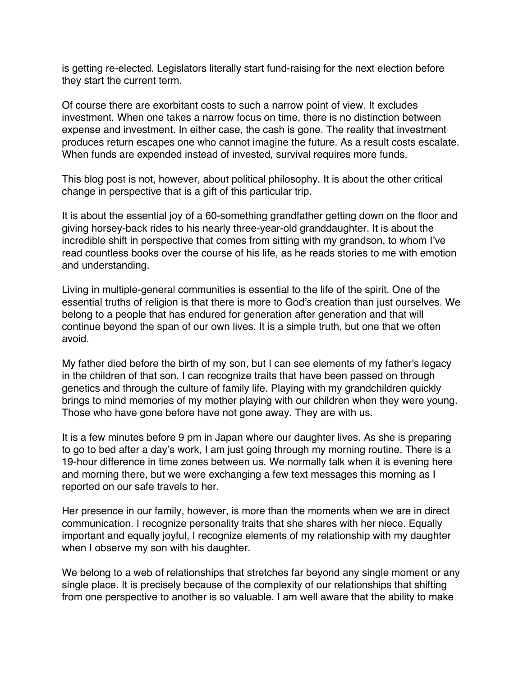is getting re-elected. Legislators literally start fund-raising for the next election before they start the current term.

Of course there are exorbitant costs to such a narrow point of view. It excludes investment. When one takes a narrow focus on time, there is no distinction between expense and investment. In either case, the cash is gone. The reality that investment produces return escapes one who cannot imagine the future. As a result costs escalate. When funds are expended instead of invested, survival requires more funds.

This blog post is not, however, about political philosophy. It is about the other critical change in perspective that is a gift of this particular trip.

It is about the essential joy of a 60-something grandfather getting down on the floor and giving horsey-back rides to his nearly three-year-old granddaughter. It is about the incredible shift in perspective that comes from sitting with my grandson, to whom I've read countless books over the course of his life, as he reads stories to me with emotion and understanding.

Living in multiple-general communities is essential to the life of the spirit. One of the essential truths of religion is that there is more to God's creation than just ourselves. We belong to a people that has endured for generation after generation and that will continue beyond the span of our own lives. It is a simple truth, but one that we often avoid.

My father died before the birth of my son, but I can see elements of my father's legacy in the children of that son. I can recognize traits that have been passed on through genetics and through the culture of family life. Playing with my grandchildren quickly brings to mind memories of my mother playing with our children when they were young. Those who have gone before have not gone away. They are with us.

It is a few minutes before 9 pm in Japan where our daughter lives. As she is preparing to go to bed after a day's work, I am just going through my morning routine. There is a 19-hour difference in time zones between us. We normally talk when it is evening here and morning there, but we were exchanging a few text messages this morning as I reported on our safe travels to her.

Her presence in our family, however, is more than the moments when we are in direct communication. I recognize personality traits that she shares with her niece. Equally important and equally joyful, I recognize elements of my relationship with my daughter when I observe my son with his daughter.

We belong to a web of relationships that stretches far beyond any single moment or any single place. It is precisely because of the complexity of our relationships that shifting from one perspective to another is so valuable. I am well aware that the ability to make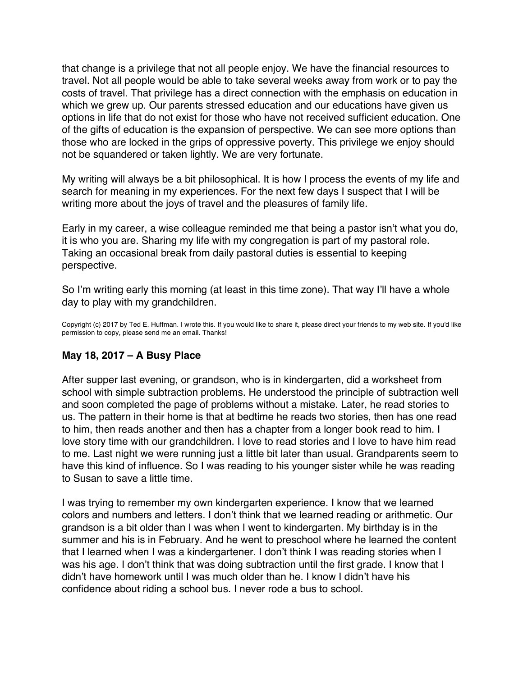<span id="page-37-0"></span>that change is a privilege that not all people enjoy. We have the financial resources to travel. Not all people would be able to take several weeks away from work or to pay the costs of travel. That privilege has a direct connection with the emphasis on education in which we grew up. Our parents stressed education and our educations have given us options in life that do not exist for those who have not received sufficient education. One of the gifts of education is the expansion of perspective. We can see more options than those who are locked in the grips of oppressive poverty. This privilege we enjoy should not be squandered or taken lightly. We are very fortunate.

My writing will always be a bit philosophical. It is how I process the events of my life and search for meaning in my experiences. For the next few days I suspect that I will be writing more about the joys of travel and the pleasures of family life.

Early in my career, a wise colleague reminded me that being a pastor isn't what you do, it is who you are. Sharing my life with my congregation is part of my pastoral role. Taking an occasional break from daily pastoral duties is essential to keeping perspective.

So I'm writing early this morning (at least in this time zone). That way I'll have a whole day to play with my grandchildren.

Copyright (c) 2017 by Ted E. Huffman. I wrote this. If you would like to share it, please direct your friends to my web site. If you'd like permission to copy, please send me an email. Thanks!

# **May 18, 2017 – A Busy Place**

After supper last evening, or grandson, who is in kindergarten, did a worksheet from school with simple subtraction problems. He understood the principle of subtraction well and soon completed the page of problems without a mistake. Later, he read stories to us. The pattern in their home is that at bedtime he reads two stories, then has one read to him, then reads another and then has a chapter from a longer book read to him. I love story time with our grandchildren. I love to read stories and I love to have him read to me. Last night we were running just a little bit later than usual. Grandparents seem to have this kind of influence. So I was reading to his younger sister while he was reading to Susan to save a little time.

I was trying to remember my own kindergarten experience. I know that we learned colors and numbers and letters. I don't think that we learned reading or arithmetic. Our grandson is a bit older than I was when I went to kindergarten. My birthday is in the summer and his is in February. And he went to preschool where he learned the content that I learned when I was a kindergartener. I don't think I was reading stories when I was his age. I don't think that was doing subtraction until the first grade. I know that I didn't have homework until I was much older than he. I know I didn't have his confidence about riding a school bus. I never rode a bus to school.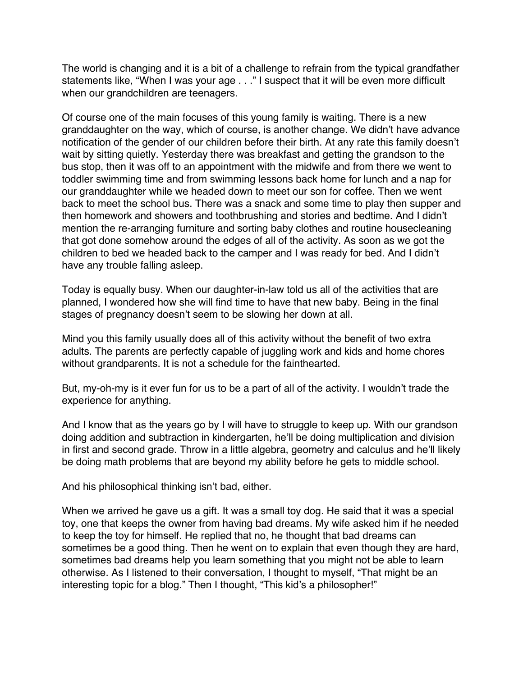The world is changing and it is a bit of a challenge to refrain from the typical grandfather statements like, "When I was your age . . ." I suspect that it will be even more difficult when our grandchildren are teenagers.

Of course one of the main focuses of this young family is waiting. There is a new granddaughter on the way, which of course, is another change. We didn't have advance notification of the gender of our children before their birth. At any rate this family doesn't wait by sitting quietly. Yesterday there was breakfast and getting the grandson to the bus stop, then it was off to an appointment with the midwife and from there we went to toddler swimming time and from swimming lessons back home for lunch and a nap for our granddaughter while we headed down to meet our son for coffee. Then we went back to meet the school bus. There was a snack and some time to play then supper and then homework and showers and toothbrushing and stories and bedtime. And I didn't mention the re-arranging furniture and sorting baby clothes and routine housecleaning that got done somehow around the edges of all of the activity. As soon as we got the children to bed we headed back to the camper and I was ready for bed. And I didn't have any trouble falling asleep.

Today is equally busy. When our daughter-in-law told us all of the activities that are planned, I wondered how she will find time to have that new baby. Being in the final stages of pregnancy doesn't seem to be slowing her down at all.

Mind you this family usually does all of this activity without the benefit of two extra adults. The parents are perfectly capable of juggling work and kids and home chores without grandparents. It is not a schedule for the fainthearted.

But, my-oh-my is it ever fun for us to be a part of all of the activity. I wouldn't trade the experience for anything.

And I know that as the years go by I will have to struggle to keep up. With our grandson doing addition and subtraction in kindergarten, he'll be doing multiplication and division in first and second grade. Throw in a little algebra, geometry and calculus and he'll likely be doing math problems that are beyond my ability before he gets to middle school.

And his philosophical thinking isn't bad, either.

When we arrived he gave us a gift. It was a small toy dog. He said that it was a special toy, one that keeps the owner from having bad dreams. My wife asked him if he needed to keep the toy for himself. He replied that no, he thought that bad dreams can sometimes be a good thing. Then he went on to explain that even though they are hard, sometimes bad dreams help you learn something that you might not be able to learn otherwise. As I listened to their conversation, I thought to myself, "That might be an interesting topic for a blog." Then I thought, "This kid's a philosopher!"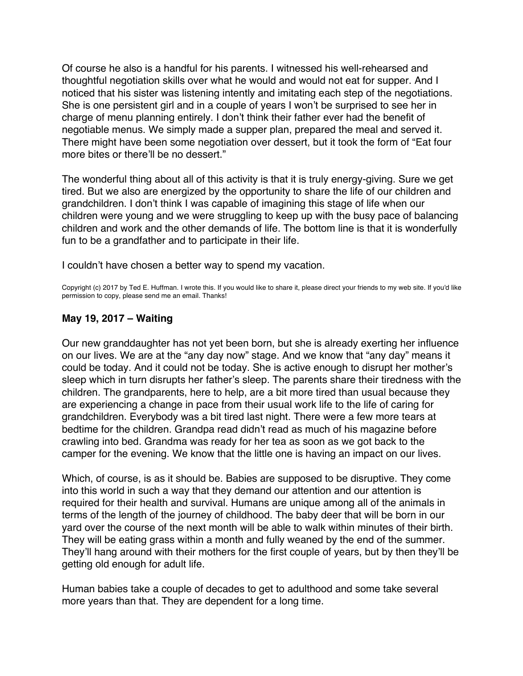<span id="page-39-0"></span>Of course he also is a handful for his parents. I witnessed his well-rehearsed and thoughtful negotiation skills over what he would and would not eat for supper. And I noticed that his sister was listening intently and imitating each step of the negotiations. She is one persistent girl and in a couple of years I won't be surprised to see her in charge of menu planning entirely. I don't think their father ever had the benefit of negotiable menus. We simply made a supper plan, prepared the meal and served it. There might have been some negotiation over dessert, but it took the form of "Eat four more bites or there'll be no dessert."

The wonderful thing about all of this activity is that it is truly energy-giving. Sure we get tired. But we also are energized by the opportunity to share the life of our children and grandchildren. I don't think I was capable of imagining this stage of life when our children were young and we were struggling to keep up with the busy pace of balancing children and work and the other demands of life. The bottom line is that it is wonderfully fun to be a grandfather and to participate in their life.

I couldn't have chosen a better way to spend my vacation.

Copyright (c) 2017 by Ted E. Huffman. I wrote this. If you would like to share it, please direct your friends to my web site. If you'd like permission to copy, please send me an email. Thanks!

# **May 19, 2017 – Waiting**

Our new granddaughter has not yet been born, but she is already exerting her influence on our lives. We are at the "any day now" stage. And we know that "any day" means it could be today. And it could not be today. She is active enough to disrupt her mother's sleep which in turn disrupts her father's sleep. The parents share their tiredness with the children. The grandparents, here to help, are a bit more tired than usual because they are experiencing a change in pace from their usual work life to the life of caring for grandchildren. Everybody was a bit tired last night. There were a few more tears at bedtime for the children. Grandpa read didn't read as much of his magazine before crawling into bed. Grandma was ready for her tea as soon as we got back to the camper for the evening. We know that the little one is having an impact on our lives.

Which, of course, is as it should be. Babies are supposed to be disruptive. They come into this world in such a way that they demand our attention and our attention is required for their health and survival. Humans are unique among all of the animals in terms of the length of the journey of childhood. The baby deer that will be born in our yard over the course of the next month will be able to walk within minutes of their birth. They will be eating grass within a month and fully weaned by the end of the summer. They'll hang around with their mothers for the first couple of years, but by then they'll be getting old enough for adult life.

Human babies take a couple of decades to get to adulthood and some take several more years than that. They are dependent for a long time.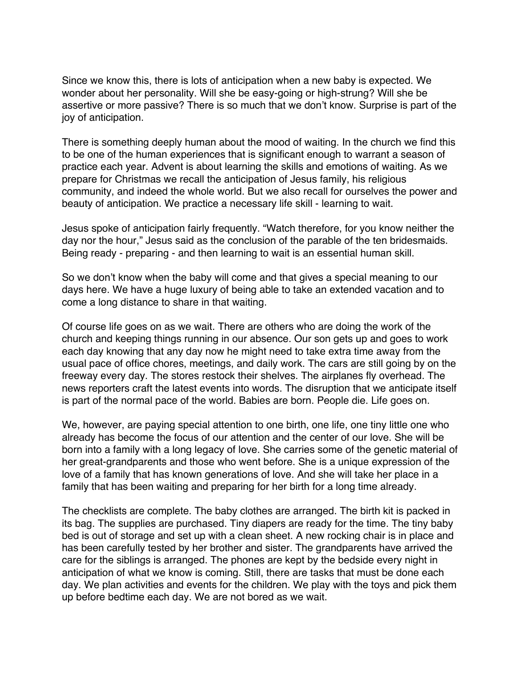Since we know this, there is lots of anticipation when a new baby is expected. We wonder about her personality. Will she be easy-going or high-strung? Will she be assertive or more passive? There is so much that we don't know. Surprise is part of the joy of anticipation.

There is something deeply human about the mood of waiting. In the church we find this to be one of the human experiences that is significant enough to warrant a season of practice each year. Advent is about learning the skills and emotions of waiting. As we prepare for Christmas we recall the anticipation of Jesus family, his religious community, and indeed the whole world. But we also recall for ourselves the power and beauty of anticipation. We practice a necessary life skill - learning to wait.

Jesus spoke of anticipation fairly frequently. "Watch therefore, for you know neither the day nor the hour," Jesus said as the conclusion of the parable of the ten bridesmaids. Being ready - preparing - and then learning to wait is an essential human skill.

So we don't know when the baby will come and that gives a special meaning to our days here. We have a huge luxury of being able to take an extended vacation and to come a long distance to share in that waiting.

Of course life goes on as we wait. There are others who are doing the work of the church and keeping things running in our absence. Our son gets up and goes to work each day knowing that any day now he might need to take extra time away from the usual pace of office chores, meetings, and daily work. The cars are still going by on the freeway every day. The stores restock their shelves. The airplanes fly overhead. The news reporters craft the latest events into words. The disruption that we anticipate itself is part of the normal pace of the world. Babies are born. People die. Life goes on.

We, however, are paying special attention to one birth, one life, one tiny little one who already has become the focus of our attention and the center of our love. She will be born into a family with a long legacy of love. She carries some of the genetic material of her great-grandparents and those who went before. She is a unique expression of the love of a family that has known generations of love. And she will take her place in a family that has been waiting and preparing for her birth for a long time already.

The checklists are complete. The baby clothes are arranged. The birth kit is packed in its bag. The supplies are purchased. Tiny diapers are ready for the time. The tiny baby bed is out of storage and set up with a clean sheet. A new rocking chair is in place and has been carefully tested by her brother and sister. The grandparents have arrived the care for the siblings is arranged. The phones are kept by the bedside every night in anticipation of what we know is coming. Still, there are tasks that must be done each day. We plan activities and events for the children. We play with the toys and pick them up before bedtime each day. We are not bored as we wait.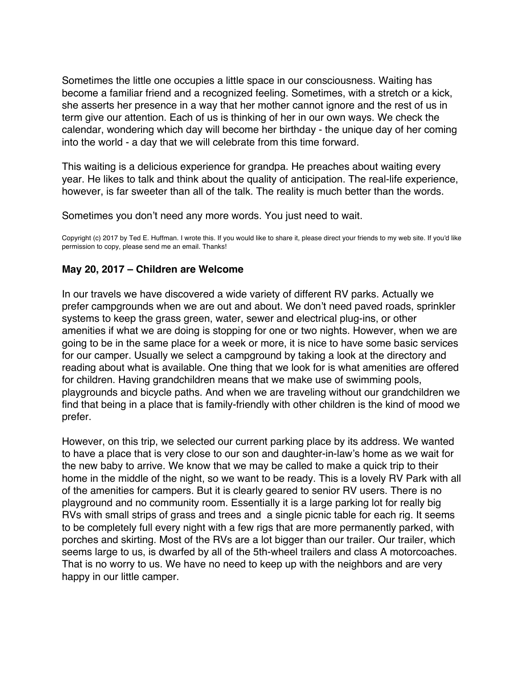<span id="page-41-0"></span>Sometimes the little one occupies a little space in our consciousness. Waiting has become a familiar friend and a recognized feeling. Sometimes, with a stretch or a kick, she asserts her presence in a way that her mother cannot ignore and the rest of us in term give our attention. Each of us is thinking of her in our own ways. We check the calendar, wondering which day will become her birthday - the unique day of her coming into the world - a day that we will celebrate from this time forward.

This waiting is a delicious experience for grandpa. He preaches about waiting every year. He likes to talk and think about the quality of anticipation. The real-life experience, however, is far sweeter than all of the talk. The reality is much better than the words.

Sometimes you don't need any more words. You just need to wait.

Copyright (c) 2017 by Ted E. Huffman. I wrote this. If you would like to share it, please direct your friends to my web site. If you'd like permission to copy, please send me an email. Thanks!

# **May 20, 2017 – Children are Welcome**

In our travels we have discovered a wide variety of different RV parks. Actually we prefer campgrounds when we are out and about. We don't need paved roads, sprinkler systems to keep the grass green, water, sewer and electrical plug-ins, or other amenities if what we are doing is stopping for one or two nights. However, when we are going to be in the same place for a week or more, it is nice to have some basic services for our camper. Usually we select a campground by taking a look at the directory and reading about what is available. One thing that we look for is what amenities are offered for children. Having grandchildren means that we make use of swimming pools, playgrounds and bicycle paths. And when we are traveling without our grandchildren we find that being in a place that is family-friendly with other children is the kind of mood we prefer.

However, on this trip, we selected our current parking place by its address. We wanted to have a place that is very close to our son and daughter-in-law's home as we wait for the new baby to arrive. We know that we may be called to make a quick trip to their home in the middle of the night, so we want to be ready. This is a lovely RV Park with all of the amenities for campers. But it is clearly geared to senior RV users. There is no playground and no community room. Essentially it is a large parking lot for really big RVs with small strips of grass and trees and a single picnic table for each rig. It seems to be completely full every night with a few rigs that are more permanently parked, with porches and skirting. Most of the RVs are a lot bigger than our trailer. Our trailer, which seems large to us, is dwarfed by all of the 5th-wheel trailers and class A motorcoaches. That is no worry to us. We have no need to keep up with the neighbors and are very happy in our little camper.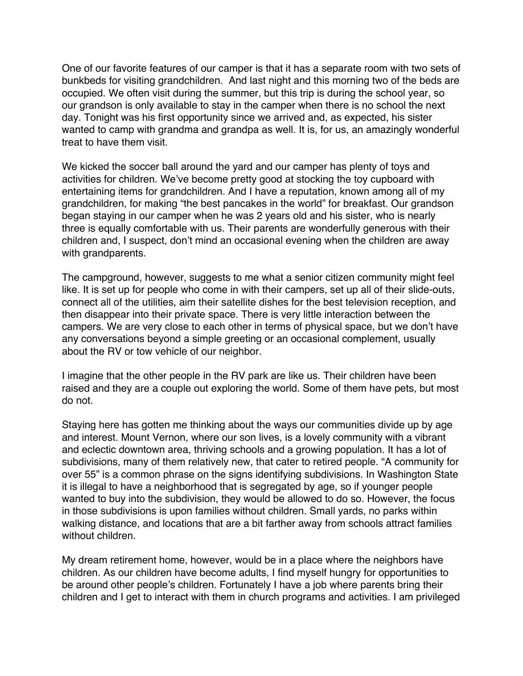One of our favorite features of our camper is that it has a separate room with two sets of bunkbeds for visiting grandchildren. And last night and this morning two of the beds are occupied. We often visit during the summer, but this trip is during the school year, so our grandson is only available to stay in the camper when there is no school the next day. Tonight was his first opportunity since we arrived and, as expected, his sister wanted to camp with grandma and grandpa as well. It is, for us, an amazingly wonderful treat to have them visit.

We kicked the soccer ball around the yard and our camper has plenty of toys and activities for children. We've become pretty good at stocking the toy cupboard with entertaining items for grandchildren. And I have a reputation, known among all of my grandchildren, for making "the best pancakes in the world" for breakfast. Our grandson began staying in our camper when he was 2 years old and his sister, who is nearly three is equally comfortable with us. Their parents are wonderfully generous with their children and, I suspect, don't mind an occasional evening when the children are away with grandparents.

The campground, however, suggests to me what a senior citizen community might feel like. It is set up for people who come in with their campers, set up all of their slide-outs, connect all of the utilities, aim their satellite dishes for the best television reception, and then disappear into their private space. There is very little interaction between the campers. We are very close to each other in terms of physical space, but we don't have any conversations beyond a simple greeting or an occasional complement, usually about the RV or tow vehicle of our neighbor.

I imagine that the other people in the RV park are like us. Their children have been raised and they are a couple out exploring the world. Some of them have pets, but most do not.

Staying here has gotten me thinking about the ways our communities divide up by age and interest. Mount Vernon, where our son lives, is a lovely community with a vibrant and eclectic downtown area, thriving schools and a growing population. It has a lot of subdivisions, many of them relatively new, that cater to retired people. "A community for over 55" is a common phrase on the signs identifying subdivisions. In Washington State it is illegal to have a neighborhood that is segregated by age, so if younger people wanted to buy into the subdivision, they would be allowed to do so. However, the focus in those subdivisions is upon families without children. Small yards, no parks within walking distance, and locations that are a bit farther away from schools attract families without children.

My dream retirement home, however, would be in a place where the neighbors have children. As our children have become adults, I find myself hungry for opportunities to be around other people's children. Fortunately I have a job where parents bring their children and I get to interact with them in church programs and activities. I am privileged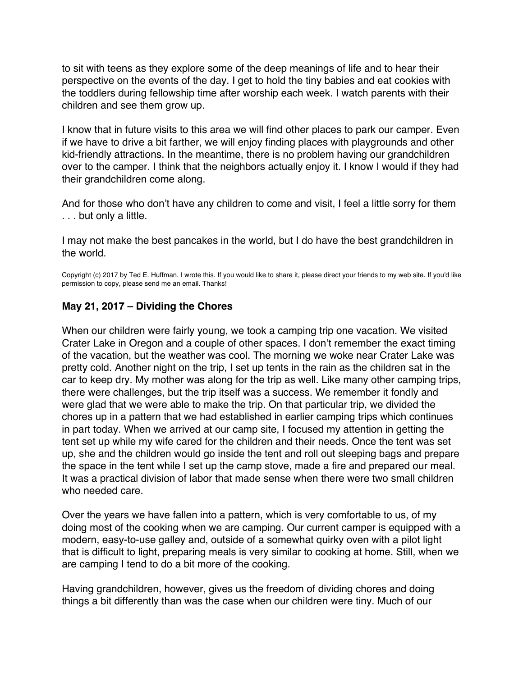<span id="page-43-0"></span>to sit with teens as they explore some of the deep meanings of life and to hear their perspective on the events of the day. I get to hold the tiny babies and eat cookies with the toddlers during fellowship time after worship each week. I watch parents with their children and see them grow up.

I know that in future visits to this area we will find other places to park our camper. Even if we have to drive a bit farther, we will enjoy finding places with playgrounds and other kid-friendly attractions. In the meantime, there is no problem having our grandchildren over to the camper. I think that the neighbors actually enjoy it. I know I would if they had their grandchildren come along.

And for those who don't have any children to come and visit, I feel a little sorry for them . . . but only a little.

I may not make the best pancakes in the world, but I do have the best grandchildren in the world.

Copyright (c) 2017 by Ted E. Huffman. I wrote this. If you would like to share it, please direct your friends to my web site. If you'd like permission to copy, please send me an email. Thanks!

# **May 21, 2017 – Dividing the Chores**

When our children were fairly young, we took a camping trip one vacation. We visited Crater Lake in Oregon and a couple of other spaces. I don't remember the exact timing of the vacation, but the weather was cool. The morning we woke near Crater Lake was pretty cold. Another night on the trip, I set up tents in the rain as the children sat in the car to keep dry. My mother was along for the trip as well. Like many other camping trips, there were challenges, but the trip itself was a success. We remember it fondly and were glad that we were able to make the trip. On that particular trip, we divided the chores up in a pattern that we had established in earlier camping trips which continues in part today. When we arrived at our camp site, I focused my attention in getting the tent set up while my wife cared for the children and their needs. Once the tent was set up, she and the children would go inside the tent and roll out sleeping bags and prepare the space in the tent while I set up the camp stove, made a fire and prepared our meal. It was a practical division of labor that made sense when there were two small children who needed care.

Over the years we have fallen into a pattern, which is very comfortable to us, of my doing most of the cooking when we are camping. Our current camper is equipped with a modern, easy-to-use galley and, outside of a somewhat quirky oven with a pilot light that is difficult to light, preparing meals is very similar to cooking at home. Still, when we are camping I tend to do a bit more of the cooking.

Having grandchildren, however, gives us the freedom of dividing chores and doing things a bit differently than was the case when our children were tiny. Much of our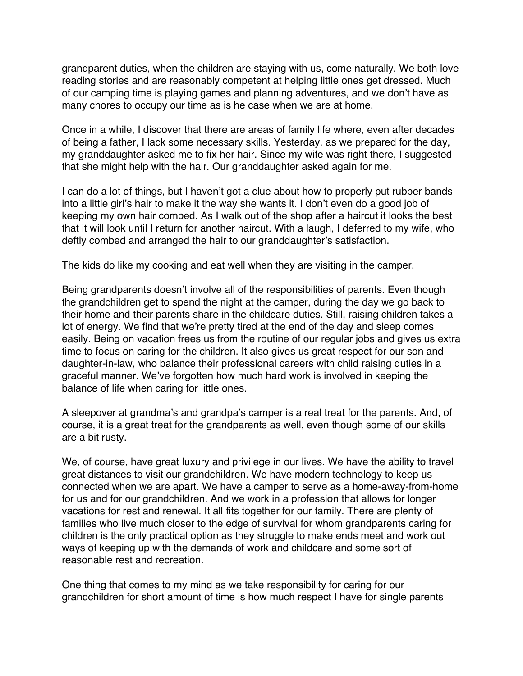grandparent duties, when the children are staying with us, come naturally. We both love reading stories and are reasonably competent at helping little ones get dressed. Much of our camping time is playing games and planning adventures, and we don't have as many chores to occupy our time as is he case when we are at home.

Once in a while, I discover that there are areas of family life where, even after decades of being a father, I lack some necessary skills. Yesterday, as we prepared for the day, my granddaughter asked me to fix her hair. Since my wife was right there, I suggested that she might help with the hair. Our granddaughter asked again for me.

I can do a lot of things, but I haven't got a clue about how to properly put rubber bands into a little girl's hair to make it the way she wants it. I don't even do a good job of keeping my own hair combed. As I walk out of the shop after a haircut it looks the best that it will look until I return for another haircut. With a laugh, I deferred to my wife, who deftly combed and arranged the hair to our granddaughter's satisfaction.

The kids do like my cooking and eat well when they are visiting in the camper.

Being grandparents doesn't involve all of the responsibilities of parents. Even though the grandchildren get to spend the night at the camper, during the day we go back to their home and their parents share in the childcare duties. Still, raising children takes a lot of energy. We find that we're pretty tired at the end of the day and sleep comes easily. Being on vacation frees us from the routine of our regular jobs and gives us extra time to focus on caring for the children. It also gives us great respect for our son and daughter-in-law, who balance their professional careers with child raising duties in a graceful manner. We've forgotten how much hard work is involved in keeping the balance of life when caring for little ones.

A sleepover at grandma's and grandpa's camper is a real treat for the parents. And, of course, it is a great treat for the grandparents as well, even though some of our skills are a bit rusty.

We, of course, have great luxury and privilege in our lives. We have the ability to travel great distances to visit our grandchildren. We have modern technology to keep us connected when we are apart. We have a camper to serve as a home-away-from-home for us and for our grandchildren. And we work in a profession that allows for longer vacations for rest and renewal. It all fits together for our family. There are plenty of families who live much closer to the edge of survival for whom grandparents caring for children is the only practical option as they struggle to make ends meet and work out ways of keeping up with the demands of work and childcare and some sort of reasonable rest and recreation.

One thing that comes to my mind as we take responsibility for caring for our grandchildren for short amount of time is how much respect I have for single parents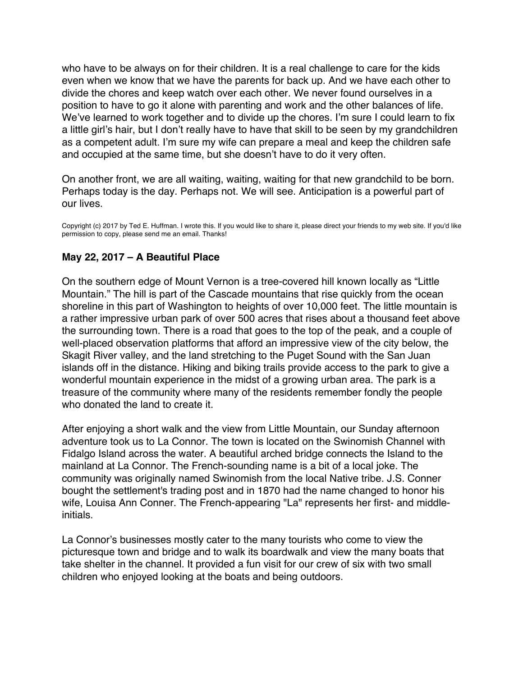<span id="page-45-0"></span>who have to be always on for their children. It is a real challenge to care for the kids even when we know that we have the parents for back up. And we have each other to divide the chores and keep watch over each other. We never found ourselves in a position to have to go it alone with parenting and work and the other balances of life. We've learned to work together and to divide up the chores. I'm sure I could learn to fix a little girl's hair, but I don't really have to have that skill to be seen by my grandchildren as a competent adult. I'm sure my wife can prepare a meal and keep the children safe and occupied at the same time, but she doesn't have to do it very often.

On another front, we are all waiting, waiting, waiting for that new grandchild to be born. Perhaps today is the day. Perhaps not. We will see. Anticipation is a powerful part of our lives.

Copyright (c) 2017 by Ted E. Huffman. I wrote this. If you would like to share it, please direct your friends to my web site. If you'd like permission to copy, please send me an email. Thanks!

# **May 22, 2017 – A Beautiful Place**

On the southern edge of Mount Vernon is a tree-covered hill known locally as "Little Mountain." The hill is part of the Cascade mountains that rise quickly from the ocean shoreline in this part of Washington to heights of over 10,000 feet. The little mountain is a rather impressive urban park of over 500 acres that rises about a thousand feet above the surrounding town. There is a road that goes to the top of the peak, and a couple of well-placed observation platforms that afford an impressive view of the city below, the Skagit River valley, and the land stretching to the Puget Sound with the San Juan islands off in the distance. Hiking and biking trails provide access to the park to give a wonderful mountain experience in the midst of a growing urban area. The park is a treasure of the community where many of the residents remember fondly the people who donated the land to create it.

After enjoying a short walk and the view from Little Mountain, our Sunday afternoon adventure took us to La Connor. The town is located on the Swinomish Channel with Fidalgo Island across the water. A beautiful arched bridge connects the Island to the mainland at La Connor. The French-sounding name is a bit of a local joke. The community was originally named Swinomish from the local Native tribe. J.S. Conner bought the settlement's trading post and in 1870 had the name changed to honor his wife, Louisa Ann Conner. The French-appearing "La" represents her first- and middleinitials.

La Connor's businesses mostly cater to the many tourists who come to view the picturesque town and bridge and to walk its boardwalk and view the many boats that take shelter in the channel. It provided a fun visit for our crew of six with two small children who enjoyed looking at the boats and being outdoors.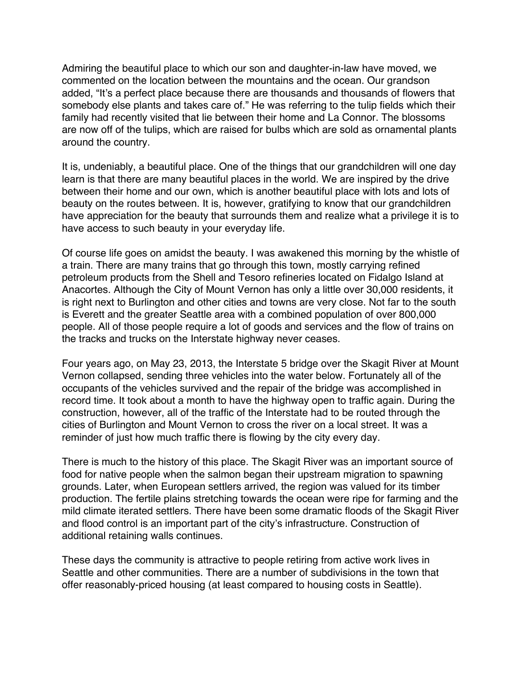Admiring the beautiful place to which our son and daughter-in-law have moved, we commented on the location between the mountains and the ocean. Our grandson added, "It's a perfect place because there are thousands and thousands of flowers that somebody else plants and takes care of." He was referring to the tulip fields which their family had recently visited that lie between their home and La Connor. The blossoms are now off of the tulips, which are raised for bulbs which are sold as ornamental plants around the country.

It is, undeniably, a beautiful place. One of the things that our grandchildren will one day learn is that there are many beautiful places in the world. We are inspired by the drive between their home and our own, which is another beautiful place with lots and lots of beauty on the routes between. It is, however, gratifying to know that our grandchildren have appreciation for the beauty that surrounds them and realize what a privilege it is to have access to such beauty in your everyday life.

Of course life goes on amidst the beauty. I was awakened this morning by the whistle of a train. There are many trains that go through this town, mostly carrying refined petroleum products from the Shell and Tesoro refineries located on Fidalgo Island at Anacortes. Although the City of Mount Vernon has only a little over 30,000 residents, it is right next to Burlington and other cities and towns are very close. Not far to the south is Everett and the greater Seattle area with a combined population of over 800,000 people. All of those people require a lot of goods and services and the flow of trains on the tracks and trucks on the Interstate highway never ceases.

Four years ago, on May 23, 2013, the Interstate 5 bridge over the Skagit River at Mount Vernon collapsed, sending three vehicles into the water below. Fortunately all of the occupants of the vehicles survived and the repair of the bridge was accomplished in record time. It took about a month to have the highway open to traffic again. During the construction, however, all of the traffic of the Interstate had to be routed through the cities of Burlington and Mount Vernon to cross the river on a local street. It was a reminder of just how much traffic there is flowing by the city every day.

There is much to the history of this place. The Skagit River was an important source of food for native people when the salmon began their upstream migration to spawning grounds. Later, when European settlers arrived, the region was valued for its timber production. The fertile plains stretching towards the ocean were ripe for farming and the mild climate iterated settlers. There have been some dramatic floods of the Skagit River and flood control is an important part of the city's infrastructure. Construction of additional retaining walls continues.

These days the community is attractive to people retiring from active work lives in Seattle and other communities. There are a number of subdivisions in the town that offer reasonably-priced housing (at least compared to housing costs in Seattle).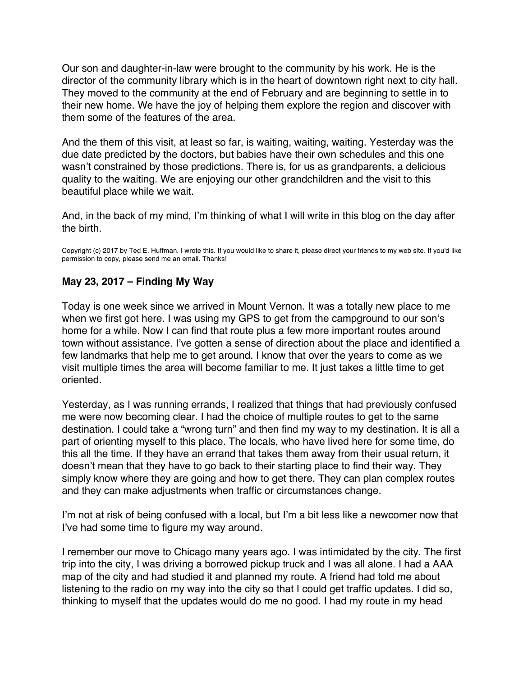<span id="page-47-0"></span>Our son and daughter-in-law were brought to the community by his work. He is the director of the community library which is in the heart of downtown right next to city hall. They moved to the community at the end of February and are beginning to settle in to their new home. We have the joy of helping them explore the region and discover with them some of the features of the area.

And the them of this visit, at least so far, is waiting, waiting, waiting. Yesterday was the due date predicted by the doctors, but babies have their own schedules and this one wasn't constrained by those predictions. There is, for us as grandparents, a delicious quality to the waiting. We are enjoying our other grandchildren and the visit to this beautiful place while we wait.

And, in the back of my mind, I'm thinking of what I will write in this blog on the day after the birth.

Copyright (c) 2017 by Ted E. Huffman. I wrote this. If you would like to share it, please direct your friends to my web site. If you'd like permission to copy, please send me an email. Thanks!

# **May 23, 2017 – Finding My Way**

Today is one week since we arrived in Mount Vernon. It was a totally new place to me when we first got here. I was using my GPS to get from the campground to our son's home for a while. Now I can find that route plus a few more important routes around town without assistance. I've gotten a sense of direction about the place and identified a few landmarks that help me to get around. I know that over the years to come as we visit multiple times the area will become familiar to me. It just takes a little time to get oriented.

Yesterday, as I was running errands, I realized that things that had previously confused me were now becoming clear. I had the choice of multiple routes to get to the same destination. I could take a "wrong turn" and then find my way to my destination. It is all a part of orienting myself to this place. The locals, who have lived here for some time, do this all the time. If they have an errand that takes them away from their usual return, it doesn't mean that they have to go back to their starting place to find their way. They simply know where they are going and how to get there. They can plan complex routes and they can make adjustments when traffic or circumstances change.

I'm not at risk of being confused with a local, but I'm a bit less like a newcomer now that I've had some time to figure my way around.

I remember our move to Chicago many years ago. I was intimidated by the city. The first trip into the city, I was driving a borrowed pickup truck and I was all alone. I had a AAA map of the city and had studied it and planned my route. A friend had told me about listening to the radio on my way into the city so that I could get traffic updates. I did so, thinking to myself that the updates would do me no good. I had my route in my head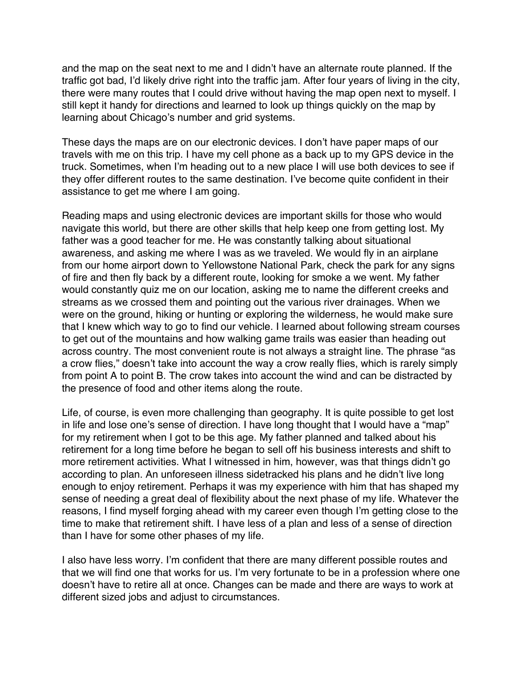and the map on the seat next to me and I didn't have an alternate route planned. If the traffic got bad, I'd likely drive right into the traffic jam. After four years of living in the city, there were many routes that I could drive without having the map open next to myself. I still kept it handy for directions and learned to look up things quickly on the map by learning about Chicago's number and grid systems.

These days the maps are on our electronic devices. I don't have paper maps of our travels with me on this trip. I have my cell phone as a back up to my GPS device in the truck. Sometimes, when I'm heading out to a new place I will use both devices to see if they offer different routes to the same destination. I've become quite confident in their assistance to get me where I am going.

Reading maps and using electronic devices are important skills for those who would navigate this world, but there are other skills that help keep one from getting lost. My father was a good teacher for me. He was constantly talking about situational awareness, and asking me where I was as we traveled. We would fly in an airplane from our home airport down to Yellowstone National Park, check the park for any signs of fire and then fly back by a different route, looking for smoke a we went. My father would constantly quiz me on our location, asking me to name the different creeks and streams as we crossed them and pointing out the various river drainages. When we were on the ground, hiking or hunting or exploring the wilderness, he would make sure that I knew which way to go to find our vehicle. I learned about following stream courses to get out of the mountains and how walking game trails was easier than heading out across country. The most convenient route is not always a straight line. The phrase "as a crow flies," doesn't take into account the way a crow really flies, which is rarely simply from point A to point B. The crow takes into account the wind and can be distracted by the presence of food and other items along the route.

Life, of course, is even more challenging than geography. It is quite possible to get lost in life and lose one's sense of direction. I have long thought that I would have a "map" for my retirement when I got to be this age. My father planned and talked about his retirement for a long time before he began to sell off his business interests and shift to more retirement activities. What I witnessed in him, however, was that things didn't go according to plan. An unforeseen illness sidetracked his plans and he didn't live long enough to enjoy retirement. Perhaps it was my experience with him that has shaped my sense of needing a great deal of flexibility about the next phase of my life. Whatever the reasons, I find myself forging ahead with my career even though I'm getting close to the time to make that retirement shift. I have less of a plan and less of a sense of direction than I have for some other phases of my life.

I also have less worry. I'm confident that there are many different possible routes and that we will find one that works for us. I'm very fortunate to be in a profession where one doesn't have to retire all at once. Changes can be made and there are ways to work at different sized jobs and adjust to circumstances.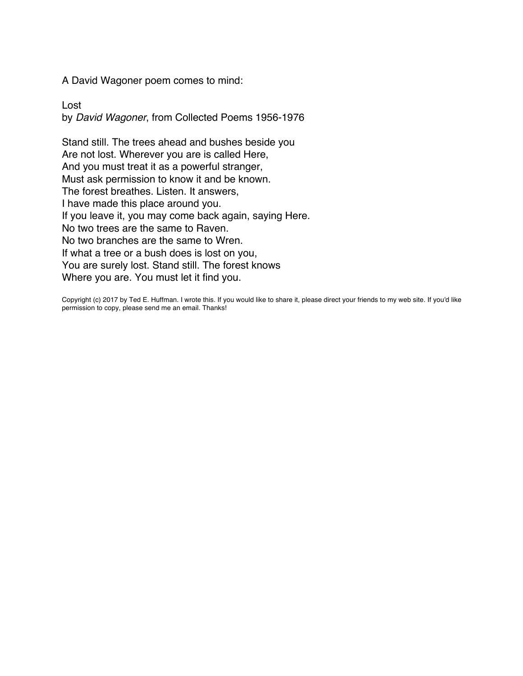A David Wagoner poem comes to mind:

Lost by *David Wagoner*, from Collected Poems 1956-1976

Stand still. The trees ahead and bushes beside you Are not lost. Wherever you are is called Here, And you must treat it as a powerful stranger, Must ask permission to know it and be known. The forest breathes. Listen. It answers, I have made this place around you. If you leave it, you may come back again, saying Here. No two trees are the same to Raven. No two branches are the same to Wren. If what a tree or a bush does is lost on you, You are surely lost. Stand still. The forest knows Where you are. You must let it find you.

Copyright (c) 2017 by Ted E. Huffman. I wrote this. If you would like to share it, please direct your friends to my web site. If you'd like permission to copy, please send me an email. Thanks!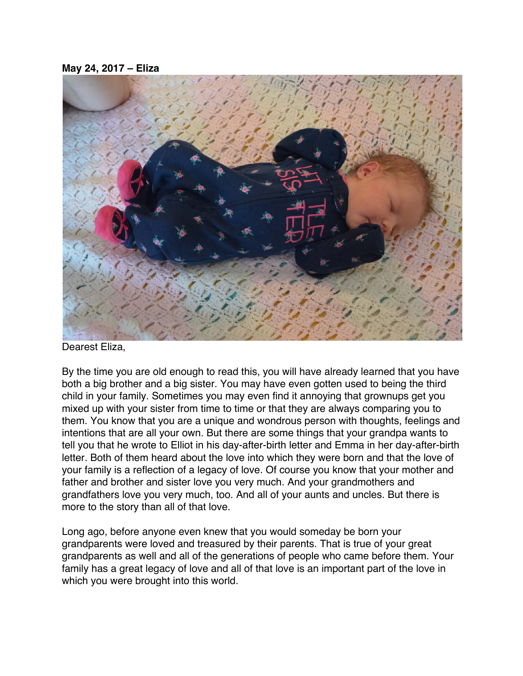#### <span id="page-50-0"></span>**May 24, 2017 – Eliza**



Dearest Eliza,

By the time you are old enough to read this, you will have already learned that you have both a big brother and a big sister. You may have even gotten used to being the third child in your family. Sometimes you may even find it annoying that grownups get you mixed up with your sister from time to time or that they are always comparing you to them. You know that you are a unique and wondrous person with thoughts, feelings and intentions that are all your own. But there are some things that your grandpa wants to tell you that he wrote to Elliot in his day-after-birth letter and Emma in her day-after-birth letter. Both of them heard about the love into which they were born and that the love of your family is a reflection of a legacy of love. Of course you know that your mother and father and brother and sister love you very much. And your grandmothers and grandfathers love you very much, too. And all of your aunts and uncles. But there is more to the story than all of that love.

Long ago, before anyone even knew that you would someday be born your grandparents were loved and treasured by their parents. That is true of your great grandparents as well and all of the generations of people who came before them. Your family has a great legacy of love and all of that love is an important part of the love in which you were brought into this world.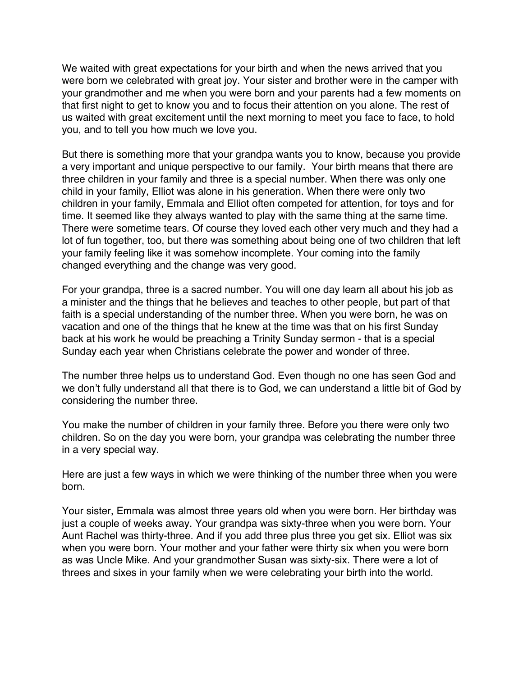We waited with great expectations for your birth and when the news arrived that you were born we celebrated with great joy. Your sister and brother were in the camper with your grandmother and me when you were born and your parents had a few moments on that first night to get to know you and to focus their attention on you alone. The rest of us waited with great excitement until the next morning to meet you face to face, to hold you, and to tell you how much we love you.

But there is something more that your grandpa wants you to know, because you provide a very important and unique perspective to our family. Your birth means that there are three children in your family and three is a special number. When there was only one child in your family, Elliot was alone in his generation. When there were only two children in your family, Emmala and Elliot often competed for attention, for toys and for time. It seemed like they always wanted to play with the same thing at the same time. There were sometime tears. Of course they loved each other very much and they had a lot of fun together, too, but there was something about being one of two children that left your family feeling like it was somehow incomplete. Your coming into the family changed everything and the change was very good.

For your grandpa, three is a sacred number. You will one day learn all about his job as a minister and the things that he believes and teaches to other people, but part of that faith is a special understanding of the number three. When you were born, he was on vacation and one of the things that he knew at the time was that on his first Sunday back at his work he would be preaching a Trinity Sunday sermon - that is a special Sunday each year when Christians celebrate the power and wonder of three.

The number three helps us to understand God. Even though no one has seen God and we don't fully understand all that there is to God, we can understand a little bit of God by considering the number three.

You make the number of children in your family three. Before you there were only two children. So on the day you were born, your grandpa was celebrating the number three in a very special way.

Here are just a few ways in which we were thinking of the number three when you were born.

Your sister, Emmala was almost three years old when you were born. Her birthday was just a couple of weeks away. Your grandpa was sixty-three when you were born. Your Aunt Rachel was thirty-three. And if you add three plus three you get six. Elliot was six when you were born. Your mother and your father were thirty six when you were born as was Uncle Mike. And your grandmother Susan was sixty-six. There were a lot of threes and sixes in your family when we were celebrating your birth into the world.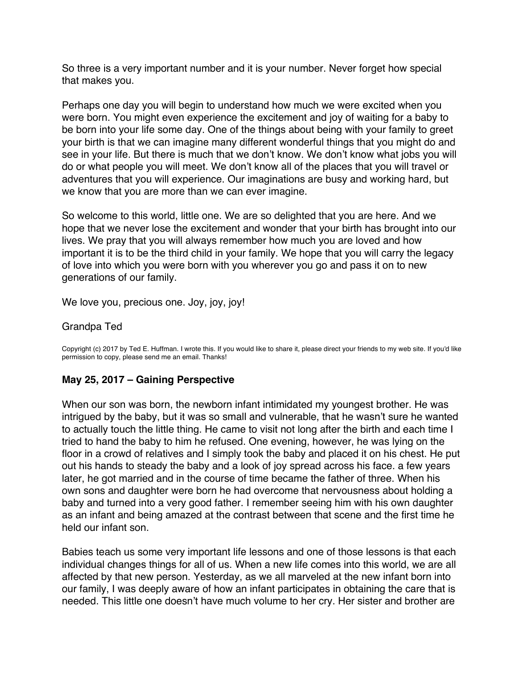<span id="page-52-0"></span>So three is a very important number and it is your number. Never forget how special that makes you.

Perhaps one day you will begin to understand how much we were excited when you were born. You might even experience the excitement and joy of waiting for a baby to be born into your life some day. One of the things about being with your family to greet your birth is that we can imagine many different wonderful things that you might do and see in your life. But there is much that we don't know. We don't know what jobs you will do or what people you will meet. We don't know all of the places that you will travel or adventures that you will experience. Our imaginations are busy and working hard, but we know that you are more than we can ever imagine.

So welcome to this world, little one. We are so delighted that you are here. And we hope that we never lose the excitement and wonder that your birth has brought into our lives. We pray that you will always remember how much you are loved and how important it is to be the third child in your family. We hope that you will carry the legacy of love into which you were born with you wherever you go and pass it on to new generations of our family.

We love you, precious one. Joy, joy, joy!

### Grandpa Ted

Copyright (c) 2017 by Ted E. Huffman. I wrote this. If you would like to share it, please direct your friends to my web site. If you'd like permission to copy, please send me an email. Thanks!

## **May 25, 2017 – Gaining Perspective**

When our son was born, the newborn infant intimidated my youngest brother. He was intrigued by the baby, but it was so small and vulnerable, that he wasn't sure he wanted to actually touch the little thing. He came to visit not long after the birth and each time I tried to hand the baby to him he refused. One evening, however, he was lying on the floor in a crowd of relatives and I simply took the baby and placed it on his chest. He put out his hands to steady the baby and a look of joy spread across his face. a few years later, he got married and in the course of time became the father of three. When his own sons and daughter were born he had overcome that nervousness about holding a baby and turned into a very good father. I remember seeing him with his own daughter as an infant and being amazed at the contrast between that scene and the first time he held our infant son.

Babies teach us some very important life lessons and one of those lessons is that each individual changes things for all of us. When a new life comes into this world, we are all affected by that new person. Yesterday, as we all marveled at the new infant born into our family, I was deeply aware of how an infant participates in obtaining the care that is needed. This little one doesn't have much volume to her cry. Her sister and brother are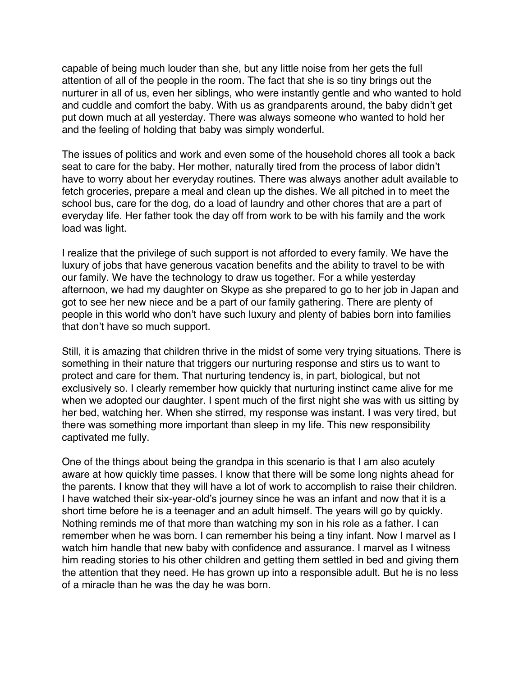capable of being much louder than she, but any little noise from her gets the full attention of all of the people in the room. The fact that she is so tiny brings out the nurturer in all of us, even her siblings, who were instantly gentle and who wanted to hold and cuddle and comfort the baby. With us as grandparents around, the baby didn't get put down much at all yesterday. There was always someone who wanted to hold her and the feeling of holding that baby was simply wonderful.

The issues of politics and work and even some of the household chores all took a back seat to care for the baby. Her mother, naturally tired from the process of labor didn't have to worry about her everyday routines. There was always another adult available to fetch groceries, prepare a meal and clean up the dishes. We all pitched in to meet the school bus, care for the dog, do a load of laundry and other chores that are a part of everyday life. Her father took the day off from work to be with his family and the work load was light.

I realize that the privilege of such support is not afforded to every family. We have the luxury of jobs that have generous vacation benefits and the ability to travel to be with our family. We have the technology to draw us together. For a while yesterday afternoon, we had my daughter on Skype as she prepared to go to her job in Japan and got to see her new niece and be a part of our family gathering. There are plenty of people in this world who don't have such luxury and plenty of babies born into families that don't have so much support.

Still, it is amazing that children thrive in the midst of some very trying situations. There is something in their nature that triggers our nurturing response and stirs us to want to protect and care for them. That nurturing tendency is, in part, biological, but not exclusively so. I clearly remember how quickly that nurturing instinct came alive for me when we adopted our daughter. I spent much of the first night she was with us sitting by her bed, watching her. When she stirred, my response was instant. I was very tired, but there was something more important than sleep in my life. This new responsibility captivated me fully.

One of the things about being the grandpa in this scenario is that I am also acutely aware at how quickly time passes. I know that there will be some long nights ahead for the parents. I know that they will have a lot of work to accomplish to raise their children. I have watched their six-year-old's journey since he was an infant and now that it is a short time before he is a teenager and an adult himself. The years will go by quickly. Nothing reminds me of that more than watching my son in his role as a father. I can remember when he was born. I can remember his being a tiny infant. Now I marvel as I watch him handle that new baby with confidence and assurance. I marvel as I witness him reading stories to his other children and getting them settled in bed and giving them the attention that they need. He has grown up into a responsible adult. But he is no less of a miracle than he was the day he was born.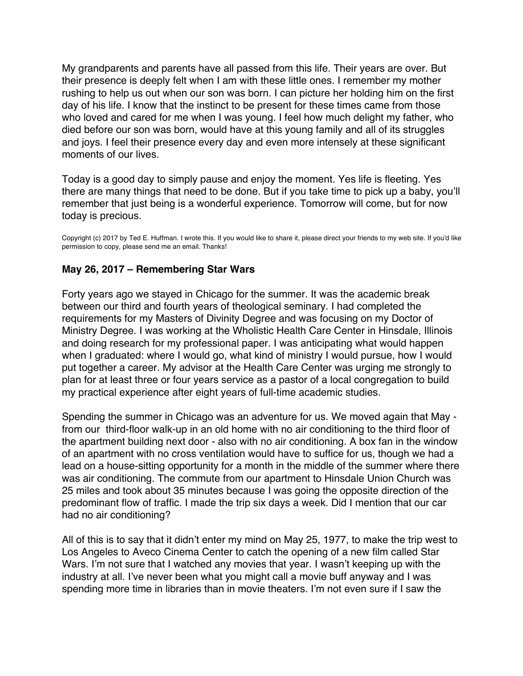<span id="page-54-0"></span>My grandparents and parents have all passed from this life. Their years are over. But their presence is deeply felt when I am with these little ones. I remember my mother rushing to help us out when our son was born. I can picture her holding him on the first day of his life. I know that the instinct to be present for these times came from those who loved and cared for me when I was young. I feel how much delight my father, who died before our son was born, would have at this young family and all of its struggles and joys. I feel their presence every day and even more intensely at these significant moments of our lives.

Today is a good day to simply pause and enjoy the moment. Yes life is fleeting. Yes there are many things that need to be done. But if you take time to pick up a baby, you'll remember that just being is a wonderful experience. Tomorrow will come, but for now today is precious.

Copyright (c) 2017 by Ted E. Huffman. I wrote this. If you would like to share it, please direct your friends to my web site. If you'd like permission to copy, please send me an email. Thanks!

## **May 26, 2017 – Remembering Star Wars**

Forty years ago we stayed in Chicago for the summer. It was the academic break between our third and fourth years of theological seminary. I had completed the requirements for my Masters of Divinity Degree and was focusing on my Doctor of Ministry Degree. I was working at the Wholistic Health Care Center in Hinsdale, Illinois and doing research for my professional paper. I was anticipating what would happen when I graduated: where I would go, what kind of ministry I would pursue, how I would put together a career. My advisor at the Health Care Center was urging me strongly to plan for at least three or four years service as a pastor of a local congregation to build my practical experience after eight years of full-time academic studies.

Spending the summer in Chicago was an adventure for us. We moved again that May from our third-floor walk-up in an old home with no air conditioning to the third floor of the apartment building next door - also with no air conditioning. A box fan in the window of an apartment with no cross ventilation would have to suffice for us, though we had a lead on a house-sitting opportunity for a month in the middle of the summer where there was air conditioning. The commute from our apartment to Hinsdale Union Church was 25 miles and took about 35 minutes because I was going the opposite direction of the predominant flow of traffic. I made the trip six days a week. Did I mention that our car had no air conditioning?

All of this is to say that it didn't enter my mind on May 25, 1977, to make the trip west to Los Angeles to Aveco Cinema Center to catch the opening of a new film called Star Wars. I'm not sure that I watched any movies that year. I wasn't keeping up with the industry at all. I've never been what you might call a movie buff anyway and I was spending more time in libraries than in movie theaters. I'm not even sure if I saw the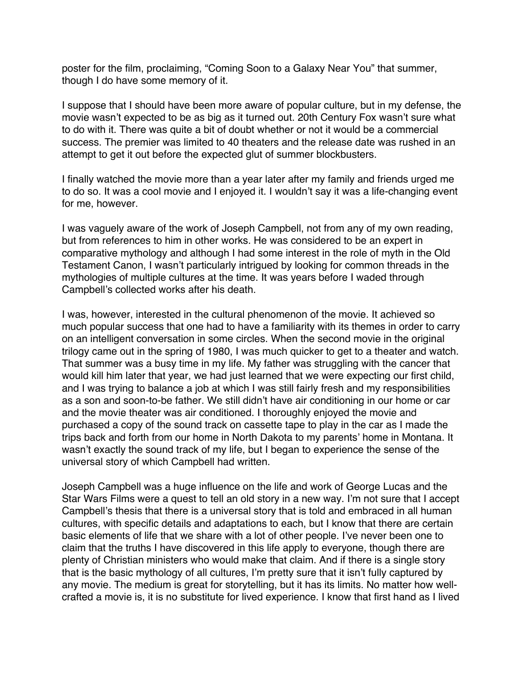poster for the film, proclaiming, "Coming Soon to a Galaxy Near You" that summer, though I do have some memory of it.

I suppose that I should have been more aware of popular culture, but in my defense, the movie wasn't expected to be as big as it turned out. 20th Century Fox wasn't sure what to do with it. There was quite a bit of doubt whether or not it would be a commercial success. The premier was limited to 40 theaters and the release date was rushed in an attempt to get it out before the expected glut of summer blockbusters.

I finally watched the movie more than a year later after my family and friends urged me to do so. It was a cool movie and I enjoyed it. I wouldn't say it was a life-changing event for me, however.

I was vaguely aware of the work of Joseph Campbell, not from any of my own reading, but from references to him in other works. He was considered to be an expert in comparative mythology and although I had some interest in the role of myth in the Old Testament Canon, I wasn't particularly intrigued by looking for common threads in the mythologies of multiple cultures at the time. It was years before I waded through Campbell's collected works after his death.

I was, however, interested in the cultural phenomenon of the movie. It achieved so much popular success that one had to have a familiarity with its themes in order to carry on an intelligent conversation in some circles. When the second movie in the original trilogy came out in the spring of 1980, I was much quicker to get to a theater and watch. That summer was a busy time in my life. My father was struggling with the cancer that would kill him later that year, we had just learned that we were expecting our first child, and I was trying to balance a job at which I was still fairly fresh and my responsibilities as a son and soon-to-be father. We still didn't have air conditioning in our home or car and the movie theater was air conditioned. I thoroughly enjoyed the movie and purchased a copy of the sound track on cassette tape to play in the car as I made the trips back and forth from our home in North Dakota to my parents' home in Montana. It wasn't exactly the sound track of my life, but I began to experience the sense of the universal story of which Campbell had written.

Joseph Campbell was a huge influence on the life and work of George Lucas and the Star Wars Films were a quest to tell an old story in a new way. I'm not sure that I accept Campbell's thesis that there is a universal story that is told and embraced in all human cultures, with specific details and adaptations to each, but I know that there are certain basic elements of life that we share with a lot of other people. I've never been one to claim that the truths I have discovered in this life apply to everyone, though there are plenty of Christian ministers who would make that claim. And if there is a single story that is the basic mythology of all cultures, I'm pretty sure that it isn't fully captured by any movie. The medium is great for storytelling, but it has its limits. No matter how wellcrafted a movie is, it is no substitute for lived experience. I know that first hand as I lived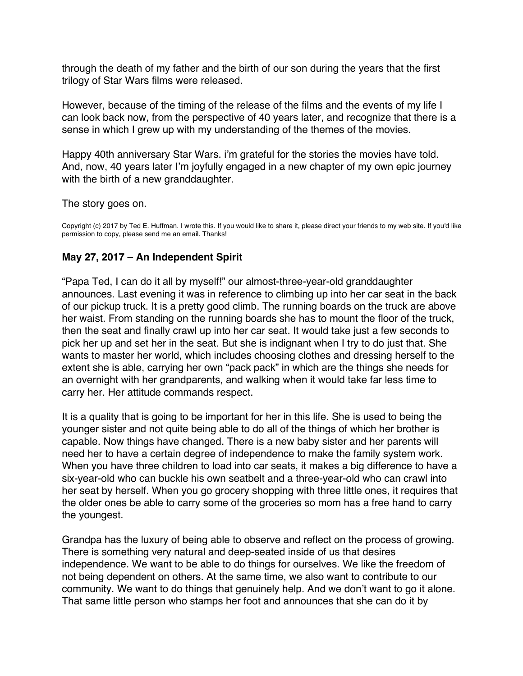<span id="page-56-0"></span>through the death of my father and the birth of our son during the years that the first trilogy of Star Wars films were released.

However, because of the timing of the release of the films and the events of my life I can look back now, from the perspective of 40 years later, and recognize that there is a sense in which I grew up with my understanding of the themes of the movies.

Happy 40th anniversary Star Wars. i'm grateful for the stories the movies have told. And, now, 40 years later I'm joyfully engaged in a new chapter of my own epic journey with the birth of a new granddaughter.

The story goes on.

Copyright (c) 2017 by Ted E. Huffman. I wrote this. If you would like to share it, please direct your friends to my web site. If you'd like permission to copy, please send me an email. Thanks!

# **May 27, 2017 – An Independent Spirit**

"Papa Ted, I can do it all by myself!" our almost-three-year-old granddaughter announces. Last evening it was in reference to climbing up into her car seat in the back of our pickup truck. It is a pretty good climb. The running boards on the truck are above her waist. From standing on the running boards she has to mount the floor of the truck, then the seat and finally crawl up into her car seat. It would take just a few seconds to pick her up and set her in the seat. But she is indignant when I try to do just that. She wants to master her world, which includes choosing clothes and dressing herself to the extent she is able, carrying her own "pack pack" in which are the things she needs for an overnight with her grandparents, and walking when it would take far less time to carry her. Her attitude commands respect.

It is a quality that is going to be important for her in this life. She is used to being the younger sister and not quite being able to do all of the things of which her brother is capable. Now things have changed. There is a new baby sister and her parents will need her to have a certain degree of independence to make the family system work. When you have three children to load into car seats, it makes a big difference to have a six-year-old who can buckle his own seatbelt and a three-year-old who can crawl into her seat by herself. When you go grocery shopping with three little ones, it requires that the older ones be able to carry some of the groceries so mom has a free hand to carry the youngest.

Grandpa has the luxury of being able to observe and reflect on the process of growing. There is something very natural and deep-seated inside of us that desires independence. We want to be able to do things for ourselves. We like the freedom of not being dependent on others. At the same time, we also want to contribute to our community. We want to do things that genuinely help. And we don't want to go it alone. That same little person who stamps her foot and announces that she can do it by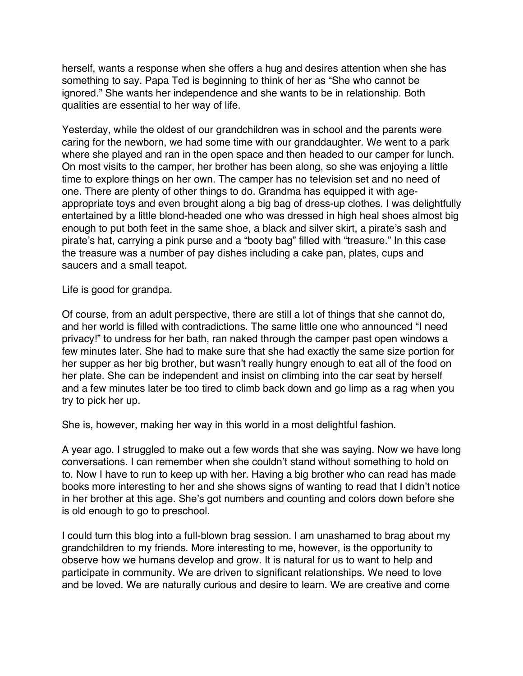herself, wants a response when she offers a hug and desires attention when she has something to say. Papa Ted is beginning to think of her as "She who cannot be ignored." She wants her independence and she wants to be in relationship. Both qualities are essential to her way of life.

Yesterday, while the oldest of our grandchildren was in school and the parents were caring for the newborn, we had some time with our granddaughter. We went to a park where she played and ran in the open space and then headed to our camper for lunch. On most visits to the camper, her brother has been along, so she was enjoying a little time to explore things on her own. The camper has no television set and no need of one. There are plenty of other things to do. Grandma has equipped it with ageappropriate toys and even brought along a big bag of dress-up clothes. I was delightfully entertained by a little blond-headed one who was dressed in high heal shoes almost big enough to put both feet in the same shoe, a black and silver skirt, a pirate's sash and pirate's hat, carrying a pink purse and a "booty bag" filled with "treasure." In this case the treasure was a number of pay dishes including a cake pan, plates, cups and saucers and a small teapot.

Life is good for grandpa.

Of course, from an adult perspective, there are still a lot of things that she cannot do, and her world is filled with contradictions. The same little one who announced "I need privacy!" to undress for her bath, ran naked through the camper past open windows a few minutes later. She had to make sure that she had exactly the same size portion for her supper as her big brother, but wasn't really hungry enough to eat all of the food on her plate. She can be independent and insist on climbing into the car seat by herself and a few minutes later be too tired to climb back down and go limp as a rag when you try to pick her up.

She is, however, making her way in this world in a most delightful fashion.

A year ago, I struggled to make out a few words that she was saying. Now we have long conversations. I can remember when she couldn't stand without something to hold on to. Now I have to run to keep up with her. Having a big brother who can read has made books more interesting to her and she shows signs of wanting to read that I didn't notice in her brother at this age. She's got numbers and counting and colors down before she is old enough to go to preschool.

I could turn this blog into a full-blown brag session. I am unashamed to brag about my grandchildren to my friends. More interesting to me, however, is the opportunity to observe how we humans develop and grow. It is natural for us to want to help and participate in community. We are driven to significant relationships. We need to love and be loved. We are naturally curious and desire to learn. We are creative and come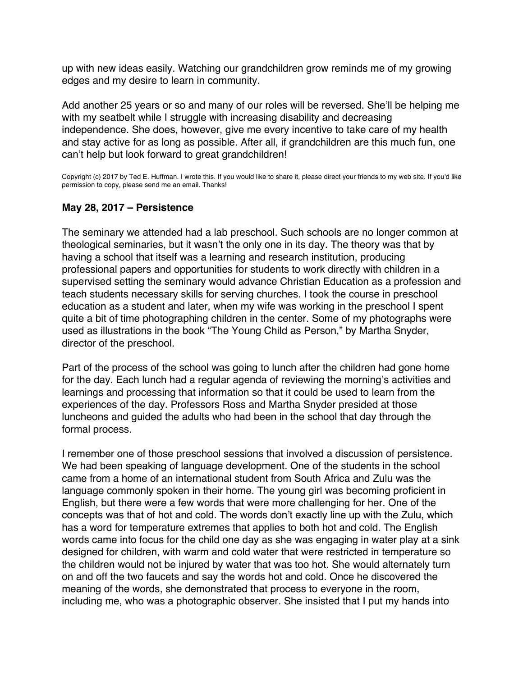<span id="page-58-0"></span>up with new ideas easily. Watching our grandchildren grow reminds me of my growing edges and my desire to learn in community.

Add another 25 years or so and many of our roles will be reversed. She'll be helping me with my seatbelt while I struggle with increasing disability and decreasing independence. She does, however, give me every incentive to take care of my health and stay active for as long as possible. After all, if grandchildren are this much fun, one can't help but look forward to great grandchildren!

Copyright (c) 2017 by Ted E. Huffman. I wrote this. If you would like to share it, please direct your friends to my web site. If you'd like permission to copy, please send me an email. Thanks!

# **May 28, 2017 – Persistence**

The seminary we attended had a lab preschool. Such schools are no longer common at theological seminaries, but it wasn't the only one in its day. The theory was that by having a school that itself was a learning and research institution, producing professional papers and opportunities for students to work directly with children in a supervised setting the seminary would advance Christian Education as a profession and teach students necessary skills for serving churches. I took the course in preschool education as a student and later, when my wife was working in the preschool I spent quite a bit of time photographing children in the center. Some of my photographs were used as illustrations in the book "The Young Child as Person," by Martha Snyder, director of the preschool.

Part of the process of the school was going to lunch after the children had gone home for the day. Each lunch had a regular agenda of reviewing the morning's activities and learnings and processing that information so that it could be used to learn from the experiences of the day. Professors Ross and Martha Snyder presided at those luncheons and guided the adults who had been in the school that day through the formal process.

I remember one of those preschool sessions that involved a discussion of persistence. We had been speaking of language development. One of the students in the school came from a home of an international student from South Africa and Zulu was the language commonly spoken in their home. The young girl was becoming proficient in English, but there were a few words that were more challenging for her. One of the concepts was that of hot and cold. The words don't exactly line up with the Zulu, which has a word for temperature extremes that applies to both hot and cold. The English words came into focus for the child one day as she was engaging in water play at a sink designed for children, with warm and cold water that were restricted in temperature so the children would not be injured by water that was too hot. She would alternately turn on and off the two faucets and say the words hot and cold. Once he discovered the meaning of the words, she demonstrated that process to everyone in the room, including me, who was a photographic observer. She insisted that I put my hands into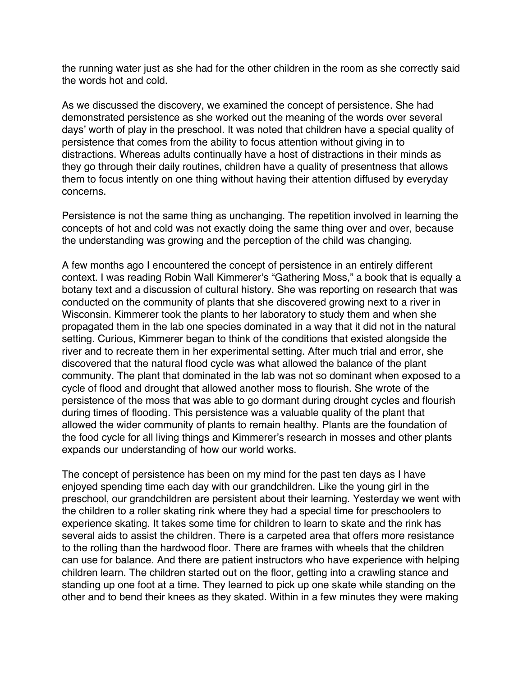the running water just as she had for the other children in the room as she correctly said the words hot and cold.

As we discussed the discovery, we examined the concept of persistence. She had demonstrated persistence as she worked out the meaning of the words over several days' worth of play in the preschool. It was noted that children have a special quality of persistence that comes from the ability to focus attention without giving in to distractions. Whereas adults continually have a host of distractions in their minds as they go through their daily routines, children have a quality of presentness that allows them to focus intently on one thing without having their attention diffused by everyday concerns.

Persistence is not the same thing as unchanging. The repetition involved in learning the concepts of hot and cold was not exactly doing the same thing over and over, because the understanding was growing and the perception of the child was changing.

A few months ago I encountered the concept of persistence in an entirely different context. I was reading Robin Wall Kimmerer's "Gathering Moss," a book that is equally a botany text and a discussion of cultural history. She was reporting on research that was conducted on the community of plants that she discovered growing next to a river in Wisconsin. Kimmerer took the plants to her laboratory to study them and when she propagated them in the lab one species dominated in a way that it did not in the natural setting. Curious, Kimmerer began to think of the conditions that existed alongside the river and to recreate them in her experimental setting. After much trial and error, she discovered that the natural flood cycle was what allowed the balance of the plant community. The plant that dominated in the lab was not so dominant when exposed to a cycle of flood and drought that allowed another moss to flourish. She wrote of the persistence of the moss that was able to go dormant during drought cycles and flourish during times of flooding. This persistence was a valuable quality of the plant that allowed the wider community of plants to remain healthy. Plants are the foundation of the food cycle for all living things and Kimmerer's research in mosses and other plants expands our understanding of how our world works.

The concept of persistence has been on my mind for the past ten days as I have enjoyed spending time each day with our grandchildren. Like the young girl in the preschool, our grandchildren are persistent about their learning. Yesterday we went with the children to a roller skating rink where they had a special time for preschoolers to experience skating. It takes some time for children to learn to skate and the rink has several aids to assist the children. There is a carpeted area that offers more resistance to the rolling than the hardwood floor. There are frames with wheels that the children can use for balance. And there are patient instructors who have experience with helping children learn. The children started out on the floor, getting into a crawling stance and standing up one foot at a time. They learned to pick up one skate while standing on the other and to bend their knees as they skated. Within in a few minutes they were making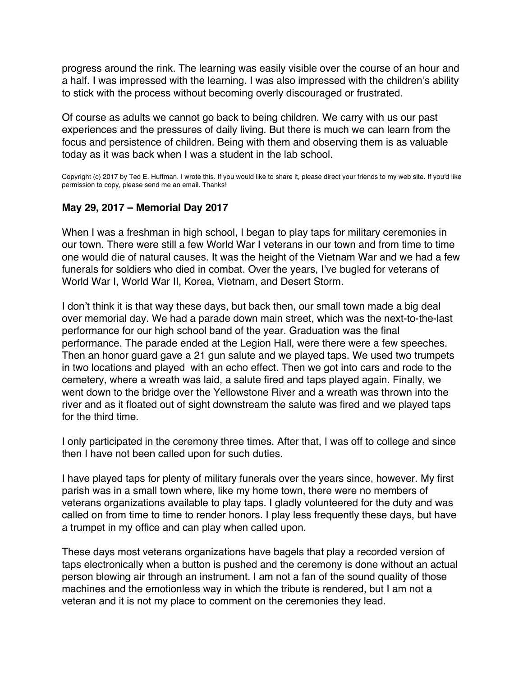<span id="page-60-0"></span>progress around the rink. The learning was easily visible over the course of an hour and a half. I was impressed with the learning. I was also impressed with the children's ability to stick with the process without becoming overly discouraged or frustrated.

Of course as adults we cannot go back to being children. We carry with us our past experiences and the pressures of daily living. But there is much we can learn from the focus and persistence of children. Being with them and observing them is as valuable today as it was back when I was a student in the lab school.

Copyright (c) 2017 by Ted E. Huffman. I wrote this. If you would like to share it, please direct your friends to my web site. If you'd like permission to copy, please send me an email. Thanks!

# **May 29, 2017 – Memorial Day 2017**

When I was a freshman in high school, I began to play taps for military ceremonies in our town. There were still a few World War I veterans in our town and from time to time one would die of natural causes. It was the height of the Vietnam War and we had a few funerals for soldiers who died in combat. Over the years, I've bugled for veterans of World War I, World War II, Korea, Vietnam, and Desert Storm.

I don't think it is that way these days, but back then, our small town made a big deal over memorial day. We had a parade down main street, which was the next-to-the-last performance for our high school band of the year. Graduation was the final performance. The parade ended at the Legion Hall, were there were a few speeches. Then an honor guard gave a 21 gun salute and we played taps. We used two trumpets in two locations and played with an echo effect. Then we got into cars and rode to the cemetery, where a wreath was laid, a salute fired and taps played again. Finally, we went down to the bridge over the Yellowstone River and a wreath was thrown into the river and as it floated out of sight downstream the salute was fired and we played taps for the third time.

I only participated in the ceremony three times. After that, I was off to college and since then I have not been called upon for such duties.

I have played taps for plenty of military funerals over the years since, however. My first parish was in a small town where, like my home town, there were no members of veterans organizations available to play taps. I gladly volunteered for the duty and was called on from time to time to render honors. I play less frequently these days, but have a trumpet in my office and can play when called upon.

These days most veterans organizations have bagels that play a recorded version of taps electronically when a button is pushed and the ceremony is done without an actual person blowing air through an instrument. I am not a fan of the sound quality of those machines and the emotionless way in which the tribute is rendered, but I am not a veteran and it is not my place to comment on the ceremonies they lead.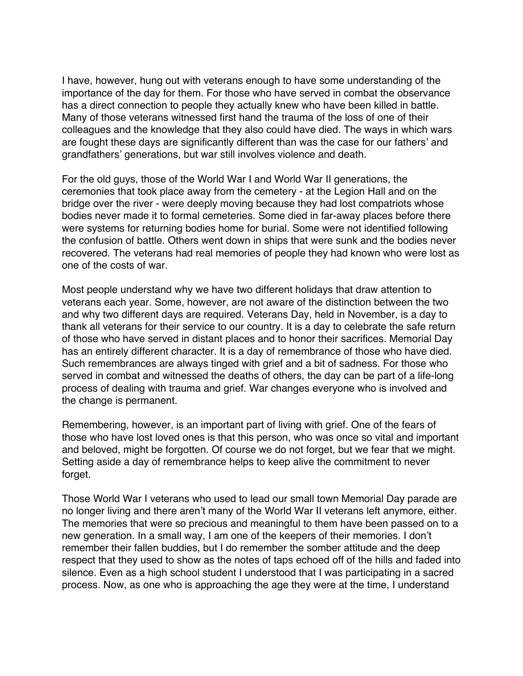I have, however, hung out with veterans enough to have some understanding of the importance of the day for them. For those who have served in combat the observance has a direct connection to people they actually knew who have been killed in battle. Many of those veterans witnessed first hand the trauma of the loss of one of their colleagues and the knowledge that they also could have died. The ways in which wars are fought these days are significantly different than was the case for our fathers' and grandfathers' generations, but war still involves violence and death.

For the old guys, those of the World War I and World War II generations, the ceremonies that took place away from the cemetery - at the Legion Hall and on the bridge over the river - were deeply moving because they had lost compatriots whose bodies never made it to formal cemeteries. Some died in far-away places before there were systems for returning bodies home for burial. Some were not identified following the confusion of battle. Others went down in ships that were sunk and the bodies never recovered. The veterans had real memories of people they had known who were lost as one of the costs of war.

Most people understand why we have two different holidays that draw attention to veterans each year. Some, however, are not aware of the distinction between the two and why two different days are required. Veterans Day, held in November, is a day to thank all veterans for their service to our country. It is a day to celebrate the safe return of those who have served in distant places and to honor their sacrifices. Memorial Day has an entirely different character. It is a day of remembrance of those who have died. Such remembrances are always tinged with grief and a bit of sadness. For those who served in combat and witnessed the deaths of others, the day can be part of a life-long process of dealing with trauma and grief. War changes everyone who is involved and the change is permanent.

Remembering, however, is an important part of living with grief. One of the fears of those who have lost loved ones is that this person, who was once so vital and important and beloved, might be forgotten. Of course we do not forget, but we fear that we might. Setting aside a day of remembrance helps to keep alive the commitment to never forget.

Those World War I veterans who used to lead our small town Memorial Day parade are no longer living and there aren't many of the World War II veterans left anymore, either. The memories that were so precious and meaningful to them have been passed on to a new generation. In a small way, I am one of the keepers of their memories. I don't remember their fallen buddies, but I do remember the somber attitude and the deep respect that they used to show as the notes of taps echoed off of the hills and faded into silence. Even as a high school student I understood that I was participating in a sacred process. Now, as one who is approaching the age they were at the time, I understand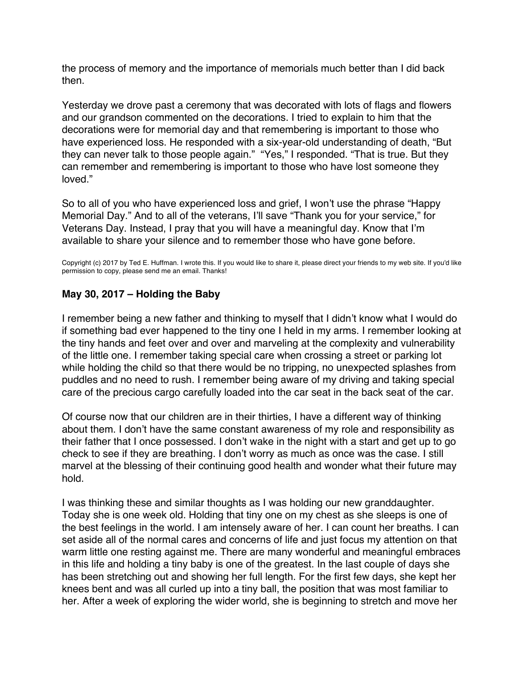<span id="page-62-0"></span>the process of memory and the importance of memorials much better than I did back then.

Yesterday we drove past a ceremony that was decorated with lots of flags and flowers and our grandson commented on the decorations. I tried to explain to him that the decorations were for memorial day and that remembering is important to those who have experienced loss. He responded with a six-year-old understanding of death, "But they can never talk to those people again." "Yes," I responded. "That is true. But they can remember and remembering is important to those who have lost someone they loved."

So to all of you who have experienced loss and grief, I won't use the phrase "Happy Memorial Day." And to all of the veterans, I'll save "Thank you for your service," for Veterans Day. Instead, I pray that you will have a meaningful day. Know that I'm available to share your silence and to remember those who have gone before.

Copyright (c) 2017 by Ted E. Huffman. I wrote this. If you would like to share it, please direct your friends to my web site. If you'd like permission to copy, please send me an email. Thanks!

## **May 30, 2017 – Holding the Baby**

I remember being a new father and thinking to myself that I didn't know what I would do if something bad ever happened to the tiny one I held in my arms. I remember looking at the tiny hands and feet over and over and marveling at the complexity and vulnerability of the little one. I remember taking special care when crossing a street or parking lot while holding the child so that there would be no tripping, no unexpected splashes from puddles and no need to rush. I remember being aware of my driving and taking special care of the precious cargo carefully loaded into the car seat in the back seat of the car.

Of course now that our children are in their thirties, I have a different way of thinking about them. I don't have the same constant awareness of my role and responsibility as their father that I once possessed. I don't wake in the night with a start and get up to go check to see if they are breathing. I don't worry as much as once was the case. I still marvel at the blessing of their continuing good health and wonder what their future may hold.

I was thinking these and similar thoughts as I was holding our new granddaughter. Today she is one week old. Holding that tiny one on my chest as she sleeps is one of the best feelings in the world. I am intensely aware of her. I can count her breaths. I can set aside all of the normal cares and concerns of life and just focus my attention on that warm little one resting against me. There are many wonderful and meaningful embraces in this life and holding a tiny baby is one of the greatest. In the last couple of days she has been stretching out and showing her full length. For the first few days, she kept her knees bent and was all curled up into a tiny ball, the position that was most familiar to her. After a week of exploring the wider world, she is beginning to stretch and move her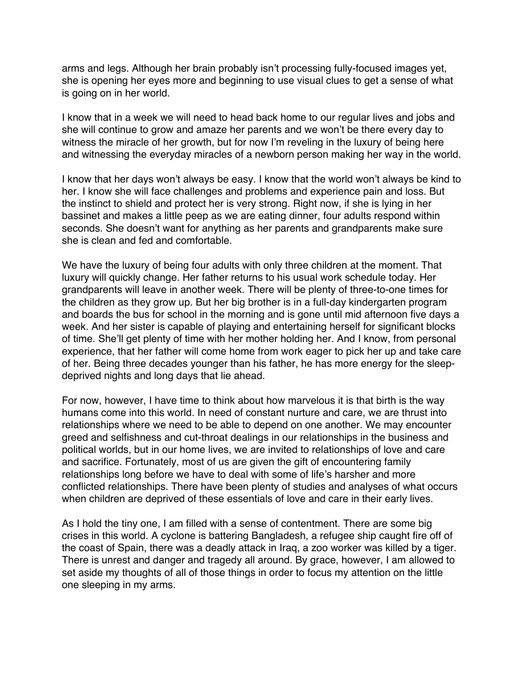arms and legs. Although her brain probably isn't processing fully-focused images yet, she is opening her eyes more and beginning to use visual clues to get a sense of what is going on in her world.

I know that in a week we will need to head back home to our regular lives and jobs and she will continue to grow and amaze her parents and we won't be there every day to witness the miracle of her growth, but for now I'm reveling in the luxury of being here and witnessing the everyday miracles of a newborn person making her way in the world.

I know that her days won't always be easy. I know that the world won't always be kind to her. I know she will face challenges and problems and experience pain and loss. But the instinct to shield and protect her is very strong. Right now, if she is lying in her bassinet and makes a little peep as we are eating dinner, four adults respond within seconds. She doesn't want for anything as her parents and grandparents make sure she is clean and fed and comfortable.

We have the luxury of being four adults with only three children at the moment. That luxury will quickly change. Her father returns to his usual work schedule today. Her grandparents will leave in another week. There will be plenty of three-to-one times for the children as they grow up. But her big brother is in a full-day kindergarten program and boards the bus for school in the morning and is gone until mid afternoon five days a week. And her sister is capable of playing and entertaining herself for significant blocks of time. She'll get plenty of time with her mother holding her. And I know, from personal experience, that her father will come home from work eager to pick her up and take care of her. Being three decades younger than his father, he has more energy for the sleepdeprived nights and long days that lie ahead.

For now, however, I have time to think about how marvelous it is that birth is the way humans come into this world. In need of constant nurture and care, we are thrust into relationships where we need to be able to depend on one another. We may encounter greed and selfishness and cut-throat dealings in our relationships in the business and political worlds, but in our home lives, we are invited to relationships of love and care and sacrifice. Fortunately, most of us are given the gift of encountering family relationships long before we have to deal with some of life's harsher and more conflicted relationships. There have been plenty of studies and analyses of what occurs when children are deprived of these essentials of love and care in their early lives.

As I hold the tiny one, I am filled with a sense of contentment. There are some big crises in this world. A cyclone is battering Bangladesh, a refugee ship caught fire off of the coast of Spain, there was a deadly attack in Iraq, a zoo worker was killed by a tiger. There is unrest and danger and tragedy all around. By grace, however, I am allowed to set aside my thoughts of all of those things in order to focus my attention on the little one sleeping in my arms.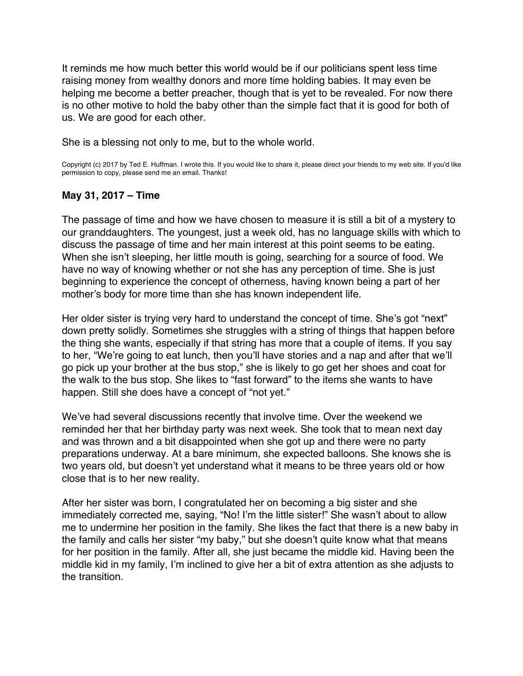<span id="page-64-0"></span>It reminds me how much better this world would be if our politicians spent less time raising money from wealthy donors and more time holding babies. It may even be helping me become a better preacher, though that is yet to be revealed. For now there is no other motive to hold the baby other than the simple fact that it is good for both of us. We are good for each other.

She is a blessing not only to me, but to the whole world.

Copyright (c) 2017 by Ted E. Huffman. I wrote this. If you would like to share it, please direct your friends to my web site. If you'd like permission to copy, please send me an email. Thanks!

## **May 31, 2017 – Time**

The passage of time and how we have chosen to measure it is still a bit of a mystery to our granddaughters. The youngest, just a week old, has no language skills with which to discuss the passage of time and her main interest at this point seems to be eating. When she isn't sleeping, her little mouth is going, searching for a source of food. We have no way of knowing whether or not she has any perception of time. She is just beginning to experience the concept of otherness, having known being a part of her mother's body for more time than she has known independent life.

Her older sister is trying very hard to understand the concept of time. She's got "next" down pretty solidly. Sometimes she struggles with a string of things that happen before the thing she wants, especially if that string has more that a couple of items. If you say to her, "We're going to eat lunch, then you'll have stories and a nap and after that we'll go pick up your brother at the bus stop," she is likely to go get her shoes and coat for the walk to the bus stop. She likes to "fast forward" to the items she wants to have happen. Still she does have a concept of "not yet."

We've had several discussions recently that involve time. Over the weekend we reminded her that her birthday party was next week. She took that to mean next day and was thrown and a bit disappointed when she got up and there were no party preparations underway. At a bare minimum, she expected balloons. She knows she is two years old, but doesn't yet understand what it means to be three years old or how close that is to her new reality.

After her sister was born, I congratulated her on becoming a big sister and she immediately corrected me, saying, "No! I'm the little sister!" She wasn't about to allow me to undermine her position in the family. She likes the fact that there is a new baby in the family and calls her sister "my baby," but she doesn't quite know what that means for her position in the family. After all, she just became the middle kid. Having been the middle kid in my family, I'm inclined to give her a bit of extra attention as she adjusts to the transition.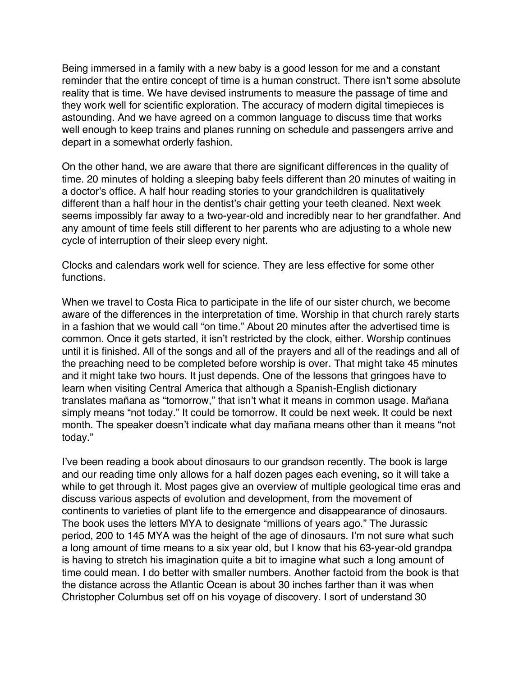Being immersed in a family with a new baby is a good lesson for me and a constant reminder that the entire concept of time is a human construct. There isn't some absolute reality that is time. We have devised instruments to measure the passage of time and they work well for scientific exploration. The accuracy of modern digital timepieces is astounding. And we have agreed on a common language to discuss time that works well enough to keep trains and planes running on schedule and passengers arrive and depart in a somewhat orderly fashion.

On the other hand, we are aware that there are significant differences in the quality of time. 20 minutes of holding a sleeping baby feels different than 20 minutes of waiting in a doctor's office. A half hour reading stories to your grandchildren is qualitatively different than a half hour in the dentist's chair getting your teeth cleaned. Next week seems impossibly far away to a two-year-old and incredibly near to her grandfather. And any amount of time feels still different to her parents who are adjusting to a whole new cycle of interruption of their sleep every night.

Clocks and calendars work well for science. They are less effective for some other functions.

When we travel to Costa Rica to participate in the life of our sister church, we become aware of the differences in the interpretation of time. Worship in that church rarely starts in a fashion that we would call "on time." About 20 minutes after the advertised time is common. Once it gets started, it isn't restricted by the clock, either. Worship continues until it is finished. All of the songs and all of the prayers and all of the readings and all of the preaching need to be completed before worship is over. That might take 45 minutes and it might take two hours. It just depends. One of the lessons that gringoes have to learn when visiting Central America that although a Spanish-English dictionary translates mañana as "tomorrow," that isn't what it means in common usage. Mañana simply means "not today." It could be tomorrow. It could be next week. It could be next month. The speaker doesn't indicate what day mañana means other than it means "not today."

I've been reading a book about dinosaurs to our grandson recently. The book is large and our reading time only allows for a half dozen pages each evening, so it will take a while to get through it. Most pages give an overview of multiple geological time eras and discuss various aspects of evolution and development, from the movement of continents to varieties of plant life to the emergence and disappearance of dinosaurs. The book uses the letters MYA to designate "millions of years ago." The Jurassic period, 200 to 145 MYA was the height of the age of dinosaurs. I'm not sure what such a long amount of time means to a six year old, but I know that his 63-year-old grandpa is having to stretch his imagination quite a bit to imagine what such a long amount of time could mean. I do better with smaller numbers. Another factoid from the book is that the distance across the Atlantic Ocean is about 30 inches farther than it was when Christopher Columbus set off on his voyage of discovery. I sort of understand 30